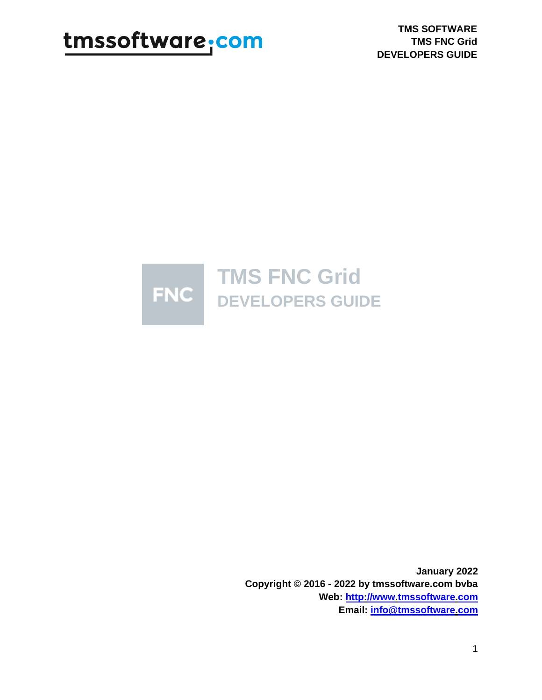**TMS SOFTWARE TMS FNC Grid DEVELOPERS GUIDE**



**January 2022 Copyright © 2016 - 2022 by tmssoftware.com bvba Web: [http://www.tmssoftware.com](http://www.tmssoftware.com/) Email: [info@tmssoftware.com](mailto:info@tmssoftware.com)**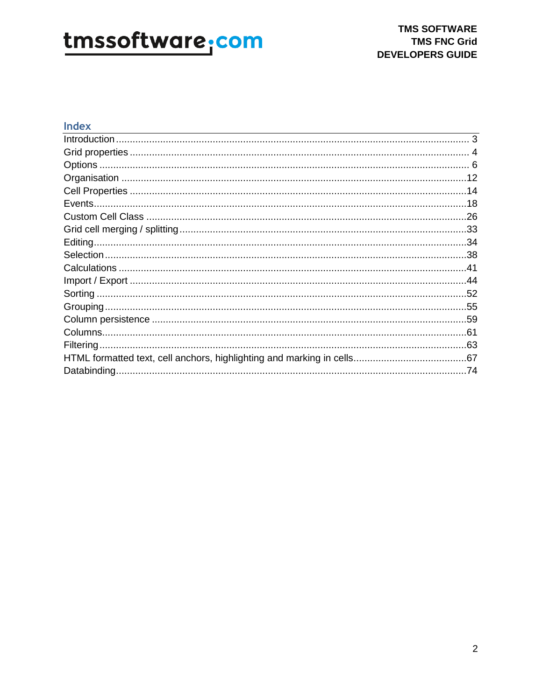### Index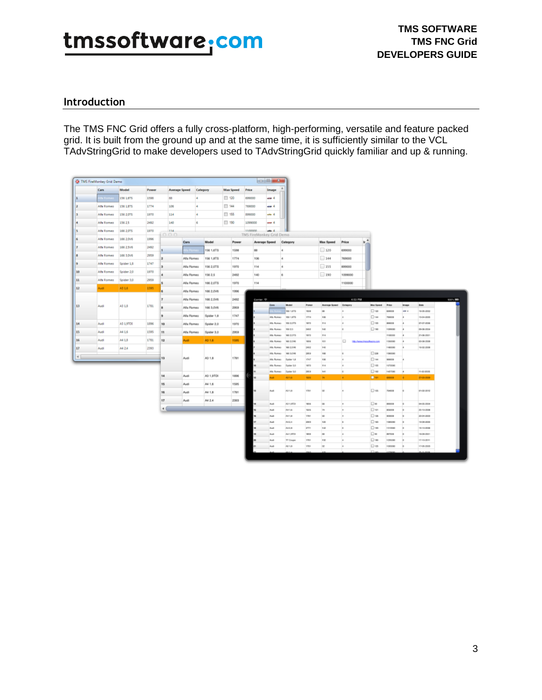### <span id="page-2-0"></span>**Introduction**

The TMS FNC Grid offers a fully cross-platform, high-performing, versatile and feature packed grid. It is built from the ground up and at the same time, it is sufficiently similar to the VCL TAdvStringGrid to make developers used to TAdvStringGrid quickly familiar and up & running.

|                              | <b>Q</b> TMS FireMonkey Grid Demo |            |             |               |             |            |                  |         |                          |                          |                          |                    |                   |                       |                                      |                    |              |                          |             |                |
|------------------------------|-----------------------------------|------------|-------------|---------------|-------------|------------|------------------|---------|--------------------------|--------------------------|--------------------------|--------------------|-------------------|-----------------------|--------------------------------------|--------------------|--------------|--------------------------|-------------|----------------|
|                              | Cars                              | Model      | Power       | Average Speed |             | Category   | <b>Max Speed</b> | Price   |                          | Image                    |                          |                    |                   |                       |                                      |                    |              |                          |             |                |
| 1                            | ila Rom                           | 156 1,675  | 1595        | 88            | l4          |            | 120              | 699000  |                          | sin 4                    |                          |                    |                   |                       |                                      |                    |              |                          |             |                |
| 12                           | Alfa Romeo                        | 156 1.875  | 1774        | 106           | l4          |            | $\Box$ 144       | 769000  |                          | sing 4                   |                          |                    |                   |                       |                                      |                    |              |                          |             |                |
| 3                            | Alfa Romeo                        | 156 2,075  | 1970        | 114           | l4          |            | 155              | 899000  |                          | m <sub>4</sub>           |                          |                    |                   |                       |                                      |                    |              |                          |             |                |
| l4                           | Alfa Romeo                        | 156 2.5    | 2492        | 140           | G           |            | $\Box$ 190       | 1099000 |                          | ana A                    |                          |                    |                   |                       |                                      |                    |              |                          |             |                |
| ls.                          | Alfa Romeo                        | 166 2015   | 1970        | 114           |             |            |                  | 1100000 |                          | $+1$                     |                          |                    |                   |                       |                                      |                    |              |                          |             |                |
| la                           | Alfa Romeo                        | 166 2 DV6  | 1996        | 000           | Cars        | Model      | Power            |         | TMS FireMonkey Grid Demo |                          | Category                 |                    | <b>Max Speed</b>  | Price                 | $h^A$                                |                    |              |                          |             |                |
| 17                           | Alfa Romeo                        | 166 2,5V6  | 2492        |               |             |            |                  |         | Average Speed<br>88      |                          |                          |                    | 120               | 699000                |                                      |                    |              |                          |             |                |
| la                           | Alfa Romeo                        | 166 1 DV6  | 2959        |               | a Pom       | 156 1,6TB  | 1598             |         |                          |                          | 4                        |                    |                   |                       |                                      |                    |              |                          |             |                |
| la                           | Alfa Romeo                        | Spider 1.8 | 1747        | 2             | Alla Romeo  | 156 1,8TB  | 1774             |         | 106                      |                          | $\Delta$                 |                    | 144               | 769000                |                                      |                    |              |                          |             |                |
| 10                           | Alfa Romeo                        | Spider 2,0 | 1970        | <b>3</b>      | Alla Romeo  | 156 2,0TB  | 1970             |         | 114                      |                          | 4                        |                    | 155<br>$\Box$ 190 | 899000                |                                      |                    |              |                          |             |                |
| 11                           | Alfa Romeo                        | Spider 3,0 | 2959        | ٠             | Alla Romeo  | 156 2.5    | 2492             |         | 140                      |                          | 6                        |                    |                   | 1099000               |                                      |                    |              |                          |             |                |
| 12                           | Audi.                             | A3 1.6     | 1595        |               | Alla Romeo  | 166 2,0TS  | 1970             |         | 114                      |                          |                          |                    |                   | 1100000               |                                      |                    |              |                          |             |                |
|                              |                                   |            |             | 6             | Alla Romeo  | 166 2,0V6  | 1996             |         |                          |                          |                          |                    |                   |                       |                                      |                    |              |                          |             |                |
| 13<br>A3 1.8<br>Audi<br>1781 | F.                                |            |             |               |             | Alla Romeo | 166 2,5V6        | 2492    |                          | Carrier $\mathcal D$     | Cass.                    | Model              | Power             | Avenue Speed Category | 4:53 PM                              | <b>Max Spood</b>   | <b>Price</b> | Image                    | <b>Ente</b> | $10076 - 1000$ |
|                              |                                   | a          | Alla Plomeo | 166 3,0V6     | 2060        |            |                  |         | 100 1.675                | 1918                     | m                        | u                  | D <sub>120</sub>  | 600000                | in 4                                 | 16-05-2002         |              |                          |             |                |
|                              |                                   |            |             | 9             | Alla Romeo  | Spider 1.8 | 1747             |         |                          | Alta Romeo               | 100 1.675                | 1774               | 106               | u                     | $\square$ 1644                       | <b>TERCOB</b>      |              | 15-04-2005               |             |                |
| 14                           | Audi                              | A3 1,9TOL  | 1896        | 10            | Alla Romeo  | Spider 2.0 | 1970             |         |                          | Alta Romeo               | 195 2.07%                | 1972               | 114               | и                     | D <sub>196</sub>                     | assoca             |              | 07-07-2006               |             |                |
| 15                           | Audi                              | A4 1.6     | 1595        | 11            | Alla Romeo  | Spider 3.0 | 2959             |         |                          | Alta Romeo<br>Alla Roman | 1958 2.5<br>100 2,078    | 3410<br>wn         | 140<br>114        | ×                     | $\Box$ 180                           | 1099000<br>1100000 | ×            | 09-06-2004<br>21-06-2021 |             |                |
| 16                           | Audi                              | A4 1.8     | 1781        | 12            | <b>Audi</b> | A3 1.6     | 1505             |         |                          | Alla Romeo               | 105 2, 016               | 1916               | 15V               | ▫                     | http://www.tmosoftwa.ne.com          | 1390080            |              | 03 08 0008               |             |                |
| 17                           | Audi                              | A4 2.4     | 2393        |               |             |            |                  |         |                          | Alla Romac               | 966 2.696                | 2402               | 140               |                       |                                      | 1400080            |              | 16:00:0008               |             |                |
| $\preccurlyeq$               |                                   |            |             | 13            | Audi        | A3 1.8     | 1781             |         |                          | Alla Romeo               | 966 3, 096               | 2053               | 168               | k                     | $\square$ 236                        | 1580080            |              |                          |             |                |
|                              |                                   |            |             |               |             |            |                  |         |                          | Alka Roman<br>Alta Romeo | Ealder 1.8<br>Spider 2.0 | 1747<br>1979       | 106<br>114        | u<br>k                | D <sub>544</sub><br>D <sub>195</sub> | 909008<br>1070000  |              |                          |             |                |
|                              |                                   |            |             |               |             |            |                  |         |                          | Alta Romeo               | Spider 3.0               | <b>ING</b>         | 141               | k                     | D <sub>192</sub>                     | 1437080            |              | 11-02-2005               |             |                |
|                              |                                   |            |             | 14            | Audi        | A3 1,9TDI  | 1896             |         | <b>http:</b>             | o.                       | A3 1.6                   | 1946               | <b>PA</b>         | ٠                     | <b>Dist</b>                          | 400008             | ×            | 27-03-2019               |             |                |
|                              |                                   |            |             | 15            | Audi        | A4 1.6     | 1595             |         |                          |                          |                          |                    |                   |                       |                                      |                    |              |                          |             |                |
|                              |                                   |            |             | 16            | Audi        | A4 1.B     | 1781             |         | <b>HE</b>                | Audi                     | A9 1.8                   | 1761               | w                 |                       | D <sub>18</sub>                      | 794008             |              | 01-08-0012               |             |                |
|                              |                                   |            |             | 17            | Audi        | A4 2.4     | 2303             |         |                          |                          |                          |                    |                   |                       |                                      |                    |              |                          |             |                |
|                              |                                   |            |             | 41            |             |            |                  |         | 14                       | Audi                     | A8 1,9701                | 1816               | los               | la.                   | $\square$ se                         | 490008             |              | 04-05-2004               |             |                |
|                              |                                   |            |             |               |             |            |                  |         | u                        | Audi<br>Aug 1            | A41.6                    | 1916<br><b>TRI</b> | 74<br>lse.        | l4<br>la.             | <b>D</b> set                         | 409008<br>ихвоов   |              | 23-10-2008<br>23-04-2003 |             |                |
|                              |                                   |            |             |               |             |            |                  |         | w<br>u                   | Audi                     | A4 1.8<br>M14            | 2310               | 120               | k                     | D <sub>38</sub><br>$\Box$ set        | 1005000            |              | 19-09-2009               |             |                |
|                              |                                   |            |             |               |             |            |                  |         | u                        | <b>Audi</b>              | ALLB                     | 2771               | 142               | k                     | $\square$ set                        | 1315500            |              | 19-10-2008               |             |                |
|                              |                                   |            |             |               |             |            |                  |         | w                        | Aud                      | A4 1,0701                | 1816               | ing.              | la.                   | D <sub>m</sub>                       | <b>AIKYOOB</b>     |              | 18:09:3001               |             |                |
|                              |                                   |            |             |               |             |            |                  |         |                          | Audi                     | <b>TT Coupe</b>          | THE                | 152               | k                     | <b>D</b> we                          | 1295080            |              | 12-10-2011               |             |                |
|                              |                                   |            |             |               |             |            |                  |         |                          | Audi                     | A6 1.8                   | <b>CM</b>          | w                 | la.                   | Dw                                   | 1093000            |              | 12-06-0088               |             |                |
|                              |                                   |            |             |               |             |            |                  |         |                          |                          |                          |                    |                   |                       | <b>CO</b> <sub>ne</sub>              |                    |              |                          |             |                |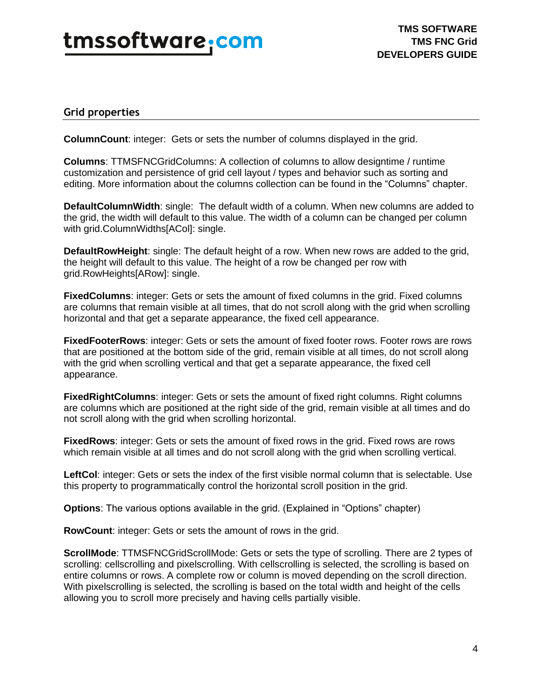### <span id="page-3-0"></span>**Grid properties**

**ColumnCount**: integer: Gets or sets the number of columns displayed in the grid.

**Columns**: TTMSFNCGridColumns: A collection of columns to allow designtime / runtime customization and persistence of grid cell layout / types and behavior such as sorting and editing. More information about the columns collection can be found in the "Columns" chapter.

**DefaultColumnWidth**: single: The default width of a column. When new columns are added to the grid, the width will default to this value. The width of a column can be changed per column with grid.ColumnWidths[ACol]: single.

**DefaultRowHeight**: single: The default height of a row. When new rows are added to the grid, the height will default to this value. The height of a row be changed per row with grid.RowHeights[ARow]: single.

**FixedColumns**: integer: Gets or sets the amount of fixed columns in the grid. Fixed columns are columns that remain visible at all times, that do not scroll along with the grid when scrolling horizontal and that get a separate appearance, the fixed cell appearance.

**FixedFooterRows**: integer: Gets or sets the amount of fixed footer rows. Footer rows are rows that are positioned at the bottom side of the grid, remain visible at all times, do not scroll along with the grid when scrolling vertical and that get a separate appearance, the fixed cell appearance.

**FixedRightColumns**: integer: Gets or sets the amount of fixed right columns. Right columns are columns which are positioned at the right side of the grid, remain visible at all times and do not scroll along with the grid when scrolling horizontal.

**FixedRows**: integer: Gets or sets the amount of fixed rows in the grid. Fixed rows are rows which remain visible at all times and do not scroll along with the grid when scrolling vertical.

**LeftCol**: integer: Gets or sets the index of the first visible normal column that is selectable. Use this property to programmatically control the horizontal scroll position in the grid.

**Options**: The various options available in the grid. (Explained in "Options" chapter)

**RowCount**: integer: Gets or sets the amount of rows in the grid.

**ScrollMode**: TTMSFNCGridScrollMode: Gets or sets the type of scrolling. There are 2 types of scrolling: cellscrolling and pixelscrolling. With cellscrolling is selected, the scrolling is based on entire columns or rows. A complete row or column is moved depending on the scroll direction. With pixelscrolling is selected, the scrolling is based on the total width and height of the cells allowing you to scroll more precisely and having cells partially visible.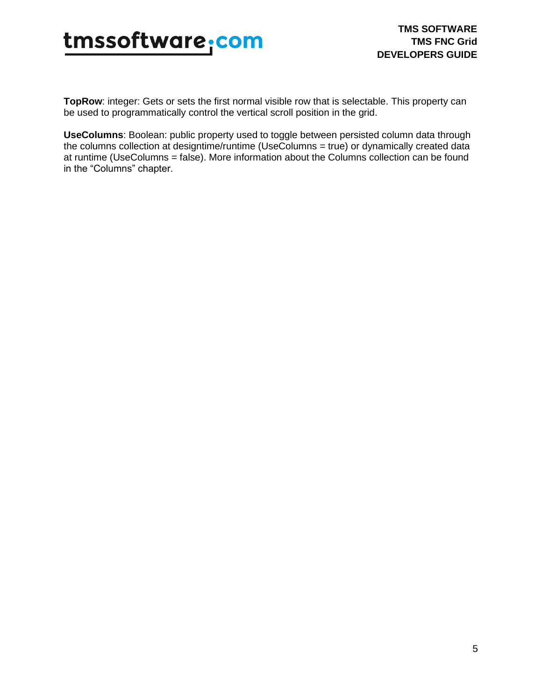

**TopRow**: integer: Gets or sets the first normal visible row that is selectable. This property can be used to programmatically control the vertical scroll position in the grid.

**UseColumns**: Boolean: public property used to toggle between persisted column data through the columns collection at designtime/runtime (UseColumns = true) or dynamically created data at runtime (UseColumns = false). More information about the Columns collection can be found in the "Columns" chapter.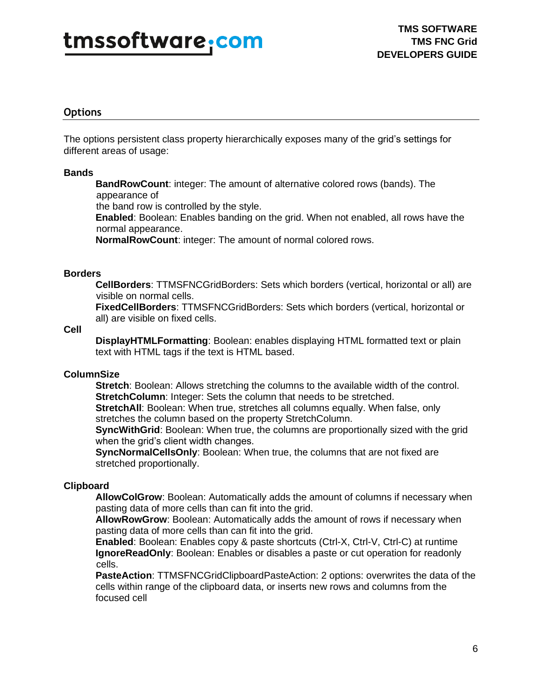### <span id="page-5-0"></span>**Options**

The options persistent class property hierarchically exposes many of the grid's settings for different areas of usage:

### **Bands**

**BandRowCount**: integer: The amount of alternative colored rows (bands). The appearance of

the band row is controlled by the style.

**Enabled**: Boolean: Enables banding on the grid. When not enabled, all rows have the normal appearance.

**NormalRowCount**: integer: The amount of normal colored rows.

### **Borders**

**CellBorders**: TTMSFNCGridBorders: Sets which borders (vertical, horizontal or all) are visible on normal cells.

**FixedCellBorders**: TTMSFNCGridBorders: Sets which borders (vertical, horizontal or all) are visible on fixed cells.

### **Cell**

**DisplayHTMLFormatting**: Boolean: enables displaying HTML formatted text or plain text with HTML tags if the text is HTML based.

### **ColumnSize**

**Stretch**: Boolean: Allows stretching the columns to the available width of the control. **StretchColumn:** Integer: Sets the column that needs to be stretched.

**StretchAll**: Boolean: When true, stretches all columns equally. When false, only stretches the column based on the property StretchColumn.

**SyncWithGrid**: Boolean: When true, the columns are proportionally sized with the grid when the grid's client width changes.

**SyncNormalCellsOnly**: Boolean: When true, the columns that are not fixed are stretched proportionally.

### **Clipboard**

**AllowColGrow**: Boolean: Automatically adds the amount of columns if necessary when pasting data of more cells than can fit into the grid.

**AllowRowGrow**: Boolean: Automatically adds the amount of rows if necessary when pasting data of more cells than can fit into the grid.

**Enabled**: Boolean: Enables copy & paste shortcuts (Ctrl-X, Ctrl-V, Ctrl-C) at runtime **IgnoreReadOnly**: Boolean: Enables or disables a paste or cut operation for readonly cells.

**PasteAction**: TTMSFNCGridClipboardPasteAction: 2 options: overwrites the data of the cells within range of the clipboard data, or inserts new rows and columns from the focused cell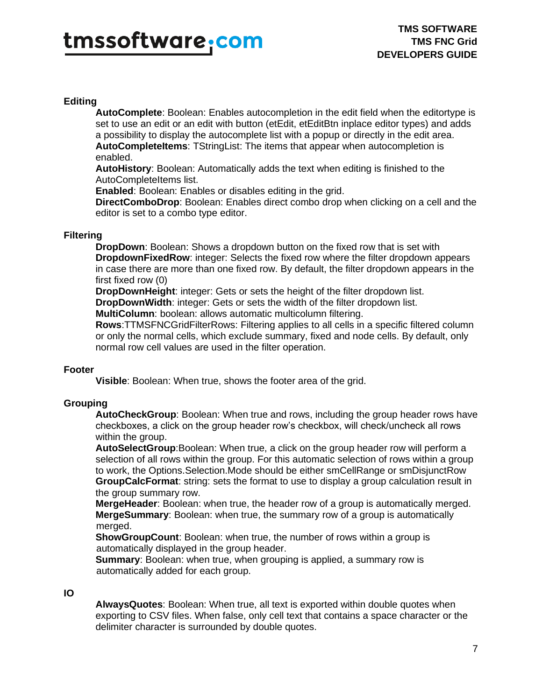### **Editing**

**AutoComplete**: Boolean: Enables autocompletion in the edit field when the editortype is set to use an edit or an edit with button (etEdit, etEditBtn inplace editor types) and adds a possibility to display the autocomplete list with a popup or directly in the edit area. **AutoCompleteItems**: TStringList: The items that appear when autocompletion is enabled.

**AutoHistory**: Boolean: Automatically adds the text when editing is finished to the AutoCompleteItems list.

**Enabled**: Boolean: Enables or disables editing in the grid.

**DirectComboDrop**: Boolean: Enables direct combo drop when clicking on a cell and the editor is set to a combo type editor.

### **Filtering**

**DropDown**: Boolean: Shows a dropdown button on the fixed row that is set with **DropdownFixedRow**: integer: Selects the fixed row where the filter dropdown appears in case there are more than one fixed row. By default, the filter dropdown appears in the first fixed row (0)

**DropDownHeight**: integer: Gets or sets the height of the filter dropdown list. **DropDownWidth**: integer: Gets or sets the width of the filter dropdown list.

**MultiColumn**: boolean: allows automatic multicolumn filtering.

**Rows**:TTMSFNCGridFilterRows: Filtering applies to all cells in a specific filtered column or only the normal cells, which exclude summary, fixed and node cells. By default, only normal row cell values are used in the filter operation.

### **Footer**

**Visible**: Boolean: When true, shows the footer area of the grid.

### **Grouping**

**AutoCheckGroup**: Boolean: When true and rows, including the group header rows have checkboxes, a click on the group header row's checkbox, will check/uncheck all rows within the group.

**AutoSelectGroup**:Boolean: When true, a click on the group header row will perform a selection of all rows within the group. For this automatic selection of rows within a group to work, the Options.Selection.Mode should be either smCellRange or smDisjunctRow **GroupCalcFormat**: string: sets the format to use to display a group calculation result in the group summary row.

**MergeHeader**: Boolean: when true, the header row of a group is automatically merged. **MergeSummary**: Boolean: when true, the summary row of a group is automatically merged.

**ShowGroupCount**: Boolean: when true, the number of rows within a group is automatically displayed in the group header.

**Summary**: Boolean: when true, when grouping is applied, a summary row is automatically added for each group.

### **IO**

**AlwaysQuotes**: Boolean: When true, all text is exported within double quotes when exporting to CSV files. When false, only cell text that contains a space character or the delimiter character is surrounded by double quotes.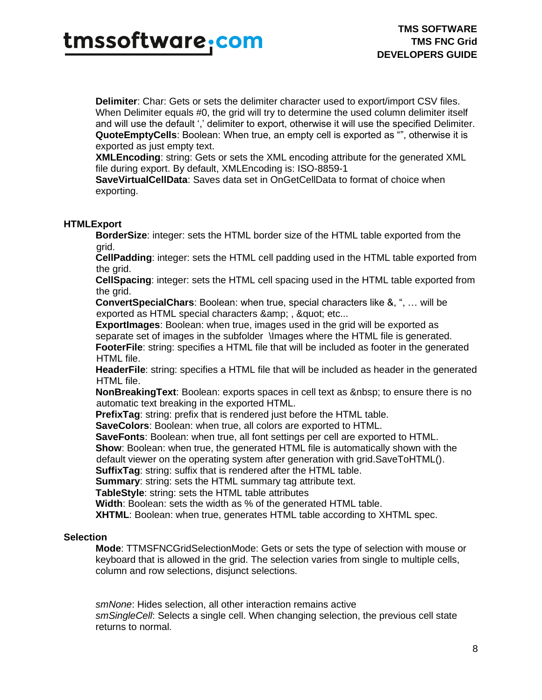**Delimiter**: Char: Gets or sets the delimiter character used to export/import CSV files. When Delimiter equals #0, the grid will try to determine the used column delimiter itself and will use the default ',' delimiter to export, otherwise it will use the specified Delimiter. **QuoteEmptyCells**: Boolean: When true, an empty cell is exported as "", otherwise it is exported as just empty text.

**XMLEncoding**: string: Gets or sets the XML encoding attribute for the generated XML file during export. By default, XMLEncoding is: ISO-8859-1

**SaveVirtualCellData**: Saves data set in OnGetCellData to format of choice when exporting.

### **HTMLExport**

**BorderSize**: integer: sets the HTML border size of the HTML table exported from the grid.

**CellPadding**: integer: sets the HTML cell padding used in the HTML table exported from the grid.

**CellSpacing**: integer: sets the HTML cell spacing used in the HTML table exported from the grid.

**ConvertSpecialChars**: Boolean: when true, special characters like &, ", … will be exported as HTML special characters & amp:, & quot: etc...

**ExportImages**: Boolean: when true, images used in the grid will be exported as separate set of images in the subfolder \Images where the HTML file is generated. **FooterFile**: string: specifies a HTML file that will be included as footer in the generated HTML file.

**HeaderFile**: string: specifies a HTML file that will be included as header in the generated HTML file.

NonBreakingText: Boolean: exports spaces in cell text as to ensure there is no automatic text breaking in the exported HTML.

**PrefixTag**: string: prefix that is rendered just before the HTML table.

**SaveColors**: Boolean: when true, all colors are exported to HTML.

**SaveFonts**: Boolean: when true, all font settings per cell are exported to HTML.

**Show**: Boolean: when true, the generated HTML file is automatically shown with the

default viewer on the operating system after generation with grid.SaveToHTML().

**SuffixTag**: string: suffix that is rendered after the HTML table.

**Summary**: string: sets the HTML summary tag attribute text.

**TableStyle**: string: sets the HTML table attributes

**Width**: Boolean: sets the width as % of the generated HTML table.

**XHTML**: Boolean: when true, generates HTML table according to XHTML spec.

### **Selection**

**Mode**: TTMSFNCGridSelectionMode: Gets or sets the type of selection with mouse or keyboard that is allowed in the grid. The selection varies from single to multiple cells, column and row selections, disjunct selections.

*smNone*: Hides selection, all other interaction remains active *smSingleCell*: Selects a single cell. When changing selection, the previous cell state returns to normal.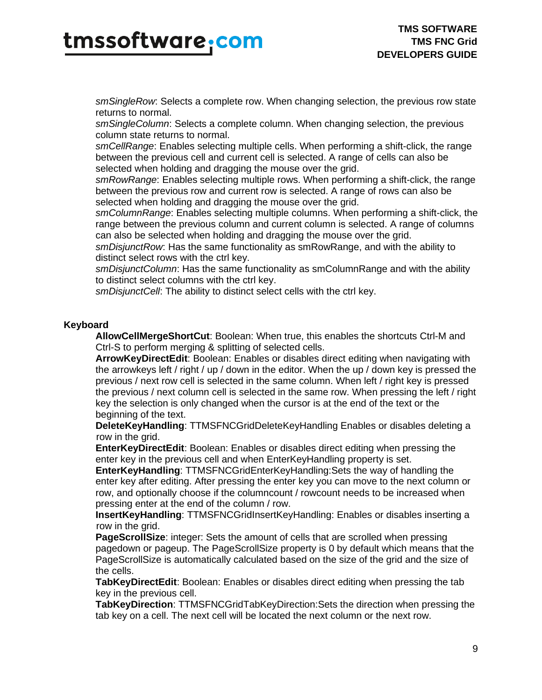*smSingleRow*: Selects a complete row. When changing selection, the previous row state returns to normal.

*smSingleColumn*: Selects a complete column. When changing selection, the previous column state returns to normal.

*smCellRange*: Enables selecting multiple cells. When performing a shift-click, the range between the previous cell and current cell is selected. A range of cells can also be selected when holding and dragging the mouse over the grid.

*smRowRange*: Enables selecting multiple rows. When performing a shift-click, the range between the previous row and current row is selected. A range of rows can also be selected when holding and dragging the mouse over the grid.

*smColumnRange*: Enables selecting multiple columns. When performing a shift-click, the range between the previous column and current column is selected. A range of columns can also be selected when holding and dragging the mouse over the grid.

*smDisjunctRow*: Has the same functionality as smRowRange, and with the ability to distinct select rows with the ctrl key.

*smDisjunctColumn*: Has the same functionality as smColumnRange and with the ability to distinct select columns with the ctrl key.

*smDisjunctCell*: The ability to distinct select cells with the ctrl key.

### **Keyboard**

**AllowCellMergeShortCut**: Boolean: When true, this enables the shortcuts Ctrl-M and Ctrl-S to perform merging & splitting of selected cells.

**ArrowKeyDirectEdit**: Boolean: Enables or disables direct editing when navigating with the arrowkeys left / right / up / down in the editor. When the up / down key is pressed the previous / next row cell is selected in the same column. When left / right key is pressed the previous / next column cell is selected in the same row. When pressing the left / right key the selection is only changed when the cursor is at the end of the text or the beginning of the text.

**DeleteKeyHandling**: TTMSFNCGridDeleteKeyHandling Enables or disables deleting a row in the grid.

**EnterKeyDirectEdit**: Boolean: Enables or disables direct editing when pressing the enter key in the previous cell and when EnterKeyHandling property is set.

**EnterKeyHandling**: TTMSFNCGridEnterKeyHandling:Sets the way of handling the enter key after editing. After pressing the enter key you can move to the next column or row, and optionally choose if the columncount / rowcount needs to be increased when pressing enter at the end of the column / row.

**InsertKeyHandling**: TTMSFNCGridInsertKeyHandling: Enables or disables inserting a row in the grid.

**PageScrollSize**: integer: Sets the amount of cells that are scrolled when pressing pagedown or pageup. The PageScrollSize property is 0 by default which means that the PageScrollSize is automatically calculated based on the size of the grid and the size of the cells.

**TabKeyDirectEdit**: Boolean: Enables or disables direct editing when pressing the tab key in the previous cell.

**TabKeyDirection**: TTMSFNCGridTabKeyDirection:Sets the direction when pressing the tab key on a cell. The next cell will be located the next column or the next row.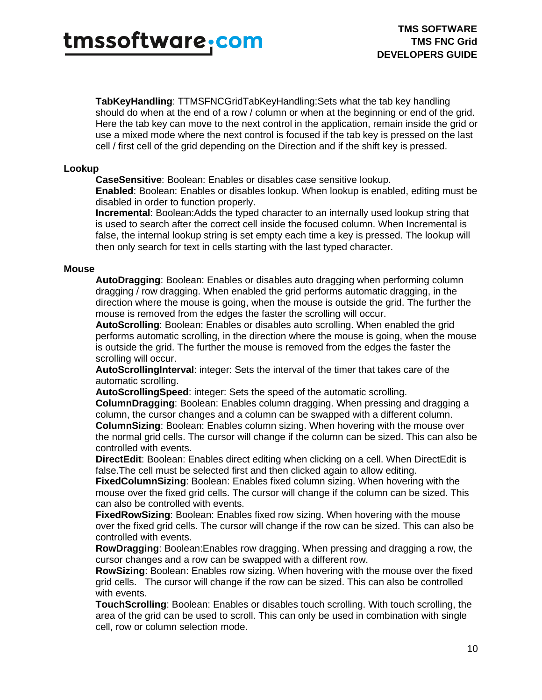## tmssoftware<sub>:</sub>com

**TabKeyHandling**: TTMSFNCGridTabKeyHandling:Sets what the tab key handling should do when at the end of a row / column or when at the beginning or end of the grid. Here the tab key can move to the next control in the application, remain inside the grid or use a mixed mode where the next control is focused if the tab key is pressed on the last cell / first cell of the grid depending on the Direction and if the shift key is pressed.

### **Lookup**

**CaseSensitive**: Boolean: Enables or disables case sensitive lookup.

**Enabled**: Boolean: Enables or disables lookup. When lookup is enabled, editing must be disabled in order to function properly.

**Incremental**: Boolean:Adds the typed character to an internally used lookup string that is used to search after the correct cell inside the focused column. When Incremental is false, the internal lookup string is set empty each time a key is pressed. The lookup will then only search for text in cells starting with the last typed character.

#### **Mouse**

**AutoDragging**: Boolean: Enables or disables auto dragging when performing column dragging / row dragging. When enabled the grid performs automatic dragging, in the direction where the mouse is going, when the mouse is outside the grid. The further the mouse is removed from the edges the faster the scrolling will occur.

**AutoScrolling**: Boolean: Enables or disables auto scrolling. When enabled the grid performs automatic scrolling, in the direction where the mouse is going, when the mouse is outside the grid. The further the mouse is removed from the edges the faster the scrolling will occur.

**AutoScrollingInterval**: integer: Sets the interval of the timer that takes care of the automatic scrolling.

**AutoScrollingSpeed**: integer: Sets the speed of the automatic scrolling. **ColumnDragging**: Boolean: Enables column dragging. When pressing and dragging a column, the cursor changes and a column can be swapped with a different column. **ColumnSizing**: Boolean: Enables column sizing. When hovering with the mouse over the normal grid cells. The cursor will change if the column can be sized. This can also be controlled with events.

**DirectEdit**: Boolean: Enables direct editing when clicking on a cell. When DirectEdit is false.The cell must be selected first and then clicked again to allow editing.

**FixedColumnSizing**: Boolean: Enables fixed column sizing. When hovering with the mouse over the fixed grid cells. The cursor will change if the column can be sized. This can also be controlled with events.

**FixedRowSizing**: Boolean: Enables fixed row sizing. When hovering with the mouse over the fixed grid cells. The cursor will change if the row can be sized. This can also be controlled with events.

**RowDragging**: Boolean:Enables row dragging. When pressing and dragging a row, the cursor changes and a row can be swapped with a different row.

**RowSizing**: Boolean: Enables row sizing. When hovering with the mouse over the fixed grid cells. The cursor will change if the row can be sized. This can also be controlled with events.

**TouchScrolling**: Boolean: Enables or disables touch scrolling. With touch scrolling, the area of the grid can be used to scroll. This can only be used in combination with single cell, row or column selection mode.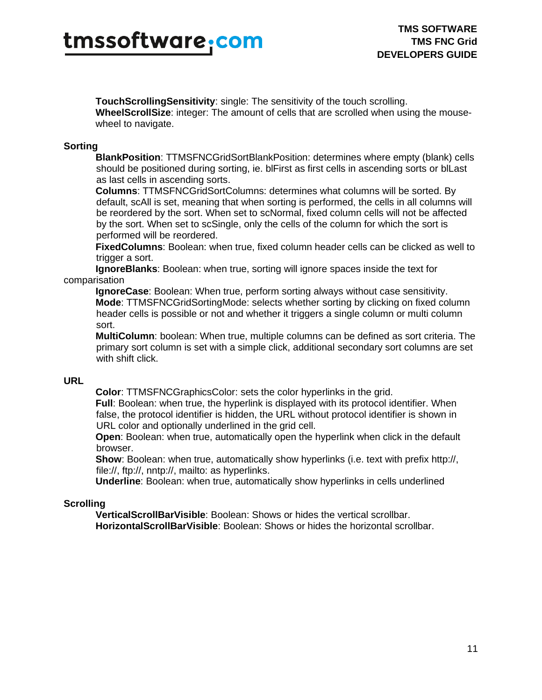**TouchScrollingSensitivity**: single: The sensitivity of the touch scrolling. **WheelScrollSize**: integer: The amount of cells that are scrolled when using the mousewheel to navigate.

### **Sorting**

**BlankPosition**: TTMSFNCGridSortBlankPosition: determines where empty (blank) cells should be positioned during sorting, ie. blFirst as first cells in ascending sorts or blLast as last cells in ascending sorts.

**Columns**: TTMSFNCGridSortColumns: determines what columns will be sorted. By default, scAll is set, meaning that when sorting is performed, the cells in all columns will be reordered by the sort. When set to scNormal, fixed column cells will not be affected by the sort. When set to scSingle, only the cells of the column for which the sort is performed will be reordered.

**FixedColumns**: Boolean: when true, fixed column header cells can be clicked as well to trigger a sort.

**IgnoreBlanks**: Boolean: when true, sorting will ignore spaces inside the text for comparisation

**IgnoreCase**: Boolean: When true, perform sorting always without case sensitivity. **Mode**: TTMSFNCGridSortingMode: selects whether sorting by clicking on fixed column header cells is possible or not and whether it triggers a single column or multi column sort.

**MultiColumn**: boolean: When true, multiple columns can be defined as sort criteria. The primary sort column is set with a simple click, additional secondary sort columns are set with shift click.

### **URL**

**Color**: TTMSFNCGraphicsColor: sets the color hyperlinks in the grid.

**Full**: Boolean: when true, the hyperlink is displayed with its protocol identifier. When false, the protocol identifier is hidden, the URL without protocol identifier is shown in URL color and optionally underlined in the grid cell.

**Open**: Boolean: when true, automatically open the hyperlink when click in the default browser.

**Show**: Boolean: when true, automatically show hyperlinks (i.e. text with prefix http://, file://, ftp://, nntp://, mailto: as hyperlinks.

**Underline**: Boolean: when true, automatically show hyperlinks in cells underlined

### **Scrolling**

**VerticalScrollBarVisible**: Boolean: Shows or hides the vertical scrollbar. **HorizontalScrollBarVisible**: Boolean: Shows or hides the horizontal scrollbar.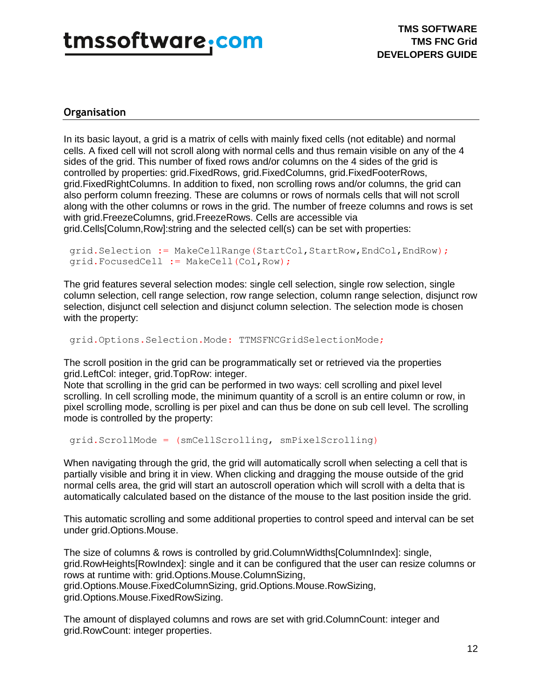### <span id="page-11-0"></span>**Organisation**

In its basic layout, a grid is a matrix of cells with mainly fixed cells (not editable) and normal cells. A fixed cell will not scroll along with normal cells and thus remain visible on any of the 4 sides of the grid. This number of fixed rows and/or columns on the 4 sides of the grid is controlled by properties: grid.FixedRows, grid.FixedColumns, grid.FixedFooterRows, grid.FixedRightColumns. In addition to fixed, non scrolling rows and/or columns, the grid can also perform column freezing. These are columns or rows of normals cells that will not scroll along with the other columns or rows in the grid. The number of freeze columns and rows is set with grid.FreezeColumns, grid.FreezeRows. Cells are accessible via grid.Cells[Column,Row]:string and the selected cell(s) can be set with properties:

```
grid.Selection := MakeCellRange(StartCol,StartRow,EndCol,EndRow);
grid.FocusedCell := MakeCell(Col,Row);
```
The grid features several selection modes: single cell selection, single row selection, single column selection, cell range selection, row range selection, column range selection, disjunct row selection, disjunct cell selection and disjunct column selection. The selection mode is chosen with the property:

```
grid.Options.Selection.Mode: TTMSFNCGridSelectionMode;
```
The scroll position in the grid can be programmatically set or retrieved via the properties grid.LeftCol: integer, grid.TopRow: integer.

Note that scrolling in the grid can be performed in two ways: cell scrolling and pixel level scrolling. In cell scrolling mode, the minimum quantity of a scroll is an entire column or row, in pixel scrolling mode, scrolling is per pixel and can thus be done on sub cell level. The scrolling mode is controlled by the property:

grid.ScrollMode = (smCellScrolling, smPixelScrolling)

When navigating through the grid, the grid will automatically scroll when selecting a cell that is partially visible and bring it in view. When clicking and dragging the mouse outside of the grid normal cells area, the grid will start an autoscroll operation which will scroll with a delta that is automatically calculated based on the distance of the mouse to the last position inside the grid.

This automatic scrolling and some additional properties to control speed and interval can be set under grid.Options.Mouse.

The size of columns & rows is controlled by grid.ColumnWidths[ColumnIndex]: single, grid.RowHeights[RowIndex]: single and it can be configured that the user can resize columns or rows at runtime with: grid.Options.Mouse.ColumnSizing, grid.Options.Mouse.FixedColumnSizing, grid.Options.Mouse.RowSizing, grid.Options.Mouse.FixedRowSizing.

The amount of displayed columns and rows are set with grid.ColumnCount: integer and grid.RowCount: integer properties.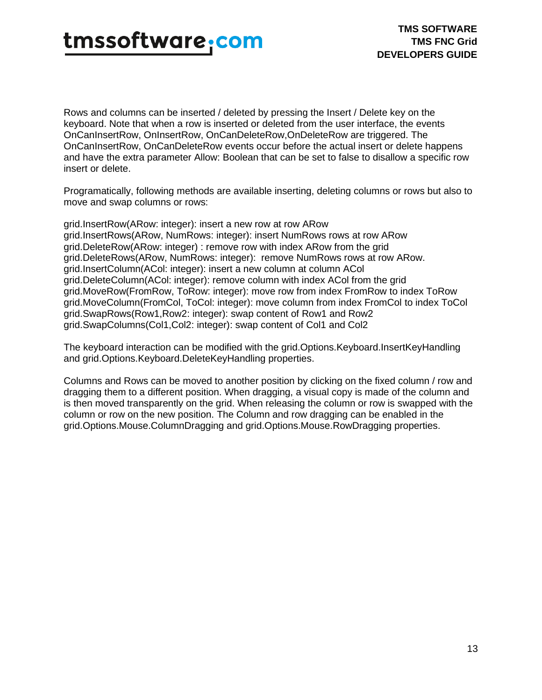## tmssoftware<sub>:</sub>com

Rows and columns can be inserted / deleted by pressing the Insert / Delete key on the keyboard. Note that when a row is inserted or deleted from the user interface, the events OnCanInsertRow, OnInsertRow, OnCanDeleteRow,OnDeleteRow are triggered. The OnCanInsertRow, OnCanDeleteRow events occur before the actual insert or delete happens and have the extra parameter Allow: Boolean that can be set to false to disallow a specific row insert or delete.

Programatically, following methods are available inserting, deleting columns or rows but also to move and swap columns or rows:

grid.InsertRow(ARow: integer): insert a new row at row ARow grid.InsertRows(ARow, NumRows: integer): insert NumRows rows at row ARow grid.DeleteRow(ARow: integer) : remove row with index ARow from the grid grid.DeleteRows(ARow, NumRows: integer): remove NumRows rows at row ARow. grid.InsertColumn(ACol: integer): insert a new column at column ACol grid.DeleteColumn(ACol: integer): remove column with index ACol from the grid grid.MoveRow(FromRow, ToRow: integer): move row from index FromRow to index ToRow grid.MoveColumn(FromCol, ToCol: integer): move column from index FromCol to index ToCol grid.SwapRows(Row1,Row2: integer): swap content of Row1 and Row2 grid.SwapColumns(Col1,Col2: integer): swap content of Col1 and Col2

The keyboard interaction can be modified with the grid.Options.Keyboard.InsertKeyHandling and grid.Options.Keyboard.DeleteKeyHandling properties.

Columns and Rows can be moved to another position by clicking on the fixed column / row and dragging them to a different position. When dragging, a visual copy is made of the column and is then moved transparently on the grid. When releasing the column or row is swapped with the column or row on the new position. The Column and row dragging can be enabled in the grid.Options.Mouse.ColumnDragging and grid.Options.Mouse.RowDragging properties.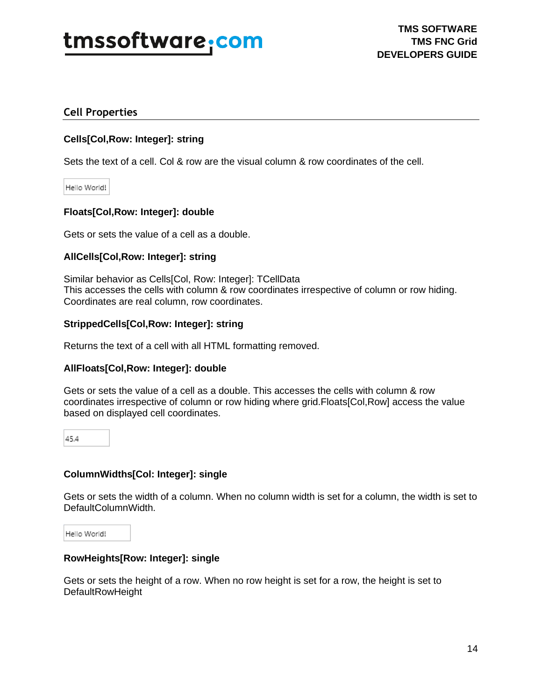### <span id="page-13-0"></span>**Cell Properties**

### **Cells[Col,Row: Integer]: string**

Sets the text of a cell. Col & row are the visual column & row coordinates of the cell.

Hello World!

### **Floats[Col,Row: Integer]: double**

Gets or sets the value of a cell as a double.

### **AllCells[Col,Row: Integer]: string**

Similar behavior as Cells[Col, Row: Integer]: TCellData This accesses the cells with column & row coordinates irrespective of column or row hiding. Coordinates are real column, row coordinates.

### **StrippedCells[Col,Row: Integer]: string**

Returns the text of a cell with all HTML formatting removed.

### **AllFloats[Col,Row: Integer]: double**

Gets or sets the value of a cell as a double. This accesses the cells with column & row coordinates irrespective of column or row hiding where grid.Floats[Col,Row] access the value based on displayed cell coordinates.

45.4

### **ColumnWidths[Col: Integer]: single**

Gets or sets the width of a column. When no column width is set for a column, the width is set to DefaultColumnWidth.

Hello World!

### **RowHeights[Row: Integer]: single**

Gets or sets the height of a row. When no row height is set for a row, the height is set to DefaultRowHeight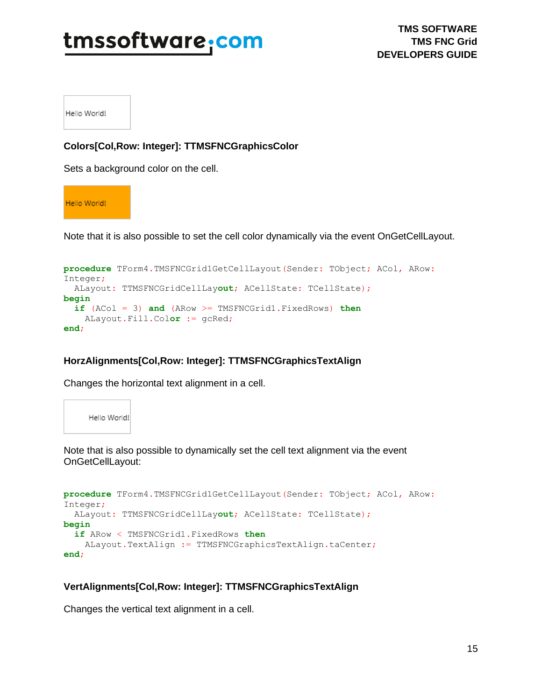Hello World!

### **Colors[Col,Row: Integer]: TTMSFNCGraphicsColor**

Sets a background color on the cell.

Hello World!

Note that it is also possible to set the cell color dynamically via the event OnGetCellLayout.

```
procedure TForm4.TMSFNCGrid1GetCellLayout(Sender: TObject; ACol, ARow: 
Integer;
  ALayout: TTMSFNCGridCellLayout; ACellState: TCellState);
begin
   if (ACol = 3) and (ARow >= TMSFNCGrid1.FixedRows) then
    ALayout.Fill.Color := gcRed;
end;
```
### **HorzAlignments[Col,Row: Integer]: TTMSFNCGraphicsTextAlign**

Changes the horizontal text alignment in a cell.



Note that is also possible to dynamically set the cell text alignment via the event OnGetCellLayout:

```
procedure TForm4.TMSFNCGrid1GetCellLayout(Sender: TObject; ACol, ARow: 
Integer;
  ALayout: TTMSFNCGridCellLayout; ACellState: TCellState);
begin
   if ARow < TMSFNCGrid1.FixedRows then
   ALayout.TextAlign := TTMSFNCGraphicsTextAlign.taCenter;
end;
```
### **VertAlignments[Col,Row: Integer]: TTMSFNCGraphicsTextAlign**

Changes the vertical text alignment in a cell.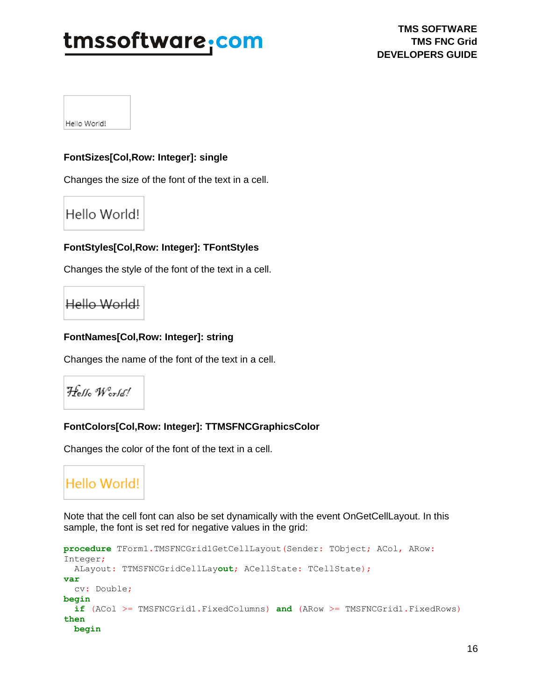Hello World!

### **FontSizes[Col,Row: Integer]: single**

Changes the size of the font of the text in a cell.

### Hello World!

### **FontStyles[Col,Row: Integer]: TFontStyles**

Changes the style of the font of the text in a cell.

### Hello World!

### **FontNames[Col,Row: Integer]: string**

Changes the name of the font of the text in a cell.

```
Hello World!
```
### **FontColors[Col,Row: Integer]: TTMSFNCGraphicsColor**

Changes the color of the font of the text in a cell.

### Hello World!

Note that the cell font can also be set dynamically with the event OnGetCellLayout. In this sample, the font is set red for negative values in the grid:

```
procedure TForm1.TMSFNCGrid1GetCellLayout(Sender: TObject; ACol, ARow: 
Integer;
  ALayout: TTMSFNCGridCellLayout; ACellState: TCellState);
var
   cv: Double;
begin
   if (ACol >= TMSFNCGrid1.FixedColumns) and (ARow >= TMSFNCGrid1.FixedRows) 
then
  begin
```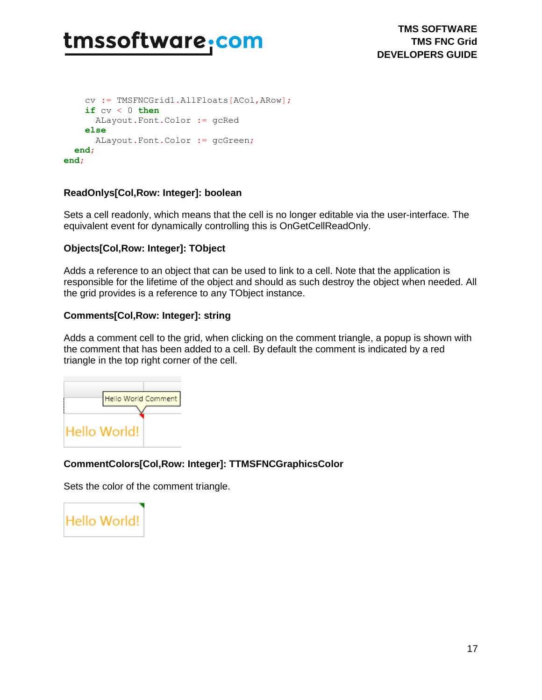```
 cv := TMSFNCGrid1.AllFloats[ACol,ARow];
     if cv < 0 then
      ALayout.Font.Color := gcRed
     else
       ALayout.Font.Color := gcGreen;
   end;
end;
```
### **ReadOnlys[Col,Row: Integer]: boolean**

Sets a cell readonly, which means that the cell is no longer editable via the user-interface. The equivalent event for dynamically controlling this is OnGetCellReadOnly.

### **Objects[Col,Row: Integer]: TObject**

Adds a reference to an object that can be used to link to a cell. Note that the application is responsible for the lifetime of the object and should as such destroy the object when needed. All the grid provides is a reference to any TObject instance.

### **Comments[Col,Row: Integer]: string**

Adds a comment cell to the grid, when clicking on the comment triangle, a popup is shown with the comment that has been added to a cell. By default the comment is indicated by a red triangle in the top right corner of the cell.



### **CommentColors[Col,Row: Integer]: TTMSFNCGraphicsColor**

Sets the color of the comment triangle.

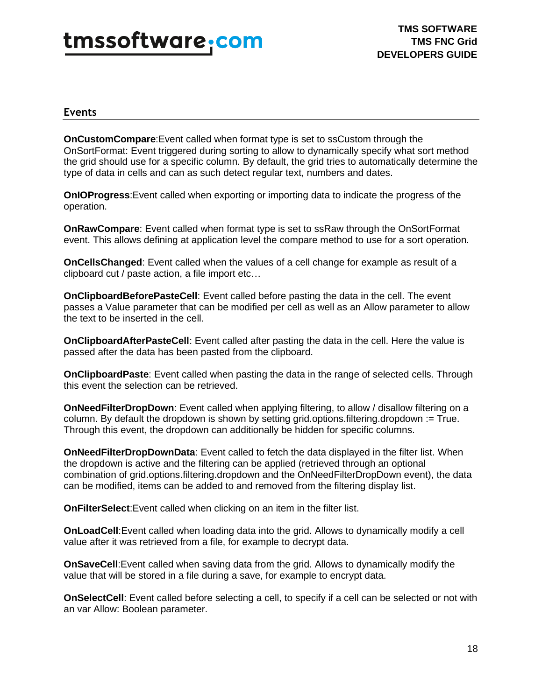## tmssoftware.<u>com</u>

### <span id="page-17-0"></span>**Events**

**OnCustomCompare**:Event called when format type is set to ssCustom through the OnSortFormat: Event triggered during sorting to allow to dynamically specify what sort method the grid should use for a specific column. By default, the grid tries to automatically determine the type of data in cells and can as such detect regular text, numbers and dates.

**OnIOProgress**:Event called when exporting or importing data to indicate the progress of the operation.

**OnRawCompare**: Event called when format type is set to ssRaw through the OnSortFormat event. This allows defining at application level the compare method to use for a sort operation.

**OnCellsChanged**: Event called when the values of a cell change for example as result of a clipboard cut / paste action, a file import etc…

**OnClipboardBeforePasteCell**: Event called before pasting the data in the cell. The event passes a Value parameter that can be modified per cell as well as an Allow parameter to allow the text to be inserted in the cell.

**OnClipboardAfterPasteCell**: Event called after pasting the data in the cell. Here the value is passed after the data has been pasted from the clipboard.

**OnClipboardPaste**: Event called when pasting the data in the range of selected cells. Through this event the selection can be retrieved.

**OnNeedFilterDropDown**: Event called when applying filtering, to allow / disallow filtering on a column. By default the dropdown is shown by setting grid.options.filtering.dropdown := True. Through this event, the dropdown can additionally be hidden for specific columns.

**OnNeedFilterDropDownData**: Event called to fetch the data displayed in the filter list. When the dropdown is active and the filtering can be applied (retrieved through an optional combination of grid.options.filtering.dropdown and the OnNeedFilterDropDown event), the data can be modified, items can be added to and removed from the filtering display list.

**OnFilterSelect:**Event called when clicking on an item in the filter list.

**OnLoadCell**:Event called when loading data into the grid. Allows to dynamically modify a cell value after it was retrieved from a file, for example to decrypt data.

**OnSaveCell**:Event called when saving data from the grid. Allows to dynamically modify the value that will be stored in a file during a save, for example to encrypt data.

**OnSelectCell**: Event called before selecting a cell, to specify if a cell can be selected or not with an var Allow: Boolean parameter.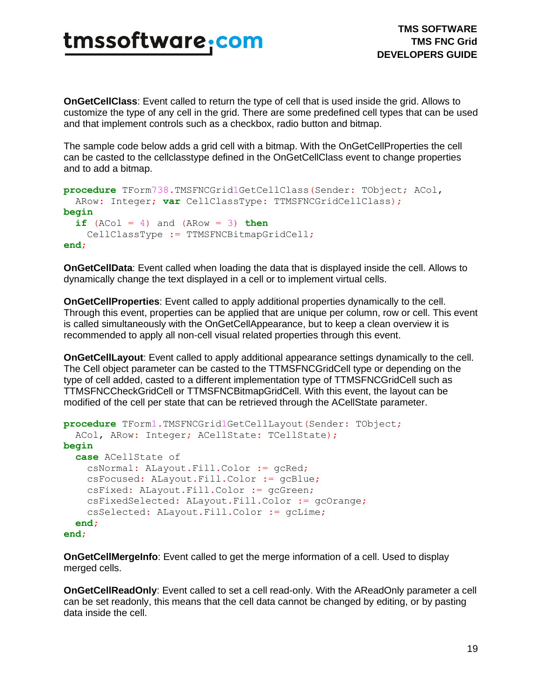**OnGetCellClass**: Event called to return the type of cell that is used inside the grid. Allows to customize the type of any cell in the grid. There are some predefined cell types that can be used and that implement controls such as a checkbox, radio button and bitmap.

The sample code below adds a grid cell with a bitmap. With the OnGetCellProperties the cell can be casted to the cellclasstype defined in the OnGetCellClass event to change properties and to add a bitmap.

```
procedure TForm738.TMSFNCGrid1GetCellClass(Sender: TObject; ACol,
  ARow: Integer; var CellClassType: TTMSFNCGridCellClass);
begin
  if (ACol = 4) and (ARow = 3) thenCellClassType := TTMSFNCBitmapGridCell;
end;
```
**OnGetCellData**: Event called when loading the data that is displayed inside the cell. Allows to dynamically change the text displayed in a cell or to implement virtual cells.

**OnGetCellProperties**: Event called to apply additional properties dynamically to the cell. Through this event, properties can be applied that are unique per column, row or cell. This event is called simultaneously with the OnGetCellAppearance, but to keep a clean overview it is recommended to apply all non-cell visual related properties through this event.

**OnGetCellLayout**: Event called to apply additional appearance settings dynamically to the cell. The Cell object parameter can be casted to the TTMSFNCGridCell type or depending on the type of cell added, casted to a different implementation type of TTMSFNCGridCell such as TTMSFNCCheckGridCell or TTMSFNCBitmapGridCell. With this event, the layout can be modified of the cell per state that can be retrieved through the ACellState parameter.

```
procedure TForm1.TMSFNCGrid1GetCellLayout(Sender: TObject;
   ACol, ARow: Integer; ACellState: TCellState);
begin
   case ACellState of
     csNormal: ALayout.Fill.Color := gcRed;
     csFocused: ALayout.Fill.Color := gcBlue;
     csFixed: ALayout.Fill.Color := gcGreen;
     csFixedSelected: ALayout.Fill.Color := gcOrange;
     csSelected: ALayout.Fill.Color := gcLime;
   end;
end;
```
**OnGetCellMergeInfo**: Event called to get the merge information of a cell. Used to display merged cells.

**OnGetCellReadOnly**: Event called to set a cell read-only. With the AReadOnly parameter a cell can be set readonly, this means that the cell data cannot be changed by editing, or by pasting data inside the cell.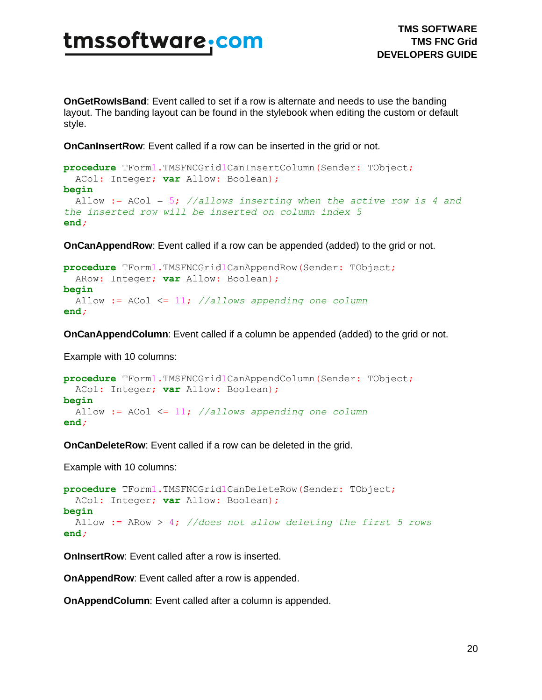**OnGetRowIsBand**: Event called to set if a row is alternate and needs to use the banding layout. The banding layout can be found in the stylebook when editing the custom or default style.

**OnCanInsertRow**: Event called if a row can be inserted in the grid or not.

```
procedure TForm1.TMSFNCGrid1CanInsertColumn(Sender: TObject;
  ACol: Integer; var Allow: Boolean);
begin
  Allow := ACol = 5; //allows inserting when the active row is 4 and 
the inserted row will be inserted on column index 5
end;
```
**OnCanAppendRow**: Event called if a row can be appended (added) to the grid or not.

```
procedure TForm1.TMSFNCGrid1CanAppendRow(Sender: TObject;
  ARow: Integer; var Allow: Boolean);
begin
  Allow := ACol <= 11; //allows appending one column
end;
```
**OnCanAppendColumn**: Event called if a column be appended (added) to the grid or not.

Example with 10 columns:

```
procedure TForm1.TMSFNCGrid1CanAppendColumn(Sender: TObject;
  ACol: Integer; var Allow: Boolean);
begin
  Allow := ACol <= 11; //allows appending one column
end;
```
**OnCanDeleteRow**: Event called if a row can be deleted in the grid.

Example with 10 columns:

```
procedure TForm1.TMSFNCGrid1CanDeleteRow(Sender: TObject;
  ACol: Integer; var Allow: Boolean);
begin
  Allow := ARow > 4; //does not allow deleting the first 5 rows
end;
```
**OnInsertRow:** Event called after a row is inserted.

**OnAppendRow**: Event called after a row is appended.

**OnAppendColumn**: Event called after a column is appended.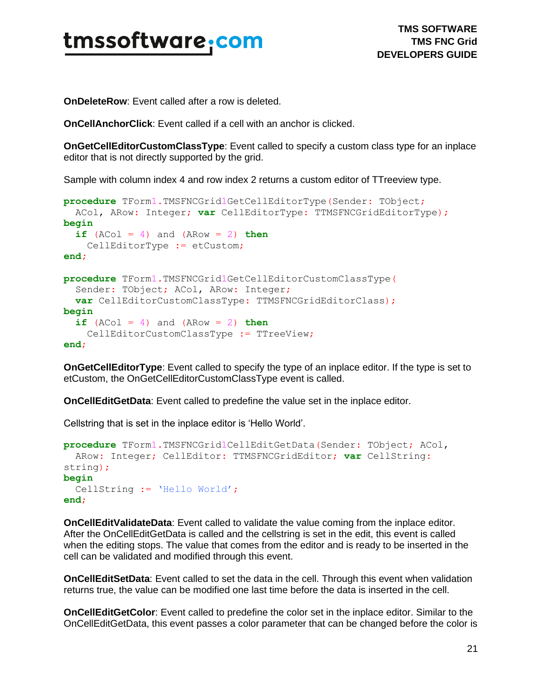

**OnDeleteRow**: Event called after a row is deleted.

**OnCellAnchorClick**: Event called if a cell with an anchor is clicked.

**OnGetCellEditorCustomClassType**: Event called to specify a custom class type for an inplace editor that is not directly supported by the grid.

Sample with column index 4 and row index 2 returns a custom editor of TTreeview type.

```
procedure TForm1.TMSFNCGrid1GetCellEditorType(Sender: TObject;
  ACol, ARow: Integer; var CellEditorType: TTMSFNCGridEditorType);
begin
 if (ACol = 4) and (ARow = 2) then CellEditorType := etCustom;
end;
procedure TForm1.TMSFNCGrid1GetCellEditorCustomClassType(
   Sender: TObject; ACol, ARow: Integer;
  var CellEditorCustomClassType: TTMSFNCGridEditorClass);
begin
  if (ACol = 4) and (ARow = 2) thenCellEditorCustomClassType := TTreeView;
end;
```
**OnGetCellEditorType**: Event called to specify the type of an inplace editor. If the type is set to etCustom, the OnGetCellEditorCustomClassType event is called.

**OnCellEditGetData**: Event called to predefine the value set in the inplace editor.

Cellstring that is set in the inplace editor is 'Hello World'.

```
procedure TForm1.TMSFNCGrid1CellEditGetData(Sender: TObject; ACol,
  ARow: Integer; CellEditor: TTMSFNCGridEditor; var CellString:
string);
begin
  CellString := 'Hello World';
end;
```
**OnCellEditValidateData**: Event called to validate the value coming from the inplace editor. After the OnCellEditGetData is called and the cellstring is set in the edit, this event is called when the editing stops. The value that comes from the editor and is ready to be inserted in the cell can be validated and modified through this event.

**OnCellEditSetData**: Event called to set the data in the cell. Through this event when validation returns true, the value can be modified one last time before the data is inserted in the cell.

**OnCellEditGetColor**: Event called to predefine the color set in the inplace editor. Similar to the OnCellEditGetData, this event passes a color parameter that can be changed before the color is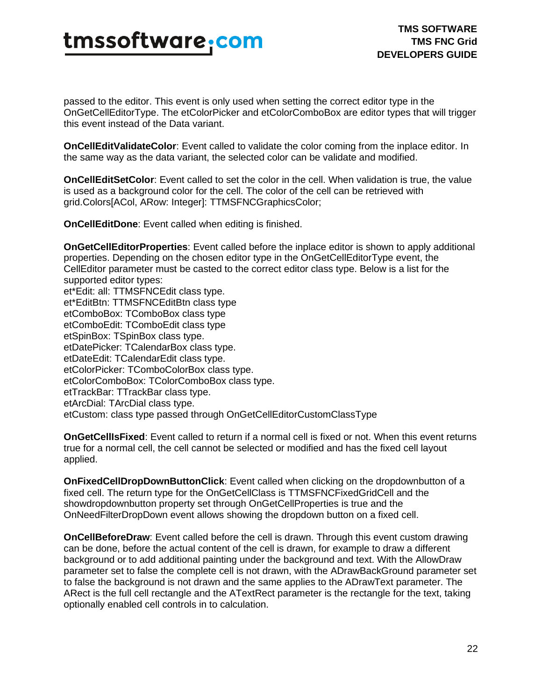passed to the editor. This event is only used when setting the correct editor type in the OnGetCellEditorType. The etColorPicker and etColorComboBox are editor types that will trigger this event instead of the Data variant.

**OnCellEditValidateColor**: Event called to validate the color coming from the inplace editor. In the same way as the data variant, the selected color can be validate and modified.

**OnCellEditSetColor**: Event called to set the color in the cell. When validation is true, the value is used as a background color for the cell. The color of the cell can be retrieved with grid.Colors[ACol, ARow: Integer]: TTMSFNCGraphicsColor;

**OnCellEditDone**: Event called when editing is finished.

**OnGetCellEditorProperties**: Event called before the inplace editor is shown to apply additional properties. Depending on the chosen editor type in the OnGetCellEditorType event, the CellEditor parameter must be casted to the correct editor class type. Below is a list for the supported editor types: et\*Edit: all: TTMSFNCEdit class type.

et\*EditBtn: TTMSFNCEditBtn class type etComboBox: TComboBox class type etComboEdit: TComboEdit class type etSpinBox: TSpinBox class type. etDatePicker: TCalendarBox class type. etDateEdit: TCalendarEdit class type. etColorPicker: TComboColorBox class type. etColorComboBox: TColorComboBox class type. etTrackBar: TTrackBar class type. etArcDial: TArcDial class type. etCustom: class type passed through OnGetCellEditorCustomClassType

**OnGetCellIsFixed**: Event called to return if a normal cell is fixed or not. When this event returns true for a normal cell, the cell cannot be selected or modified and has the fixed cell layout applied.

**OnFixedCellDropDownButtonClick**: Event called when clicking on the dropdownbutton of a fixed cell. The return type for the OnGetCellClass is TTMSFNCFixedGridCell and the showdropdownbutton property set through OnGetCellProperties is true and the OnNeedFilterDropDown event allows showing the dropdown button on a fixed cell.

**OnCellBeforeDraw**: Event called before the cell is drawn. Through this event custom drawing can be done, before the actual content of the cell is drawn, for example to draw a different background or to add additional painting under the background and text. With the AllowDraw parameter set to false the complete cell is not drawn, with the ADrawBackGround parameter set to false the background is not drawn and the same applies to the ADrawText parameter. The ARect is the full cell rectangle and the ATextRect parameter is the rectangle for the text, taking optionally enabled cell controls in to calculation.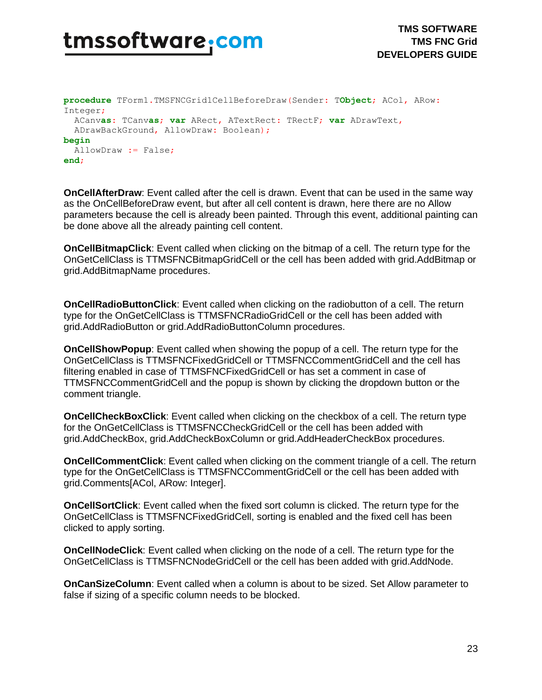

```
procedure TForm1.TMSFNCGrid1CellBeforeDraw(Sender: TObject; ACol, ARow: 
Integer;
  ACanvas: TCanvas; var ARect, ATextRect: TRectF; var ADrawText,
   ADrawBackGround, AllowDraw: Boolean);
begin
  AllowDraw := False;
end;
```
**OnCellAfterDraw**: Event called after the cell is drawn. Event that can be used in the same way as the OnCellBeforeDraw event, but after all cell content is drawn, here there are no Allow parameters because the cell is already been painted. Through this event, additional painting can be done above all the already painting cell content.

**OnCellBitmapClick**: Event called when clicking on the bitmap of a cell. The return type for the OnGetCellClass is TTMSFNCBitmapGridCell or the cell has been added with grid.AddBitmap or grid.AddBitmapName procedures.

**OnCellRadioButtonClick**: Event called when clicking on the radiobutton of a cell. The return type for the OnGetCellClass is TTMSFNCRadioGridCell or the cell has been added with grid.AddRadioButton or grid.AddRadioButtonColumn procedures.

**OnCellShowPopup**: Event called when showing the popup of a cell. The return type for the OnGetCellClass is TTMSFNCFixedGridCell or TTMSFNCCommentGridCell and the cell has filtering enabled in case of TTMSFNCFixedGridCell or has set a comment in case of TTMSFNCCommentGridCell and the popup is shown by clicking the dropdown button or the comment triangle.

**OnCellCheckBoxClick**: Event called when clicking on the checkbox of a cell. The return type for the OnGetCellClass is TTMSFNCCheckGridCell or the cell has been added with grid.AddCheckBox, grid.AddCheckBoxColumn or grid.AddHeaderCheckBox procedures.

**OnCellCommentClick**: Event called when clicking on the comment triangle of a cell. The return type for the OnGetCellClass is TTMSFNCCommentGridCell or the cell has been added with grid.Comments[ACol, ARow: Integer].

**OnCellSortClick**: Event called when the fixed sort column is clicked. The return type for the OnGetCellClass is TTMSFNCFixedGridCell, sorting is enabled and the fixed cell has been clicked to apply sorting.

**OnCellNodeClick**: Event called when clicking on the node of a cell. The return type for the OnGetCellClass is TTMSFNCNodeGridCell or the cell has been added with grid.AddNode.

**OnCanSizeColumn**: Event called when a column is about to be sized. Set Allow parameter to false if sizing of a specific column needs to be blocked.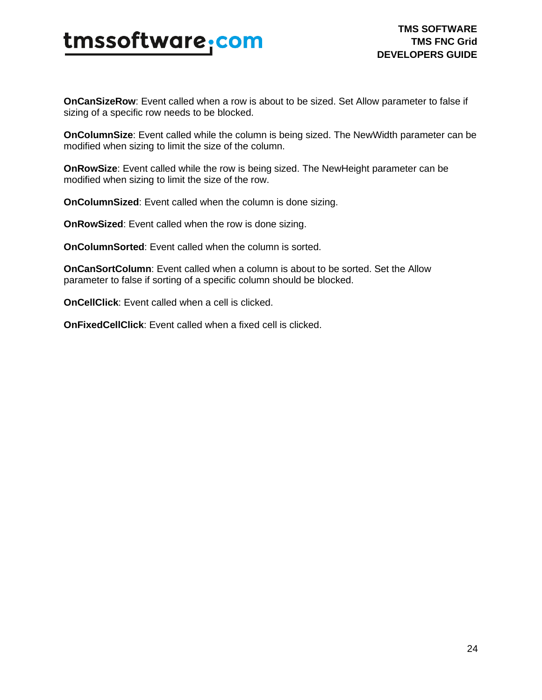**OnCanSizeRow**: Event called when a row is about to be sized. Set Allow parameter to false if sizing of a specific row needs to be blocked.

**OnColumnSize**: Event called while the column is being sized. The NewWidth parameter can be modified when sizing to limit the size of the column.

**OnRowSize**: Event called while the row is being sized. The NewHeight parameter can be modified when sizing to limit the size of the row.

**OnColumnSized**: Event called when the column is done sizing.

**OnRowSized**: Event called when the row is done sizing.

**OnColumnSorted**: Event called when the column is sorted.

**OnCanSortColumn**: Event called when a column is about to be sorted. Set the Allow parameter to false if sorting of a specific column should be blocked.

**OnCellClick**: Event called when a cell is clicked.

**OnFixedCellClick**: Event called when a fixed cell is clicked.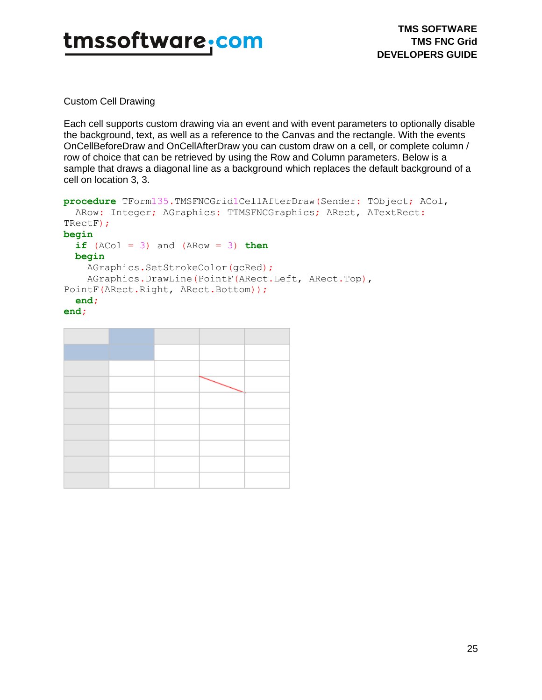Custom Cell Drawing

Each cell supports custom drawing via an event and with event parameters to optionally disable the background, text, as well as a reference to the Canvas and the rectangle. With the events OnCellBeforeDraw and OnCellAfterDraw you can custom draw on a cell, or complete column / row of choice that can be retrieved by using the Row and Column parameters. Below is a sample that draws a diagonal line as a background which replaces the default background of a cell on location 3, 3.

```
procedure TForm135.TMSFNCGrid1CellAfterDraw(Sender: TObject; ACol,
 ARow: Integer; AGraphics: TTMSFNCGraphics; ARect, ATextRect:
TRectF);
begin
 if (ACol = 3) and (ARow = 3) then begin
     AGraphics.SetStrokeColor(gcRed);
    AGraphics.DrawLine(PointF(ARect.Left, ARect.Top), 
PointF(ARect.Right, ARect.Bottom));
  end;
end;
```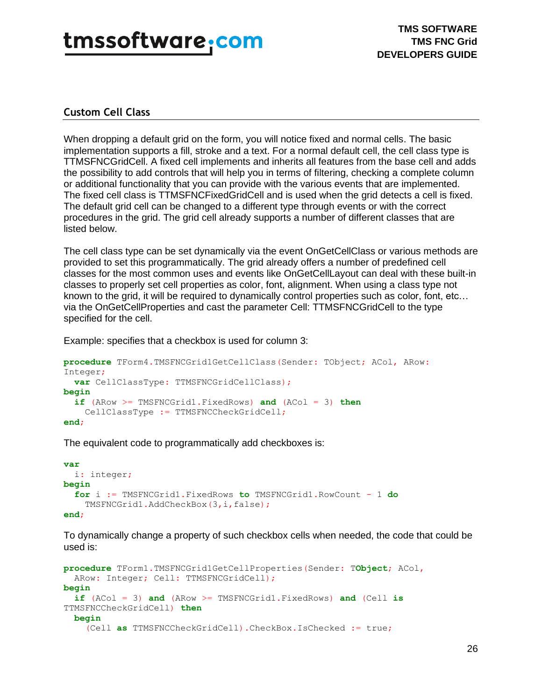### <span id="page-25-0"></span>**Custom Cell Class**

When dropping a default grid on the form, you will notice fixed and normal cells. The basic implementation supports a fill, stroke and a text. For a normal default cell, the cell class type is TTMSFNCGridCell. A fixed cell implements and inherits all features from the base cell and adds the possibility to add controls that will help you in terms of filtering, checking a complete column or additional functionality that you can provide with the various events that are implemented. The fixed cell class is TTMSFNCFixedGridCell and is used when the grid detects a cell is fixed. The default grid cell can be changed to a different type through events or with the correct procedures in the grid. The grid cell already supports a number of different classes that are listed below.

The cell class type can be set dynamically via the event OnGetCellClass or various methods are provided to set this programmatically. The grid already offers a number of predefined cell classes for the most common uses and events like OnGetCellLayout can deal with these built-in classes to properly set cell properties as color, font, alignment. When using a class type not known to the grid, it will be required to dynamically control properties such as color, font, etc… via the OnGetCellProperties and cast the parameter Cell: TTMSFNCGridCell to the type specified for the cell.

Example: specifies that a checkbox is used for column 3:

```
procedure TForm4.TMSFNCGrid1GetCellClass(Sender: TObject; ACol, ARow: 
Integer;
   var CellClassType: TTMSFNCGridCellClass);
begin
   if (ARow >= TMSFNCGrid1.FixedRows) and (ACol = 3) then
     CellClassType := TTMSFNCCheckGridCell;
end;
```
The equivalent code to programmatically add checkboxes is:

```
var
   i: integer;
begin
   for i := TMSFNCGrid1.FixedRows to TMSFNCGrid1.RowCount - 1 do
     TMSFNCGrid1.AddCheckBox(3,i,false);
end;
```
To dynamically change a property of such checkbox cells when needed, the code that could be used is:

```
procedure TForm1.TMSFNCGrid1GetCellProperties(Sender: TObject; ACol,
 ARow: Integer; Cell: TTMSFNCGridCell);
begin
   if (ACol = 3) and (ARow >= TMSFNCGrid1.FixedRows) and (Cell is
TTMSFNCCheckGridCell) then
  begin
     (Cell as TTMSFNCCheckGridCell).CheckBox.IsChecked := true;
```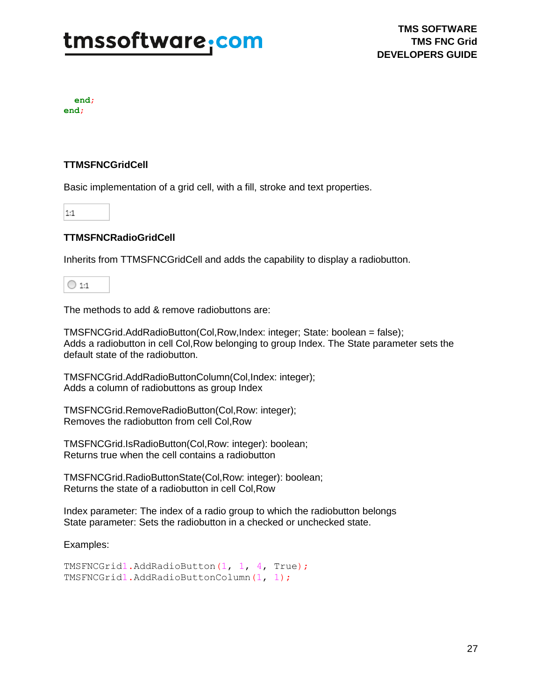**end**; **end**;

### **TTMSFNCGridCell**

Basic implementation of a grid cell, with a fill, stroke and text properties.

 $1:1$ 

### **TTMSFNCRadioGridCell**

Inherits from TTMSFNCGridCell and adds the capability to display a radiobutton.

 $\bigcirc$  1:1

The methods to add & remove radiobuttons are:

TMSFNCGrid.AddRadioButton(Col,Row,Index: integer; State: boolean = false); Adds a radiobutton in cell Col,Row belonging to group Index. The State parameter sets the default state of the radiobutton.

TMSFNCGrid.AddRadioButtonColumn(Col,Index: integer); Adds a column of radiobuttons as group Index

TMSFNCGrid.RemoveRadioButton(Col,Row: integer); Removes the radiobutton from cell Col,Row

TMSFNCGrid.IsRadioButton(Col,Row: integer): boolean; Returns true when the cell contains a radiobutton

TMSFNCGrid.RadioButtonState(Col,Row: integer): boolean; Returns the state of a radiobutton in cell Col,Row

Index parameter: The index of a radio group to which the radiobutton belongs State parameter: Sets the radiobutton in a checked or unchecked state.

Examples:

```
TMSFNCGrid1.AddRadioButton(1, 1, 4, True);
TMSFNCGrid1.AddRadioButtonColumn(1, 1);
```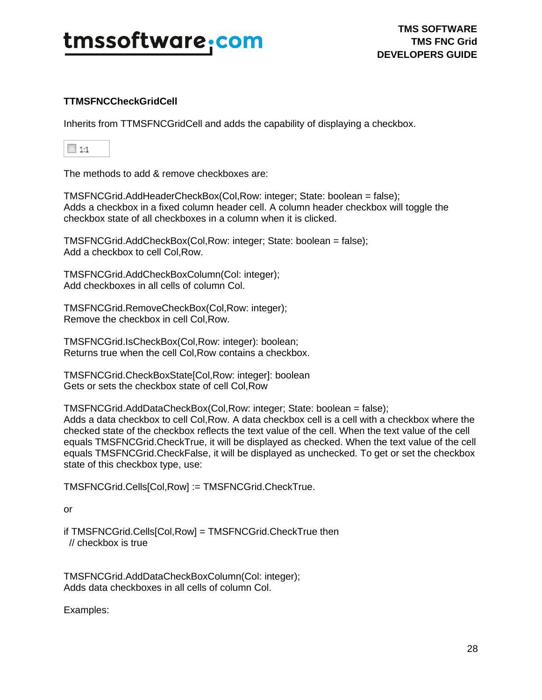### **TTMSFNCCheckGridCell**

Inherits from TTMSFNCGridCell and adds the capability of displaying a checkbox.

The methods to add & remove checkboxes are:

TMSFNCGrid.AddHeaderCheckBox(Col,Row: integer; State: boolean = false); Adds a checkbox in a fixed column header cell. A column header checkbox will toggle the checkbox state of all checkboxes in a column when it is clicked.

TMSFNCGrid.AddCheckBox(Col,Row: integer; State: boolean = false); Add a checkbox to cell Col,Row.

TMSFNCGrid.AddCheckBoxColumn(Col: integer); Add checkboxes in all cells of column Col.

TMSFNCGrid.RemoveCheckBox(Col,Row: integer); Remove the checkbox in cell Col,Row.

TMSFNCGrid.IsCheckBox(Col,Row: integer): boolean; Returns true when the cell Col,Row contains a checkbox.

TMSFNCGrid.CheckBoxState[Col,Row: integer]: boolean Gets or sets the checkbox state of cell Col,Row

TMSFNCGrid.AddDataCheckBox(Col,Row: integer; State: boolean = false); Adds a data checkbox to cell Col,Row. A data checkbox cell is a cell with a checkbox where the checked state of the checkbox reflects the text value of the cell. When the text value of the cell equals TMSFNCGrid.CheckTrue, it will be displayed as checked. When the text value of the cell equals TMSFNCGrid.CheckFalse, it will be displayed as unchecked. To get or set the checkbox state of this checkbox type, use:

TMSFNCGrid.Cells[Col,Row] := TMSFNCGrid.CheckTrue.

or

if TMSFNCGrid.Cells[Col,Row] = TMSFNCGrid.CheckTrue then // checkbox is true

TMSFNCGrid.AddDataCheckBoxColumn(Col: integer); Adds data checkboxes in all cells of column Col.

Examples: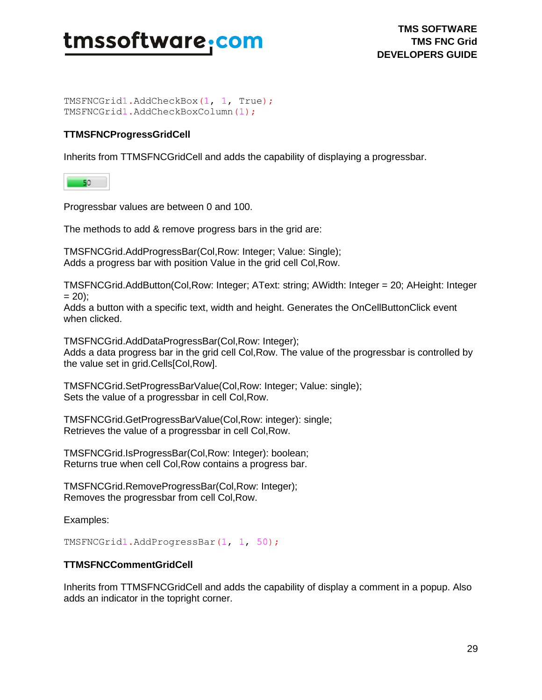TMSFNCGrid1.AddCheckBox(1, 1, True); TMSFNCGrid1.AddCheckBoxColumn(1);

### **TTMSFNCProgressGridCell**

Inherits from TTMSFNCGridCell and adds the capability of displaying a progressbar.

 $-50$ 

Progressbar values are between 0 and 100.

The methods to add & remove progress bars in the grid are:

TMSFNCGrid.AddProgressBar(Col,Row: Integer; Value: Single); Adds a progress bar with position Value in the grid cell Col,Row.

TMSFNCGrid.AddButton(Col,Row: Integer; AText: string; AWidth: Integer = 20; AHeight: Integer  $= 20$ :

Adds a button with a specific text, width and height. Generates the OnCellButtonClick event when clicked.

TMSFNCGrid.AddDataProgressBar(Col,Row: Integer); Adds a data progress bar in the grid cell Col,Row. The value of the progressbar is controlled by the value set in grid.Cells[Col,Row].

TMSFNCGrid.SetProgressBarValue(Col,Row: Integer; Value: single); Sets the value of a progressbar in cell Col,Row.

TMSFNCGrid.GetProgressBarValue(Col,Row: integer): single; Retrieves the value of a progressbar in cell Col,Row.

TMSFNCGrid.IsProgressBar(Col,Row: Integer): boolean; Returns true when cell Col,Row contains a progress bar.

TMSFNCGrid.RemoveProgressBar(Col,Row: Integer); Removes the progressbar from cell Col,Row.

Examples:

TMSFNCGrid1.AddProgressBar(1, 1, 50);

### **TTMSFNCCommentGridCell**

Inherits from TTMSFNCGridCell and adds the capability of display a comment in a popup. Also adds an indicator in the topright corner.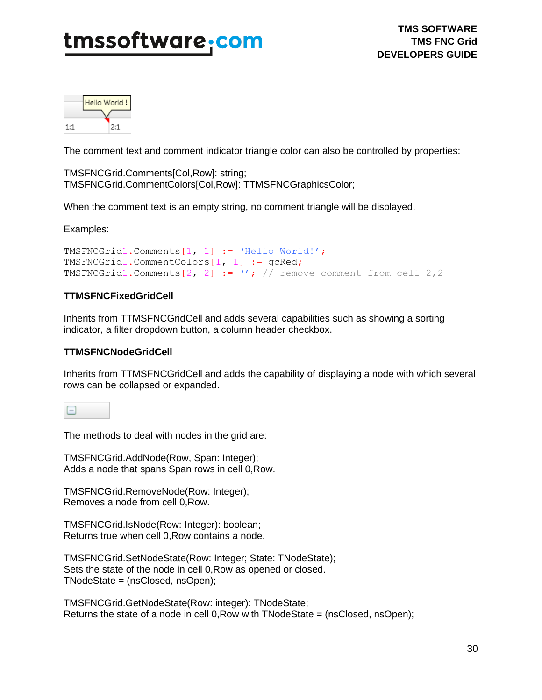

The comment text and comment indicator triangle color can also be controlled by properties:

TMSFNCGrid.Comments[Col,Row]: string; TMSFNCGrid.CommentColors[Col,Row]: TTMSFNCGraphicsColor;

When the comment text is an empty string, no comment triangle will be displayed.

Examples:

```
TMSFNCGrid1.Comments[1, 1] := 'Hello World!';
TMSFNCGrid1.CommentColors[1, 1] := gcRed;
TMSFNCGrid1.Comments[2, 2] := '; // remove comment from cell 2,2
```
### **TTMSFNCFixedGridCell**

Inherits from TTMSFNCGridCell and adds several capabilities such as showing a sorting indicator, a filter dropdown button, a column header checkbox.

### **TTMSFNCNodeGridCell**

Inherits from TTMSFNCGridCell and adds the capability of displaying a node with which several rows can be collapsed or expanded.

The methods to deal with nodes in the grid are:

TMSFNCGrid.AddNode(Row, Span: Integer); Adds a node that spans Span rows in cell 0,Row.

TMSFNCGrid.RemoveNode(Row: Integer); Removes a node from cell 0,Row.

TMSFNCGrid.IsNode(Row: Integer): boolean; Returns true when cell 0,Row contains a node.

TMSFNCGrid.SetNodeState(Row: Integer; State: TNodeState); Sets the state of the node in cell 0,Row as opened or closed. TNodeState = (nsClosed, nsOpen);

TMSFNCGrid.GetNodeState(Row: integer): TNodeState; Returns the state of a node in cell 0,Row with TNodeState = (nsClosed, nsOpen);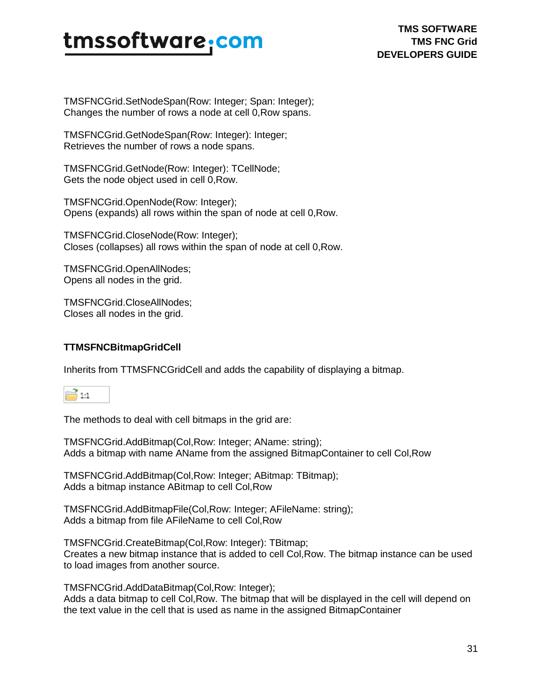TMSFNCGrid.SetNodeSpan(Row: Integer; Span: Integer); Changes the number of rows a node at cell 0,Row spans.

TMSFNCGrid.GetNodeSpan(Row: Integer): Integer; Retrieves the number of rows a node spans.

TMSFNCGrid.GetNode(Row: Integer): TCellNode; Gets the node object used in cell 0,Row.

TMSFNCGrid.OpenNode(Row: Integer); Opens (expands) all rows within the span of node at cell 0,Row.

TMSFNCGrid.CloseNode(Row: Integer); Closes (collapses) all rows within the span of node at cell 0,Row.

TMSFNCGrid.OpenAllNodes; Opens all nodes in the grid.

TMSFNCGrid.CloseAllNodes; Closes all nodes in the grid.

### **TTMSFNCBitmapGridCell**

Inherits from TTMSFNCGridCell and adds the capability of displaying a bitmap.



The methods to deal with cell bitmaps in the grid are:

TMSFNCGrid.AddBitmap(Col,Row: Integer; AName: string); Adds a bitmap with name AName from the assigned BitmapContainer to cell Col,Row

TMSFNCGrid.AddBitmap(Col,Row: Integer; ABitmap: TBitmap); Adds a bitmap instance ABitmap to cell Col,Row

TMSFNCGrid.AddBitmapFile(Col,Row: Integer; AFileName: string); Adds a bitmap from file AFileName to cell Col,Row

TMSFNCGrid.CreateBitmap(Col,Row: Integer): TBitmap; Creates a new bitmap instance that is added to cell Col,Row. The bitmap instance can be used to load images from another source.

TMSFNCGrid.AddDataBitmap(Col,Row: Integer);

Adds a data bitmap to cell Col,Row. The bitmap that will be displayed in the cell will depend on the text value in the cell that is used as name in the assigned BitmapContainer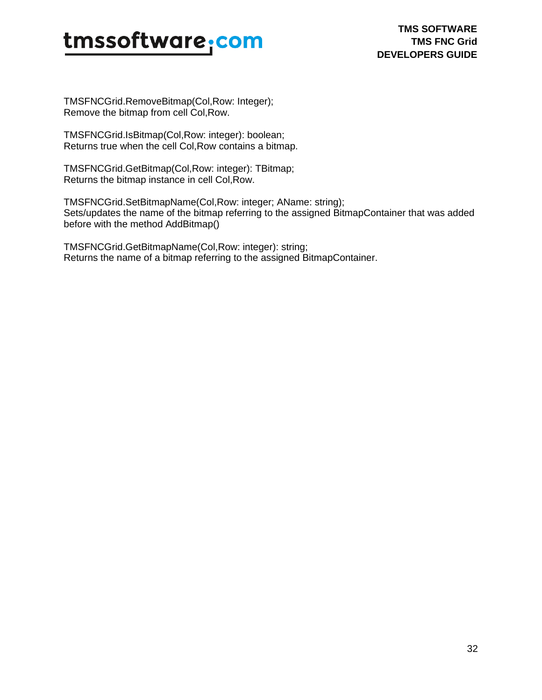TMSFNCGrid.RemoveBitmap(Col,Row: Integer); Remove the bitmap from cell Col,Row.

TMSFNCGrid.IsBitmap(Col,Row: integer): boolean; Returns true when the cell Col,Row contains a bitmap.

TMSFNCGrid.GetBitmap(Col,Row: integer): TBitmap; Returns the bitmap instance in cell Col,Row.

TMSFNCGrid.SetBitmapName(Col,Row: integer; AName: string); Sets/updates the name of the bitmap referring to the assigned BitmapContainer that was added before with the method AddBitmap()

TMSFNCGrid.GetBitmapName(Col,Row: integer): string; Returns the name of a bitmap referring to the assigned BitmapContainer.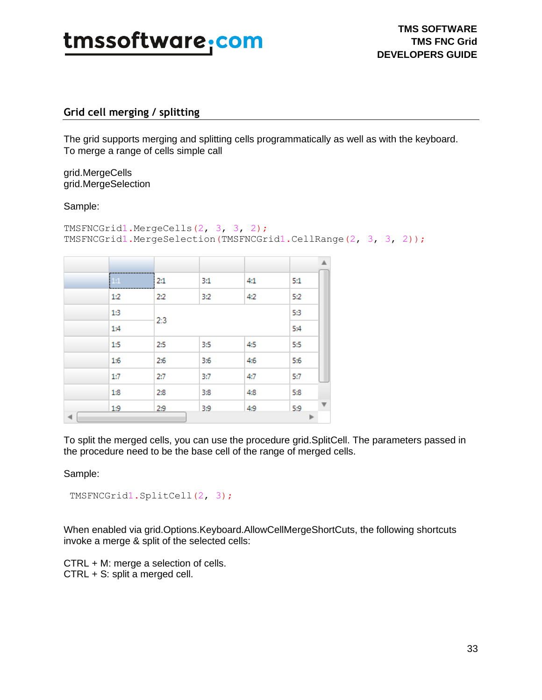

### <span id="page-32-0"></span>**Grid cell merging / splitting**

The grid supports merging and splitting cells programmatically as well as with the keyboard. To merge a range of cells simple call

grid.MergeCells grid.MergeSelection

### Sample:

```
TMSFNCGrid1.MergeCells(2, 3, 3, 2);
TMSFNCGrid1.MergeSelection(TMSFNCGrid1.CellRange(2, 3, 3, 2));
```

|   |     |     |     |     |     | ▲                       |
|---|-----|-----|-----|-----|-----|-------------------------|
|   | 1:1 | 2:1 | 3:1 | 4:1 | 5:1 |                         |
|   | 1:2 | 2:2 | 3:2 | 4:2 | 5:2 |                         |
|   | 13  | 2:3 |     |     | 53  |                         |
|   | 1:4 |     |     |     | 5:4 |                         |
|   | 1:5 | 2:5 | 3:5 | 4:5 | 5:5 |                         |
|   | 1:6 | 2:6 | 3:6 | 4:6 | 5:6 |                         |
|   | 1:7 | 2:7 | 3:7 | 4:7 | 5:7 |                         |
|   | 1:8 | 2:8 | 3:8 | 4:8 | 5:8 |                         |
|   | 1:9 | 2:9 | 3:9 | 4:9 | 5:9 | $\overline{\mathbf{v}}$ |
| 4 |     |     |     |     |     |                         |

To split the merged cells, you can use the procedure grid.SplitCell. The parameters passed in the procedure need to be the base cell of the range of merged cells.

Sample:

```
TMSFNCGrid1.SplitCell(2, 3);
```
When enabled via grid.Options.Keyboard.AllowCellMergeShortCuts, the following shortcuts invoke a merge & split of the selected cells:

CTRL + M: merge a selection of cells. CTRL + S: split a merged cell.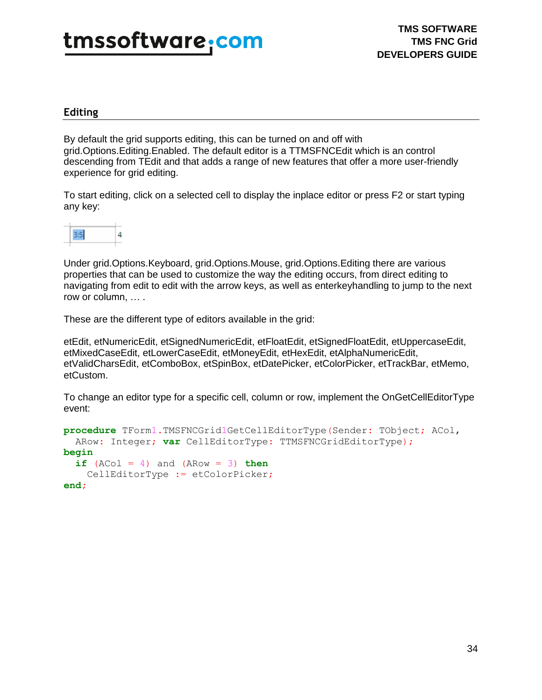### <span id="page-33-0"></span>**Editing**

By default the grid supports editing, this can be turned on and off with grid.Options.Editing.Enabled. The default editor is a TTMSFNCEdit which is an control descending from TEdit and that adds a range of new features that offer a more user-friendly experience for grid editing.

To start editing, click on a selected cell to display the inplace editor or press F2 or start typing any key:



Under grid.Options.Keyboard, grid.Options.Mouse, grid.Options.Editing there are various properties that can be used to customize the way the editing occurs, from direct editing to navigating from edit to edit with the arrow keys, as well as enterkeyhandling to jump to the next row or column, … .

These are the different type of editors available in the grid:

etEdit, etNumericEdit, etSignedNumericEdit, etFloatEdit, etSignedFloatEdit, etUppercaseEdit, etMixedCaseEdit, etLowerCaseEdit, etMoneyEdit, etHexEdit, etAlphaNumericEdit, etValidCharsEdit, etComboBox, etSpinBox, etDatePicker, etColorPicker, etTrackBar, etMemo, etCustom.

To change an editor type for a specific cell, column or row, implement the OnGetCellEditorType event:

```
procedure TForm1.TMSFNCGrid1GetCellEditorType(Sender: TObject; ACol,
  ARow: Integer; var CellEditorType: TTMSFNCGridEditorType);
begin
  if (ACol = 4) and (ARow = 3) then CellEditorType := etColorPicker;
end;
```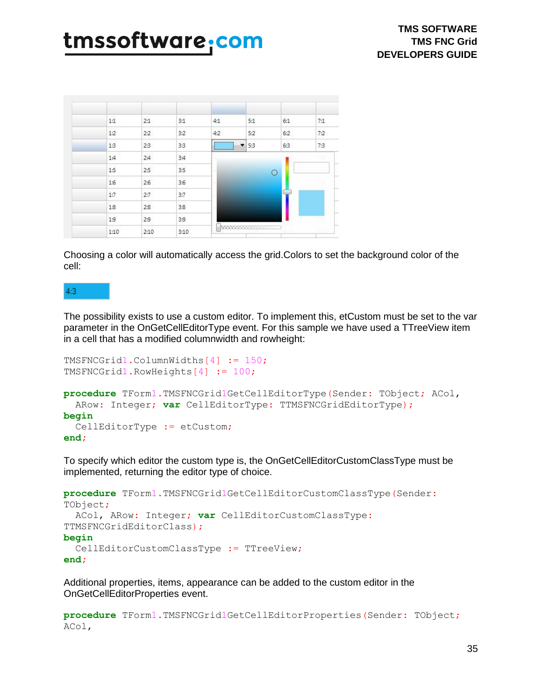| 1:1 | 2:1 | 3:1               | 4:1 | 5:1 | 6:1     | 7:1 |
|-----|-----|-------------------|-----|-----|---------|-----|
| 1:2 | 2:2 | 3:2               | 4:2 | 5:2 | 6:2     | 7:2 |
| 1:3 | 2:3 | 3:3               |     | 5:3 | 6:3     | 7:3 |
| 1:4 | 2:4 | $\overline{3}$ :4 |     |     |         | s.  |
| 1:5 | 2:5 | 3:5               |     |     | $\circ$ |     |
| 1:6 | 2:6 | 3:6               |     |     |         |     |
| 1:7 | 2:7 | 3:7               |     |     |         |     |
|     | 2:8 | 3:8               |     |     |         |     |
| 1:8 |     |                   |     |     |         |     |
| 1:9 | 2:9 | 3:9               |     |     |         |     |

Choosing a color will automatically access the grid.Colors to set the background color of the cell:

### $4:3$

The possibility exists to use a custom editor. To implement this, etCustom must be set to the var parameter in the OnGetCellEditorType event. For this sample we have used a TTreeView item in a cell that has a modified columnwidth and rowheight:

```
TMSFNCGrid1.ColumnWidths[4] := 150;
TMSFNCGrid1.RowHeights[4] := 100;
procedure TForm1.TMSFNCGrid1GetCellEditorType(Sender: TObject; ACol,
  ARow: Integer; var CellEditorType: TTMSFNCGridEditorType);
begin
   CellEditorType := etCustom;
end;
```
To specify which editor the custom type is, the OnGetCellEditorCustomClassType must be implemented, returning the editor type of choice.

```
procedure TForm1.TMSFNCGrid1GetCellEditorCustomClassType(Sender:
TObject;
  ACol, ARow: Integer; var CellEditorCustomClassType:
TTMSFNCGridEditorClass);
begin
  CellEditorCustomClassType := TTreeView;
end;
```
Additional properties, items, appearance can be added to the custom editor in the OnGetCellEditorProperties event.

**procedure** TForm1.TMSFNCGrid1GetCellEditorProperties(Sender: TObject; ACol,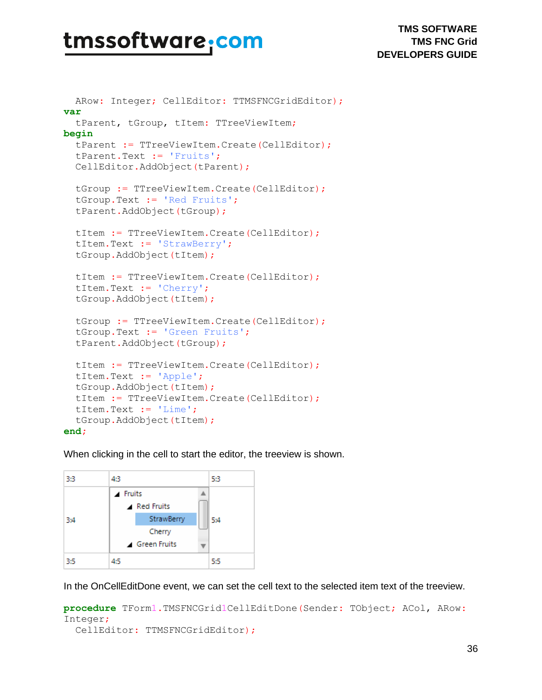**TMS SOFTWARE TMS FNC Grid DEVELOPERS GUIDE**

```
ARow: Integer; CellEditor: TTMSFNCGridEditor);
var
   tParent, tGroup, tItem: TTreeViewItem;
begin
   tParent := TTreeViewItem.Create(CellEditor);
   tParent.Text := 'Fruits';
   CellEditor.AddObject(tParent);
   tGroup := TTreeViewItem.Create(CellEditor);
   tGroup.Text := 'Red Fruits';
   tParent.AddObject(tGroup);
   tItem := TTreeViewItem.Create(CellEditor);
   tItem.Text := 'StrawBerry';
   tGroup.AddObject(tItem);
   tItem := TTreeViewItem.Create(CellEditor);
   tItem.Text := 'Cherry';
   tGroup.AddObject(tItem);
   tGroup := TTreeViewItem.Create(CellEditor);
   tGroup.Text := 'Green Fruits';
   tParent.AddObject(tGroup);
   tItem := TTreeViewItem.Create(CellEditor);
  tItem.Text := 'Apple';
   tGroup.AddObject(tItem);
   tItem := TTreeViewItem.Create(CellEditor);
   tItem.Text := 'Lime';
   tGroup.AddObject(tItem);
```
#### **end;**

When clicking in the cell to start the editor, the treeview is shown.



In the OnCellEditDone event, we can set the cell text to the selected item text of the treeview.

```
procedure TForm1.TMSFNCGrid1CellEditDone(Sender: TObject; ACol, ARow:
Integer;
   CellEditor: TTMSFNCGridEditor);
```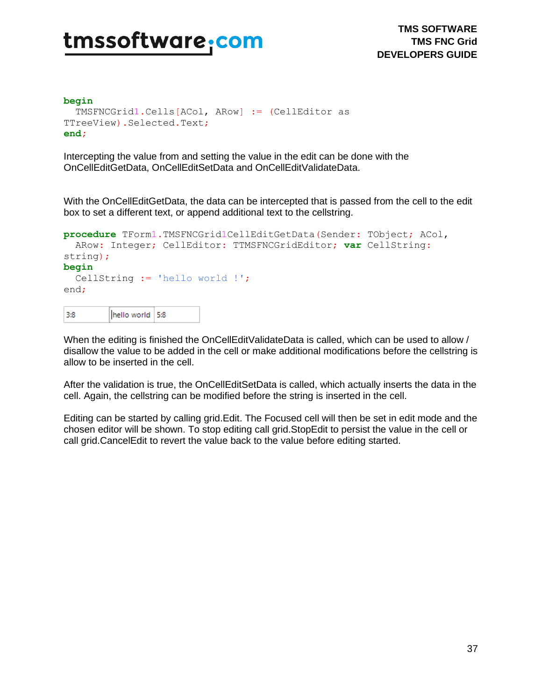#### **begin**

```
 TMSFNCGrid1.Cells[ACol, ARow] := (CellEditor as 
TTreeView).Selected.Text;
end;
```
Intercepting the value from and setting the value in the edit can be done with the OnCellEditGetData, OnCellEditSetData and OnCellEditValidateData.

With the OnCellEditGetData, the data can be intercepted that is passed from the cell to the edit box to set a different text, or append additional text to the cellstring.

```
procedure TForm1.TMSFNCGrid1CellEditGetData(Sender: TObject; ACol,
  ARow: Integer; CellEditor: TTMSFNCGridEditor; var CellString:
string);
begin
  CellString := 'hello world !';
end;
```

| -3:8 | hello world 5:8 |  |
|------|-----------------|--|
|------|-----------------|--|

When the editing is finished the OnCellEditValidateData is called, which can be used to allow / disallow the value to be added in the cell or make additional modifications before the cellstring is allow to be inserted in the cell.

After the validation is true, the OnCellEditSetData is called, which actually inserts the data in the cell. Again, the cellstring can be modified before the string is inserted in the cell.

Editing can be started by calling grid.Edit. The Focused cell will then be set in edit mode and the chosen editor will be shown. To stop editing call grid.StopEdit to persist the value in the cell or call grid.CancelEdit to revert the value back to the value before editing started.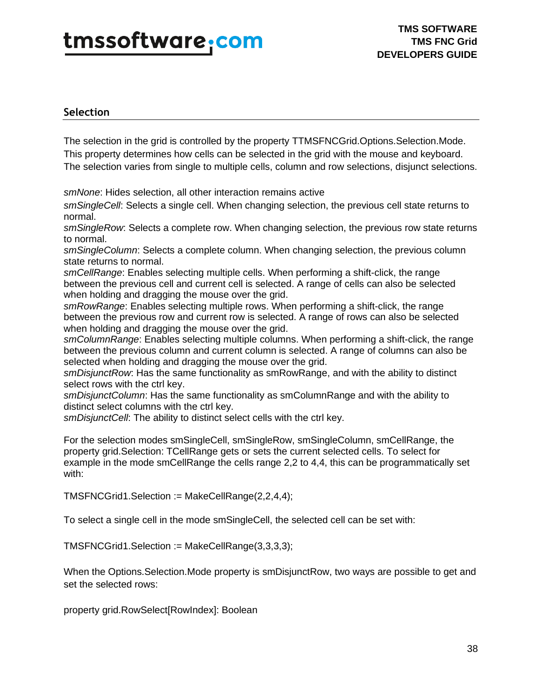### **Selection**

The selection in the grid is controlled by the property TTMSFNCGrid.Options.Selection.Mode. This property determines how cells can be selected in the grid with the mouse and keyboard. The selection varies from single to multiple cells, column and row selections, disjunct selections.

*smNone*: Hides selection, all other interaction remains active

*smSingleCell*: Selects a single cell. When changing selection, the previous cell state returns to normal.

*smSingleRow*: Selects a complete row. When changing selection, the previous row state returns to normal.

*smSingleColumn*: Selects a complete column. When changing selection, the previous column state returns to normal.

*smCellRange*: Enables selecting multiple cells. When performing a shift-click, the range between the previous cell and current cell is selected. A range of cells can also be selected when holding and dragging the mouse over the grid.

*smRowRange*: Enables selecting multiple rows. When performing a shift-click, the range between the previous row and current row is selected. A range of rows can also be selected when holding and dragging the mouse over the grid.

*smColumnRange*: Enables selecting multiple columns. When performing a shift-click, the range between the previous column and current column is selected. A range of columns can also be selected when holding and dragging the mouse over the grid.

*smDisjunctRow*: Has the same functionality as smRowRange, and with the ability to distinct select rows with the ctrl key.

*smDisjunctColumn*: Has the same functionality as smColumnRange and with the ability to distinct select columns with the ctrl key.

*smDisjunctCell*: The ability to distinct select cells with the ctrl key.

For the selection modes smSingleCell, smSingleRow, smSingleColumn, smCellRange, the property grid.Selection: TCellRange gets or sets the current selected cells. To select for example in the mode smCellRange the cells range 2,2 to 4,4, this can be programmatically set with:

TMSFNCGrid1.Selection := MakeCellRange(2,2,4,4);

To select a single cell in the mode smSingleCell, the selected cell can be set with:

TMSFNCGrid1.Selection := MakeCellRange(3,3,3,3);

When the Options.Selection.Mode property is smDisjunctRow, two ways are possible to get and set the selected rows:

property grid.RowSelect[RowIndex]: Boolean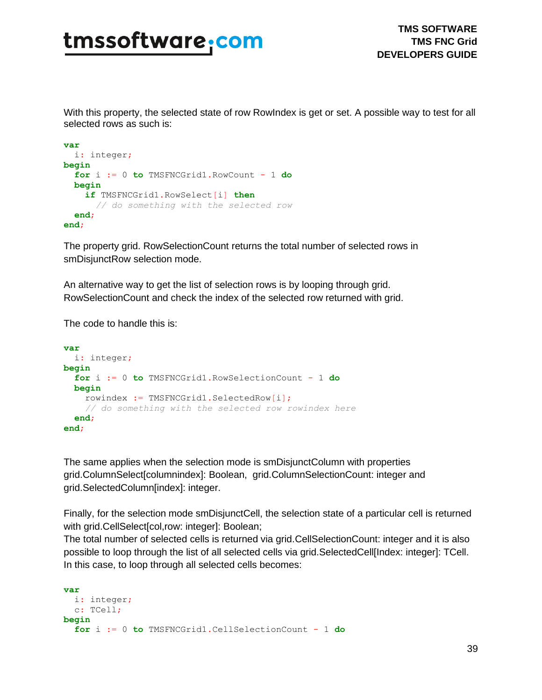With this property, the selected state of row RowIndex is get or set. A possible way to test for all selected rows as such is:

```
var
   i: integer;
begin
  for i := 0 to TMSFNCGrid1.RowCount - 1 do
  begin
    if TMSFNCGrid1.RowSelect[i] then
      // do something with the selected row
   end;
end;
```
The property grid. RowSelectionCount returns the total number of selected rows in smDisjunctRow selection mode.

An alternative way to get the list of selection rows is by looping through grid. RowSelectionCount and check the index of the selected row returned with grid.

The code to handle this is:

```
var
  i: integer;
begin
  for i := 0 to TMSFNCGrid1.RowSelectionCount - 1 do
  begin
     rowindex := TMSFNCGrid1.SelectedRow[i];
     // do something with the selected row rowindex here
   end;
end;
```
The same applies when the selection mode is smDisjunctColumn with properties grid.ColumnSelect[columnindex]: Boolean, grid.ColumnSelectionCount: integer and grid.SelectedColumn[index]: integer.

Finally, for the selection mode smDisjunctCell, the selection state of a particular cell is returned with grid.CellSelect[col,row: integer]: Boolean;

The total number of selected cells is returned via grid.CellSelectionCount: integer and it is also possible to loop through the list of all selected cells via grid.SelectedCell[Index: integer]: TCell. In this case, to loop through all selected cells becomes:

```
var
  i: integer;
  c: TCell;
begin
   for i := 0 to TMSFNCGrid1.CellSelectionCount - 1 do
```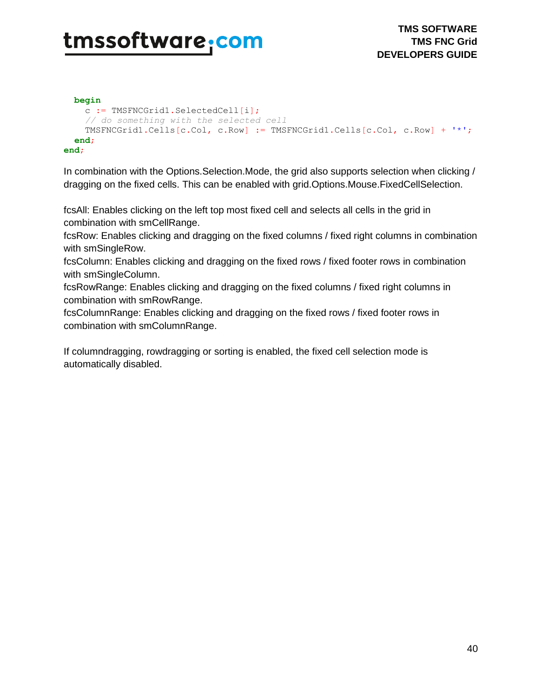```
 begin
     c := TMSFNCGrid1.SelectedCell[i];
     // do something with the selected cell
     TMSFNCGrid1.Cells[c.Col, c.Row] := TMSFNCGrid1.Cells[c.Col, c.Row] + '*';
   end;
end;
```
In combination with the Options.Selection.Mode, the grid also supports selection when clicking / dragging on the fixed cells. This can be enabled with grid.Options.Mouse.FixedCellSelection.

fcsAll: Enables clicking on the left top most fixed cell and selects all cells in the grid in combination with smCellRange.

fcsRow: Enables clicking and dragging on the fixed columns / fixed right columns in combination with smSingleRow.

fcsColumn: Enables clicking and dragging on the fixed rows / fixed footer rows in combination with smSingleColumn.

fcsRowRange: Enables clicking and dragging on the fixed columns / fixed right columns in combination with smRowRange.

fcsColumnRange: Enables clicking and dragging on the fixed rows / fixed footer rows in combination with smColumnRange.

If columndragging, rowdragging or sorting is enabled, the fixed cell selection mode is automatically disabled.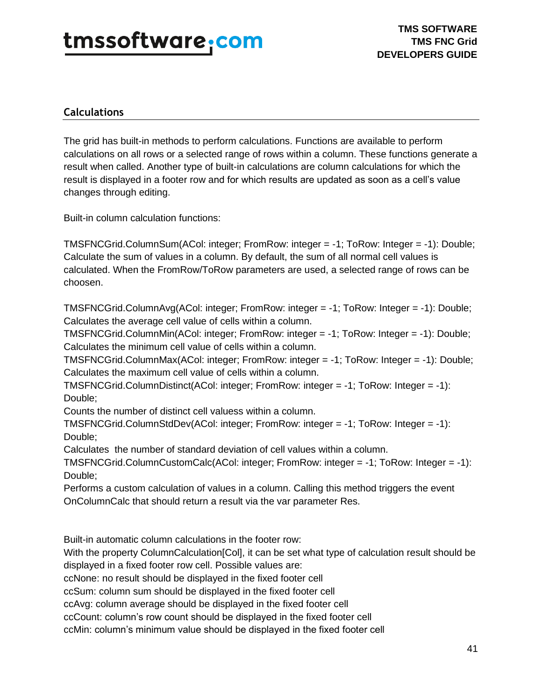### **Calculations**

The grid has built-in methods to perform calculations. Functions are available to perform calculations on all rows or a selected range of rows within a column. These functions generate a result when called. Another type of built-in calculations are column calculations for which the result is displayed in a footer row and for which results are updated as soon as a cell's value changes through editing.

Built-in column calculation functions:

TMSFNCGrid.ColumnSum(ACol: integer; FromRow: integer = -1; ToRow: Integer = -1): Double; Calculate the sum of values in a column. By default, the sum of all normal cell values is calculated. When the FromRow/ToRow parameters are used, a selected range of rows can be choosen.

TMSFNCGrid.ColumnAvg(ACol: integer; FromRow: integer = -1; ToRow: Integer = -1): Double; Calculates the average cell value of cells within a column.

TMSFNCGrid.ColumnMin(ACol: integer; FromRow: integer = -1; ToRow: Integer = -1): Double; Calculates the minimum cell value of cells within a column.

TMSFNCGrid.ColumnMax(ACol: integer; FromRow: integer = -1; ToRow: Integer = -1): Double; Calculates the maximum cell value of cells within a column.

TMSFNCGrid.ColumnDistinct(ACol: integer; FromRow: integer = -1; ToRow: Integer = -1): Double;

Counts the number of distinct cell valuess within a column.

TMSFNCGrid.ColumnStdDev(ACol: integer; FromRow: integer = -1; ToRow: Integer = -1): Double;

Calculates the number of standard deviation of cell values within a column.

TMSFNCGrid.ColumnCustomCalc(ACol: integer; FromRow: integer = -1; ToRow: Integer = -1): Double;

Performs a custom calculation of values in a column. Calling this method triggers the event OnColumnCalc that should return a result via the var parameter Res.

Built-in automatic column calculations in the footer row:

With the property ColumnCalculation[Col], it can be set what type of calculation result should be displayed in a fixed footer row cell. Possible values are:

ccNone: no result should be displayed in the fixed footer cell

ccSum: column sum should be displayed in the fixed footer cell

ccAvg: column average should be displayed in the fixed footer cell

ccCount: column's row count should be displayed in the fixed footer cell

ccMin: column's minimum value should be displayed in the fixed footer cell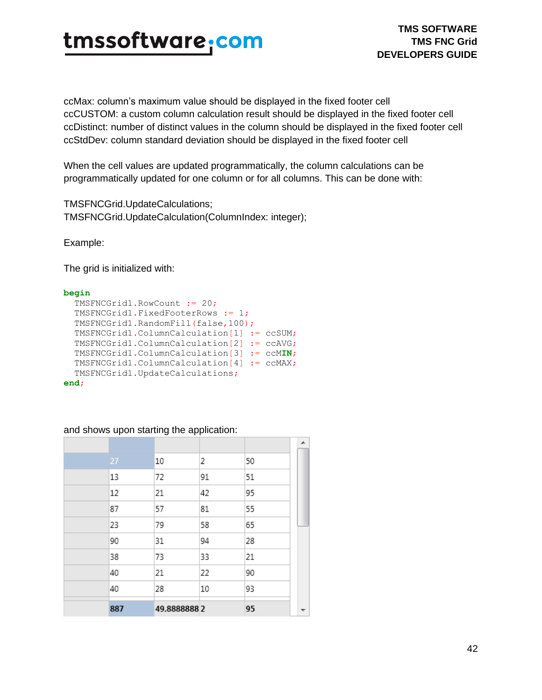ccMax: column's maximum value should be displayed in the fixed footer cell ccCUSTOM: a custom column calculation result should be displayed in the fixed footer cell ccDistinct: number of distinct values in the column should be displayed in the fixed footer cell ccStdDev: column standard deviation should be displayed in the fixed footer cell

When the cell values are updated programmatically, the column calculations can be programmatically updated for one column or for all columns. This can be done with:

TMSFNCGrid.UpdateCalculations; TMSFNCGrid.UpdateCalculation(ColumnIndex: integer);

Example:

The grid is initialized with:

#### **begin**

```
 TMSFNCGrid1.RowCount := 20;
   TMSFNCGrid1.FixedFooterRows := 1;
   TMSFNCGrid1.RandomFill(false,100);
   TMSFNCGrid1.ColumnCalculation[1] := ccSUM;
   TMSFNCGrid1.ColumnCalculation[2] := ccAVG;
   TMSFNCGrid1.ColumnCalculation[3] := ccMIN;
  TMSFNCGrid1.ColumnCalculation[4] := ccMAX;
  TMSFNCGrid1.UpdateCalculations;
end;
```
#### and shows upon starting the application:

|     |             |    |    | ▴ |
|-----|-------------|----|----|---|
| 27  | 10          | 2  | 50 |   |
| 13  | 72          | 91 | 51 |   |
| 12  | 21          | 42 | 95 |   |
| 87  | 57          | 81 | 55 |   |
| 23  | 79          | 58 | 65 |   |
| 90  | 31          | 94 | 28 |   |
| 38  | 73          | 33 | 21 |   |
| 40  | 21          | 22 | 90 |   |
| 40  | 28          | 10 | 93 |   |
| 887 | 49.88888882 |    | 95 |   |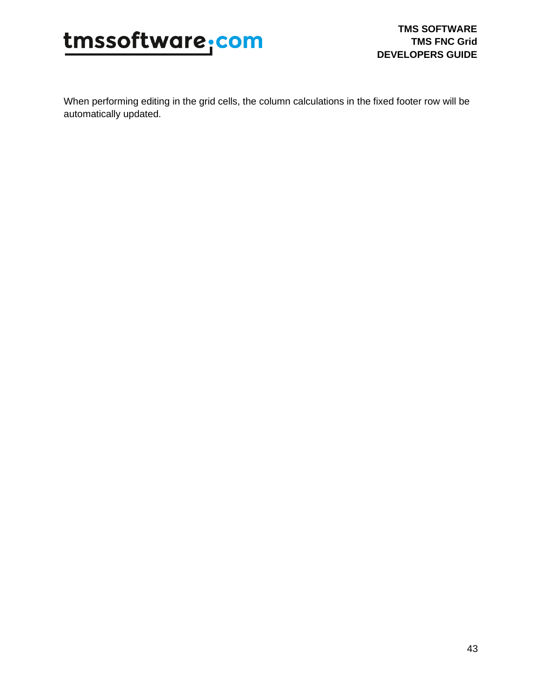

When performing editing in the grid cells, the column calculations in the fixed footer row will be automatically updated.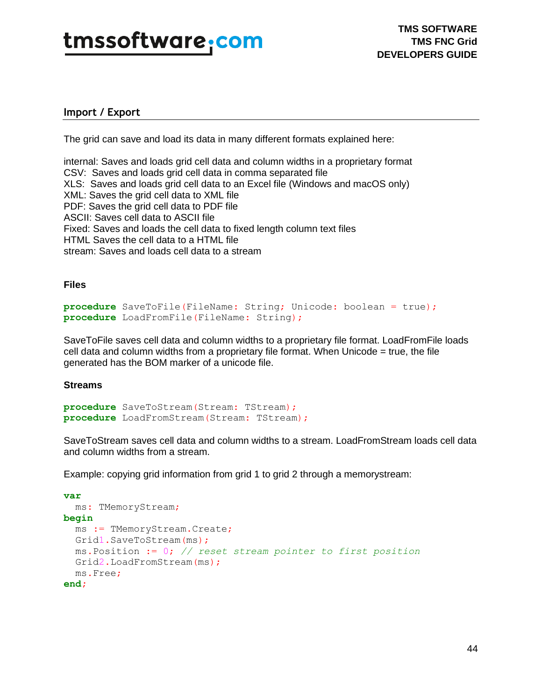### **Import / Export**

The grid can save and load its data in many different formats explained here:

internal: Saves and loads grid cell data and column widths in a proprietary format CSV: Saves and loads grid cell data in comma separated file XLS: Saves and loads grid cell data to an Excel file (Windows and macOS only) XML: Saves the grid cell data to XML file PDF: Saves the grid cell data to PDF file ASCII: Saves cell data to ASCII file Fixed: Saves and loads the cell data to fixed length column text files HTML Saves the cell data to a HTML file stream: Saves and loads cell data to a stream

#### **Files**

```
procedure SaveToFile(FileName: String; Unicode: boolean = true);
procedure LoadFromFile(FileName: String);
```
SaveToFile saves cell data and column widths to a proprietary file format. LoadFromFile loads cell data and column widths from a proprietary file format. When Unicode  $=$  true, the file generated has the BOM marker of a unicode file.

#### **Streams**

```
procedure SaveToStream (Stream: TStream) ;
procedure LoadFromStream (Stream: TStream) ;
```
SaveToStream saves cell data and column widths to a stream. LoadFromStream loads cell data and column widths from a stream.

Example: copying grid information from grid 1 to grid 2 through a memorystream:

```
var
   ms: TMemoryStream;
begin
   ms := TMemoryStream.Create;
  Grid1.SaveToStream(ms);
   ms.Position := 0; // reset stream pointer to first position
   Grid2.LoadFromStream(ms);
   ms.Free;
end;
```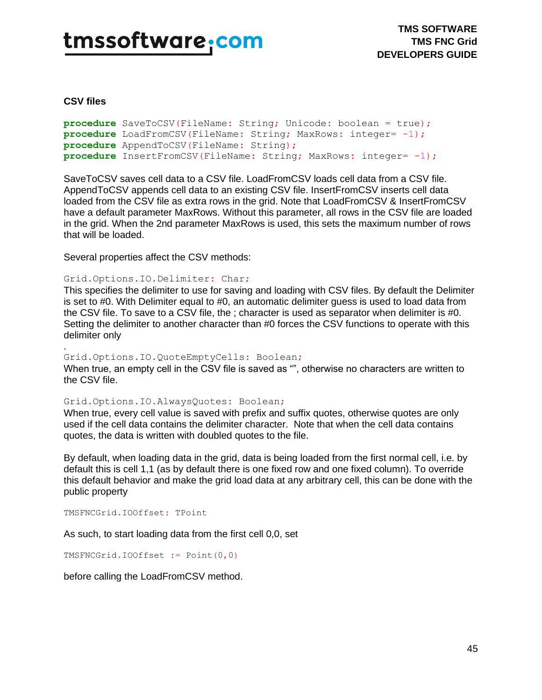#### **CSV files**

```
procedure SaveToCSV(FileName: String; Unicode: boolean = true);
procedure LoadFromCSV(FileName: String; MaxRows: integer= -1);
procedure AppendToCSV(FileName: String);
procedure InsertFromCSV(FileName: String; MaxRows: integer= -1);
```
SaveToCSV saves cell data to a CSV file. LoadFromCSV loads cell data from a CSV file. AppendToCSV appends cell data to an existing CSV file. InsertFromCSV inserts cell data loaded from the CSV file as extra rows in the grid. Note that LoadFromCSV & InsertFromCSV have a default parameter MaxRows. Without this parameter, all rows in the CSV file are loaded in the grid. When the 2nd parameter MaxRows is used, this sets the maximum number of rows that will be loaded.

Several properties affect the CSV methods:

#### Grid.Options.IO.Delimiter: Char;

This specifies the delimiter to use for saving and loading with CSV files. By default the Delimiter is set to #0. With Delimiter equal to #0, an automatic delimiter guess is used to load data from the CSV file. To save to a CSV file, the ; character is used as separator when delimiter is #0. Setting the delimiter to another character than #0 forces the CSV functions to operate with this delimiter only

#### . Grid.Options.IO.QuoteEmptyCells: Boolean;

When true, an empty cell in the CSV file is saved as "", otherwise no characters are written to the CSV file.

#### Grid.Options.IO.AlwaysQuotes: Boolean;

When true, every cell value is saved with prefix and suffix quotes, otherwise quotes are only used if the cell data contains the delimiter character. Note that when the cell data contains quotes, the data is written with doubled quotes to the file.

By default, when loading data in the grid, data is being loaded from the first normal cell, i.e. by default this is cell 1,1 (as by default there is one fixed row and one fixed column). To override this default behavior and make the grid load data at any arbitrary cell, this can be done with the public property

TMSFNCGrid.IOOffset: TPoint

As such, to start loading data from the first cell 0,0, set

TMSFNCGrid.IOOffset := Point(0,0)

before calling the LoadFromCSV method.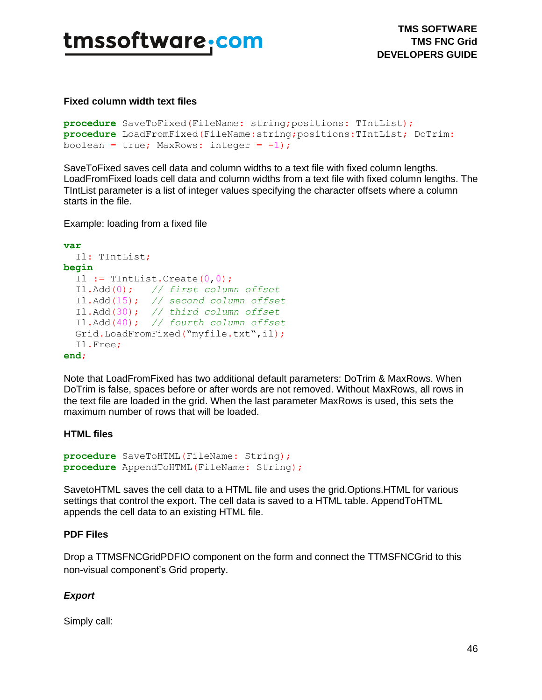#### **Fixed column width text files**

```
procedure SaveToFixed(FileName: string;positions: TIntList);
procedure LoadFromFixed(FileName:string;positions:TIntList; DoTrim:
boolean = true; MaxRows: integer = -1);
```
SaveToFixed saves cell data and column widths to a text file with fixed column lengths. LoadFromFixed loads cell data and column widths from a text file with fixed column lengths. The TIntList parameter is a list of integer values specifying the character offsets where a column starts in the file.

Example: loading from a fixed file

```
var
   Il: TIntList;
begin
  Il := TIntList.Create(0,0);
   Il.Add(0); // first column offset
   Il.Add(15); // second column offset
   Il.Add(30); // third column offset
   Il.Add(40); // fourth column offset
   Grid.LoadFromFixed("myfile.txt",il);
   Il.Free;
end;
```
Note that LoadFromFixed has two additional default parameters: DoTrim & MaxRows. When DoTrim is false, spaces before or after words are not removed. Without MaxRows, all rows in the text file are loaded in the grid. When the last parameter MaxRows is used, this sets the maximum number of rows that will be loaded.

### **HTML files**

```
procedure SaveToHTML(FileName: String);
procedure AppendToHTML(FileName: String);
```
SavetoHTML saves the cell data to a HTML file and uses the grid.Options.HTML for various settings that control the export. The cell data is saved to a HTML table. AppendToHTML appends the cell data to an existing HTML file.

### **PDF Files**

Drop a TTMSFNCGridPDFIO component on the form and connect the TTMSFNCGrid to this non-visual component's Grid property.

### *Export*

Simply call: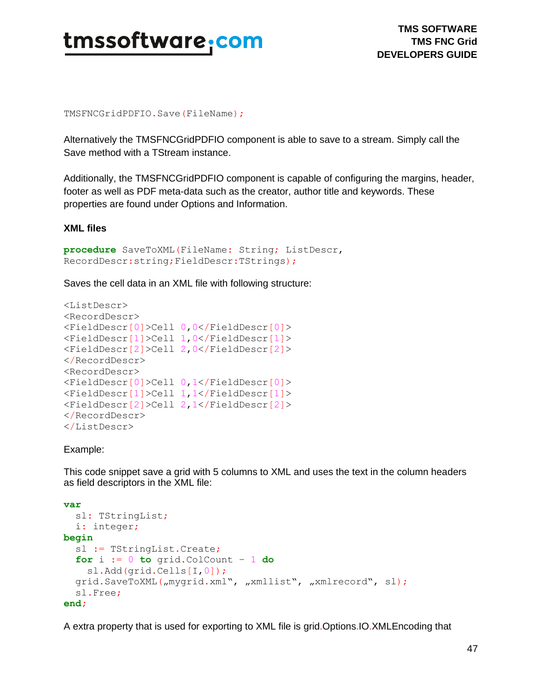

**TMS SOFTWARE TMS FNC Grid DEVELOPERS GUIDE**

TMSFNCGridPDFIO.Save(FileName);

Alternatively the TMSFNCGridPDFIO component is able to save to a stream. Simply call the Save method with a TStream instance.

Additionally, the TMSFNCGridPDFIO component is capable of configuring the margins, header, footer as well as PDF meta-data such as the creator, author title and keywords. These properties are found under Options and Information.

#### **XML files**

```
procedure SaveToXML(FileName: String; ListDescr, 
RecordDescr:string;FieldDescr:TStrings);
```
Saves the cell data in an XML file with following structure:

```
<ListDescr>
<RecordDescr>
<FieldDescr[0]>Cell 0,0</FieldDescr[0]>
<FieldDescr[1]>Cell 1,0</FieldDescr[1]>
<FieldDescr[2]>Cell 2,0</FieldDescr[2]>
</RecordDescr>
<RecordDescr>
<FieldDescr[0]>Cell 0,1</FieldDescr[0]>
<FieldDescr[1]>Cell 1,1</FieldDescr[1]>
<FieldDescr[2]>Cell 2,1</FieldDescr[2]>
</RecordDescr>
</ListDescr>
```
#### Example:

This code snippet save a grid with 5 columns to XML and uses the text in the column headers as field descriptors in the XML file:

```
var
   sl: TStringList;
  i: integer;
begin
   sl := TStringList.Create;
   for i := 0 to grid.ColCount – 1 do
     sl.Add(grid.Cells[I,0]);
  grid.SaveToXML("mygrid.xml", "xmllist", "xmlrecord", sl);
   sl.Free;
end;
```
A extra property that is used for exporting to XML file is grid.Options.IO.XMLEncoding that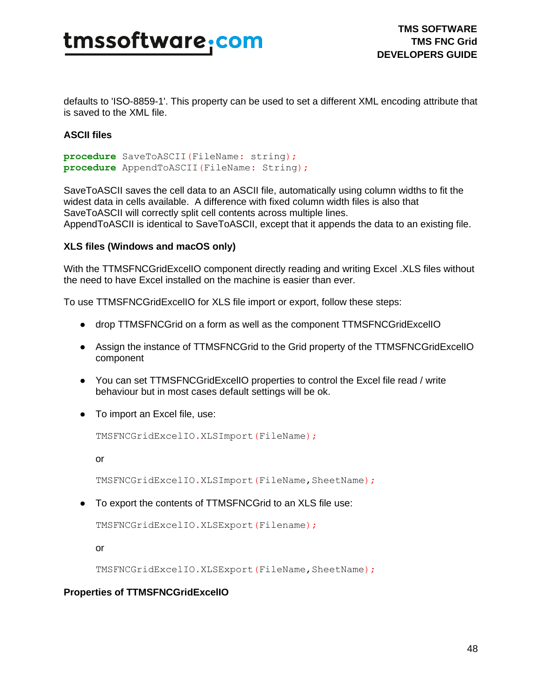defaults to 'ISO-8859-1'. This property can be used to set a different XML encoding attribute that is saved to the XML file.

#### **ASCII files**

```
procedure SaveToASCII(FileName: string);
procedure AppendToASCII(FileName: String);
```
SaveToASCII saves the cell data to an ASCII file, automatically using column widths to fit the widest data in cells available. A difference with fixed column width files is also that SaveToASCII will correctly split cell contents across multiple lines. AppendToASCII is identical to SaveToASCII, except that it appends the data to an existing file.

#### **XLS files (Windows and macOS only)**

With the TTMSFNCGridExcelIO component directly reading and writing Excel .XLS files without the need to have Excel installed on the machine is easier than ever.

To use TTMSFNCGridExcelIO for XLS file import or export, follow these steps:

- drop TTMSFNCGrid on a form as well as the component TTMSFNCGridExcelIO
- Assign the instance of TTMSFNCGrid to the Grid property of the TTMSFNCGridExcelIO component
- You can set TTMSFNCGridExcelIO properties to control the Excel file read / write behaviour but in most cases default settings will be ok.
- To import an Excel file, use:

TMSFNCGridExcelIO.XLSImport(FileName);

or

TMSFNCGridExcelIO.XLSImport(FileName,SheetName);

● To export the contents of TTMSFNCGrid to an XLS file use:

```
TMSFNCGridExcelIO.XLSExport(Filename);
```
or

TMSFNCGridExcelIO.XLSExport(FileName,SheetName);

#### **Properties of TTMSFNCGridExcelIO**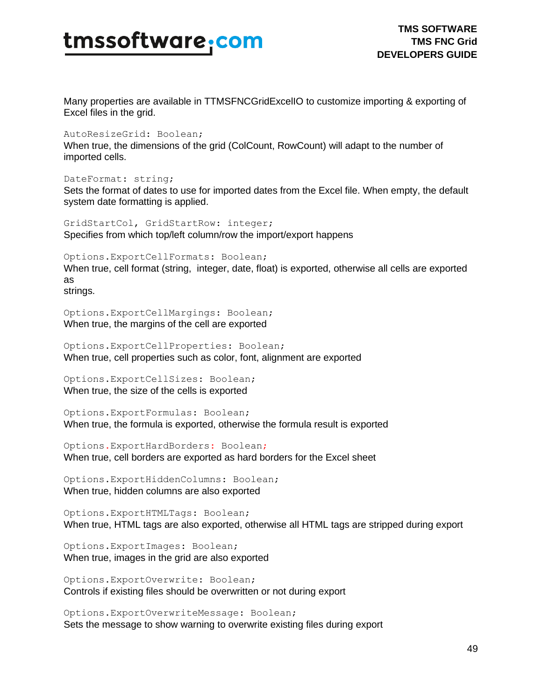Many properties are available in TTMSFNCGridExcelIO to customize importing & exporting of Excel files in the grid.

AutoResizeGrid: Boolean;

When true, the dimensions of the grid (ColCount, RowCount) will adapt to the number of imported cells.

DateFormat: string;

Sets the format of dates to use for imported dates from the Excel file. When empty, the default system date formatting is applied.

GridStartCol, GridStartRow: integer; Specifies from which top/left column/row the import/export happens

Options.ExportCellFormats: Boolean; When true, cell format (string, integer, date, float) is exported, otherwise all cells are exported as

strings.

Options.ExportCellMargings: Boolean; When true, the margins of the cell are exported

Options.ExportCellProperties: Boolean; When true, cell properties such as color, font, alignment are exported

Options.ExportCellSizes: Boolean; When true, the size of the cells is exported

Options.ExportFormulas: Boolean; When true, the formula is exported, otherwise the formula result is exported

Options.ExportHardBorders: Boolean; When true, cell borders are exported as hard borders for the Excel sheet

Options.ExportHiddenColumns: Boolean; When true, hidden columns are also exported

Options.ExportHTMLTags: Boolean; When true, HTML tags are also exported, otherwise all HTML tags are stripped during export

Options.ExportImages: Boolean; When true, images in the grid are also exported

Options.ExportOverwrite: Boolean; Controls if existing files should be overwritten or not during export

Options.ExportOverwriteMessage: Boolean; Sets the message to show warning to overwrite existing files during export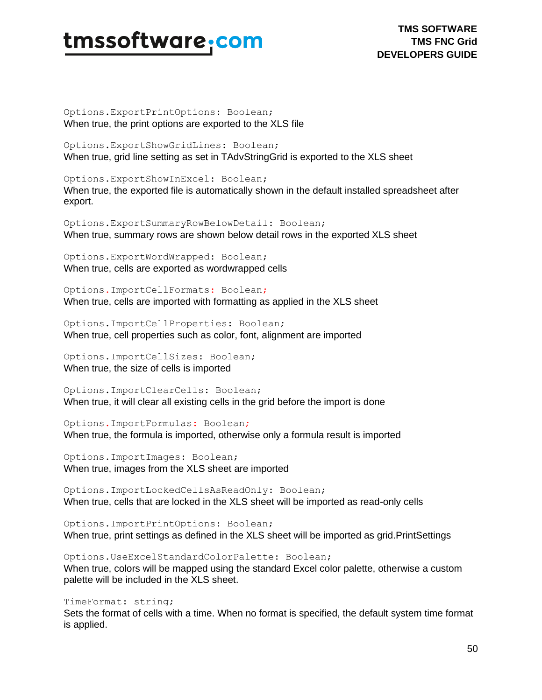**TMS SOFTWARE TMS FNC Grid DEVELOPERS GUIDE**

Options.ExportPrintOptions: Boolean; When true, the print options are exported to the XLS file

Options.ExportShowGridLines: Boolean; When true, grid line setting as set in TAdvStringGrid is exported to the XLS sheet

Options.ExportShowInExcel: Boolean; When true, the exported file is automatically shown in the default installed spreadsheet after export.

Options.ExportSummaryRowBelowDetail: Boolean; When true, summary rows are shown below detail rows in the exported XLS sheet

Options.ExportWordWrapped: Boolean; When true, cells are exported as wordwrapped cells

Options.ImportCellFormats: Boolean; When true, cells are imported with formatting as applied in the XLS sheet

Options.ImportCellProperties: Boolean; When true, cell properties such as color, font, alignment are imported

Options.ImportCellSizes: Boolean; When true, the size of cells is imported

Options.ImportClearCells: Boolean; When true, it will clear all existing cells in the grid before the import is done

Options.ImportFormulas: Boolean; When true, the formula is imported, otherwise only a formula result is imported

Options.ImportImages: Boolean; When true, images from the XLS sheet are imported

Options.ImportLockedCellsAsReadOnly: Boolean; When true, cells that are locked in the XLS sheet will be imported as read-only cells

Options.ImportPrintOptions: Boolean; When true, print settings as defined in the XLS sheet will be imported as grid.PrintSettings

Options.UseExcelStandardColorPalette: Boolean; When true, colors will be mapped using the standard Excel color palette, otherwise a custom palette will be included in the XLS sheet.

TimeFormat: string;

Sets the format of cells with a time. When no format is specified, the default system time format is applied.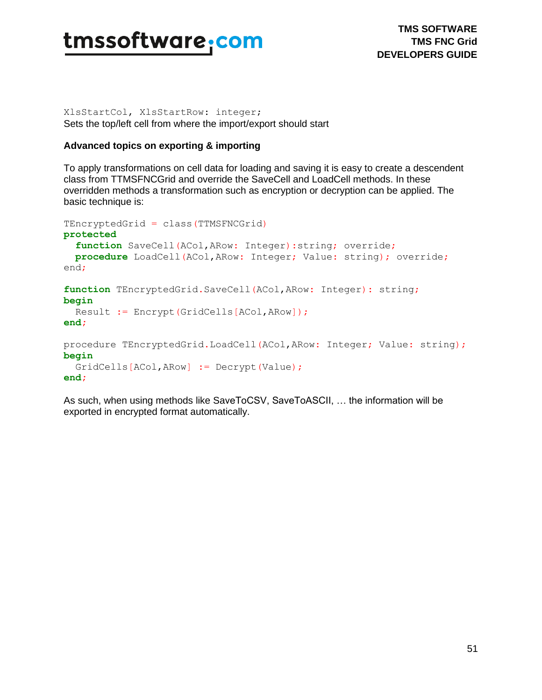

XlsStartCol, XlsStartRow: integer; Sets the top/left cell from where the import/export should start

#### **Advanced topics on exporting & importing**

To apply transformations on cell data for loading and saving it is easy to create a descendent class from TTMSFNCGrid and override the SaveCell and LoadCell methods. In these overridden methods a transformation such as encryption or decryption can be applied. The basic technique is:

```
TEncryptedGrid = class(TTMSFNCGrid)
protected
  function SaveCell(ACol, ARow: Integer): string; override;
  procedure LoadCell(ACol,ARow: Integer; Value: string); override;
end;
function TEncryptedGrid.SaveCell(ACol,ARow: Integer): string;
begin
  Result := Encrypt(GridCells[ACol,ARow]);
end;
procedure TEncryptedGrid.LoadCell(ACol,ARow: Integer; Value: string);
begin
  GridCells[ACol,ARow] := Decrypt(Value);
end;
```
As such, when using methods like SaveToCSV, SaveToASCII, … the information will be exported in encrypted format automatically.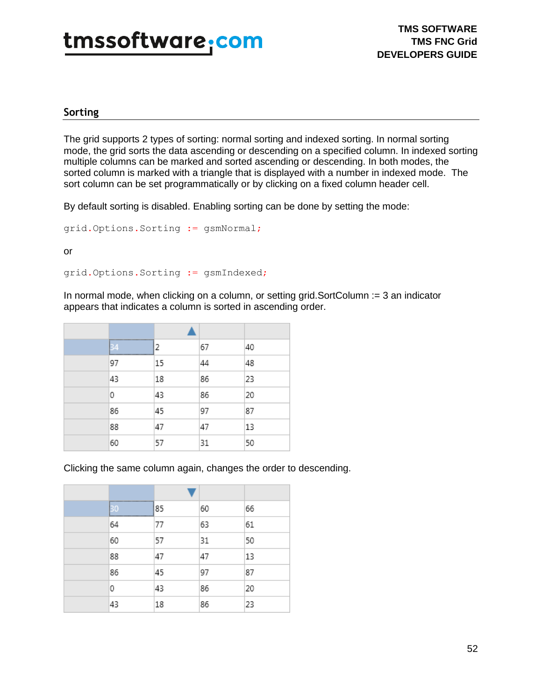#### **Sorting**

The grid supports 2 types of sorting: normal sorting and indexed sorting. In normal sorting mode, the grid sorts the data ascending or descending on a specified column. In indexed sorting multiple columns can be marked and sorted ascending or descending. In both modes, the sorted column is marked with a triangle that is displayed with a number in indexed mode. The sort column can be set programmatically or by clicking on a fixed column header cell.

By default sorting is disabled. Enabling sorting can be done by setting the mode:

grid.Options.Sorting := gsmNormal;

or

grid.Options.Sorting := gsmIndexed;

In normal mode, when clicking on a column, or setting grid.SortColumn := 3 an indicator appears that indicates a column is sorted in ascending order.

| <br>34<br> | 2  | 67 | 40 |
|------------|----|----|----|
| 97         | 15 | 44 | 48 |
| 43         | 18 | 86 | 23 |
| 0          | 43 | 86 | 20 |
| 86         | 45 | 97 | 87 |
| 88         | 47 | 47 | 13 |
| 60         | 57 | 31 | 50 |

Clicking the same column again, changes the order to descending.

| <br>30<br>************************************* | 85 | 60 | 66 |
|-------------------------------------------------|----|----|----|
| 64                                              | 77 | 63 | 61 |
| 60                                              | 57 | 31 | 50 |
| 88                                              | 47 | 47 | 13 |
| 86                                              | 45 | 97 | 87 |
| 0                                               | 43 | 86 | 20 |
| 43                                              | 18 | 86 | 23 |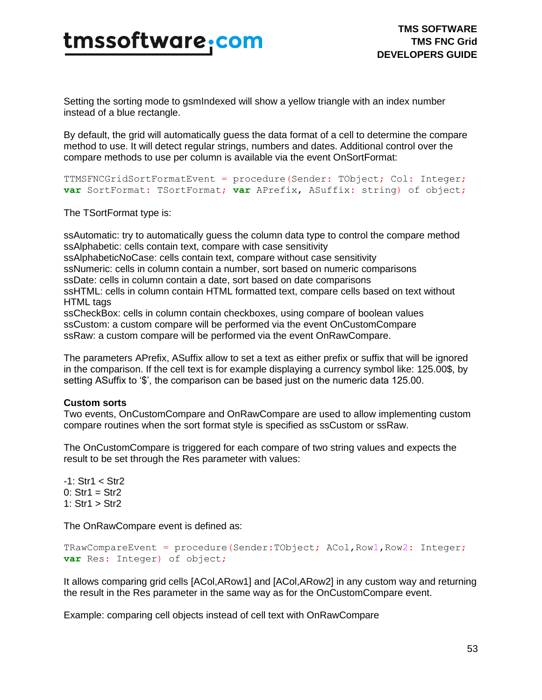Setting the sorting mode to gsmIndexed will show a yellow triangle with an index number instead of a blue rectangle.

By default, the grid will automatically guess the data format of a cell to determine the compare method to use. It will detect regular strings, numbers and dates. Additional control over the compare methods to use per column is available via the event OnSortFormat:

```
TTMSFNCGridSortFormatEvent = procedure(Sender: TObject; Col: Integer;
var SortFormat: TSortFormat; var APrefix, ASuffix: string) of object;
```
The TSortFormat type is:

ssAutomatic: try to automatically guess the column data type to control the compare method ssAlphabetic: cells contain text, compare with case sensitivity

ssAlphabeticNoCase: cells contain text, compare without case sensitivity

ssNumeric: cells in column contain a number, sort based on numeric comparisons

ssDate: cells in column contain a date, sort based on date comparisons

ssHTML: cells in column contain HTML formatted text, compare cells based on text without HTML tags

ssCheckBox: cells in column contain checkboxes, using compare of boolean values ssCustom: a custom compare will be performed via the event OnCustomCompare ssRaw: a custom compare will be performed via the event OnRawCompare.

The parameters APrefix, ASuffix allow to set a text as either prefix or suffix that will be ignored in the comparison. If the cell text is for example displaying a currency symbol like: 125.00\$, by setting ASuffix to '\$', the comparison can be based just on the numeric data 125.00.

#### **Custom sorts**

Two events, OnCustomCompare and OnRawCompare are used to allow implementing custom compare routines when the sort format style is specified as ssCustom or ssRaw.

The OnCustomCompare is triggered for each compare of two string values and expects the result to be set through the Res parameter with values:

-1: Str1 < Str2  $0: Str1 = Str2$ 1: Str1 > Str2

The OnRawCompare event is defined as:

```
TRawCompareEvent = procedure(Sender:TObject; ACol,Row1,Row2: Integer;
var Res: Integer) of object;
```
It allows comparing grid cells [ACol,ARow1] and [ACol,ARow2] in any custom way and returning the result in the Res parameter in the same way as for the OnCustomCompare event.

Example: comparing cell objects instead of cell text with OnRawCompare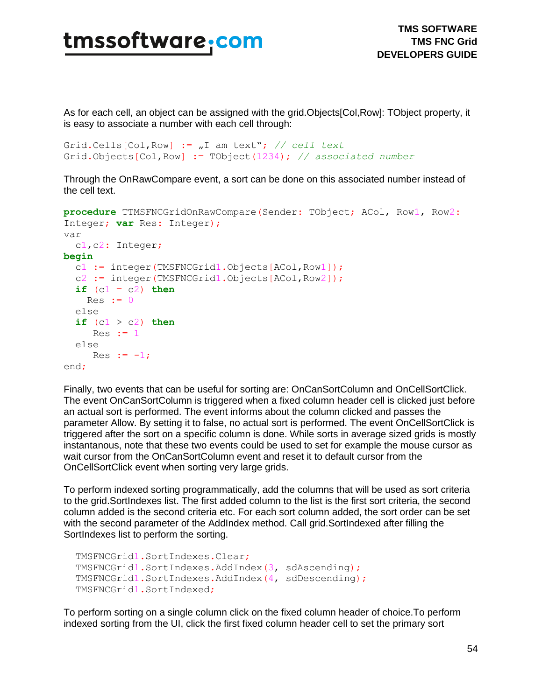As for each cell, an object can be assigned with the grid.Objects[Col,Row]: TObject property, it is easy to associate a number with each cell through:

```
Grid.Cells[Col,Row] := "I am text"; // cell text
Grid.Objects[Col,Row] := TObject(1234); // associated number
```
Through the OnRawCompare event, a sort can be done on this associated number instead of the cell text.

```
procedure TTMSFNCGridOnRawCompare(Sender: TObject; ACol, Row1, Row2:
Integer; var Res: Integer);
var 
  c1,c2: Integer;
begin
   c1 := integer(TMSFNCGrid1.Objects[ACol,Row1]);
   c2 := integer(TMSFNCGrid1.Objects[ACol,Row2]);
  if (c1 = c2) thenRes := 0 else 
  if (c1 > c2) then
     Res := 1
  else 
    Res := -1;end;
```
Finally, two events that can be useful for sorting are: OnCanSortColumn and OnCellSortClick. The event OnCanSortColumn is triggered when a fixed column header cell is clicked just before an actual sort is performed. The event informs about the column clicked and passes the parameter Allow. By setting it to false, no actual sort is performed. The event OnCellSortClick is triggered after the sort on a specific column is done. While sorts in average sized grids is mostly instantanous, note that these two events could be used to set for example the mouse cursor as wait cursor from the OnCanSortColumn event and reset it to default cursor from the OnCellSortClick event when sorting very large grids.

To perform indexed sorting programmatically, add the columns that will be used as sort criteria to the grid.SortIndexes list. The first added column to the list is the first sort criteria, the second column added is the second criteria etc. For each sort column added, the sort order can be set with the second parameter of the AddIndex method. Call grid.SortIndexed after filling the SortIndexes list to perform the sorting.

```
 TMSFNCGrid1.SortIndexes.Clear;
 TMSFNCGrid1.SortIndexes.AddIndex(3, sdAscending);
 TMSFNCGrid1.SortIndexes.AddIndex(4, sdDescending);
 TMSFNCGrid1.SortIndexed;
```
To perform sorting on a single column click on the fixed column header of choice.To perform indexed sorting from the UI, click the first fixed column header cell to set the primary sort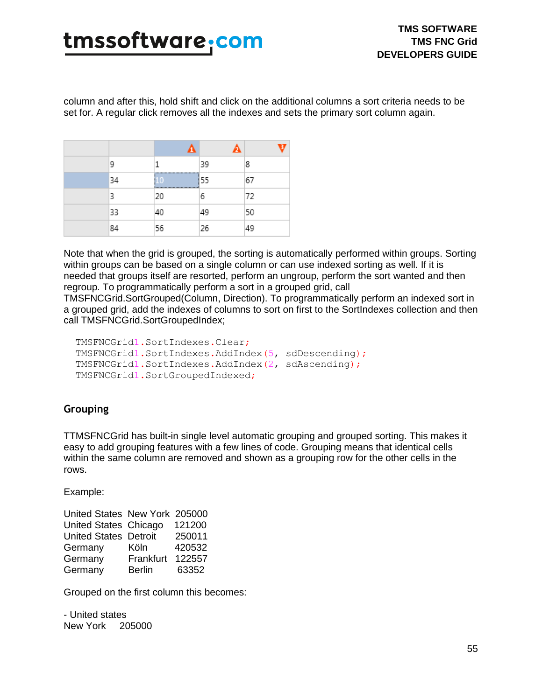column and after this, hold shift and click on the additional columns a sort criteria needs to be set for. A regular click removes all the indexes and sets the primary sort column again.

| 9  |      | 39 | 8  |
|----|------|----|----|
| 34 | <br> | 55 | 67 |
| 3  | 20   | 6  | 72 |
| 33 | 40   | 49 | 50 |
| 84 | 56   | 26 | 49 |

Note that when the grid is grouped, the sorting is automatically performed within groups. Sorting within groups can be based on a single column or can use indexed sorting as well. If it is needed that groups itself are resorted, perform an ungroup, perform the sort wanted and then regroup. To programmatically perform a sort in a grouped grid, call

TMSFNCGrid.SortGrouped(Column, Direction). To programmatically perform an indexed sort in a grouped grid, add the indexes of columns to sort on first to the SortIndexes collection and then call TMSFNCGrid.SortGroupedIndex;

```
 TMSFNCGrid1.SortIndexes.Clear;
 TMSFNCGrid1.SortIndexes.AddIndex(5, sdDescending);
 TMSFNCGrid1.SortIndexes.AddIndex(2, sdAscending);
 TMSFNCGrid1.SortGroupedIndexed;
```
### **Grouping**

TTMSFNCGrid has built-in single level automatic grouping and grouped sorting. This makes it easy to add grouping features with a few lines of code. Grouping means that identical cells within the same column are removed and shown as a grouping row for the other cells in the rows.

Example:

| United States New York 205000 |        |
|-------------------------------|--------|
| United States Chicago         | 121200 |
| <b>United States Detroit</b>  | 250011 |
| Köln                          | 420532 |
| Frankfurt                     | 122557 |
| <b>Berlin</b>                 | 63352  |
|                               |        |

Grouped on the first column this becomes:

- United states New York 205000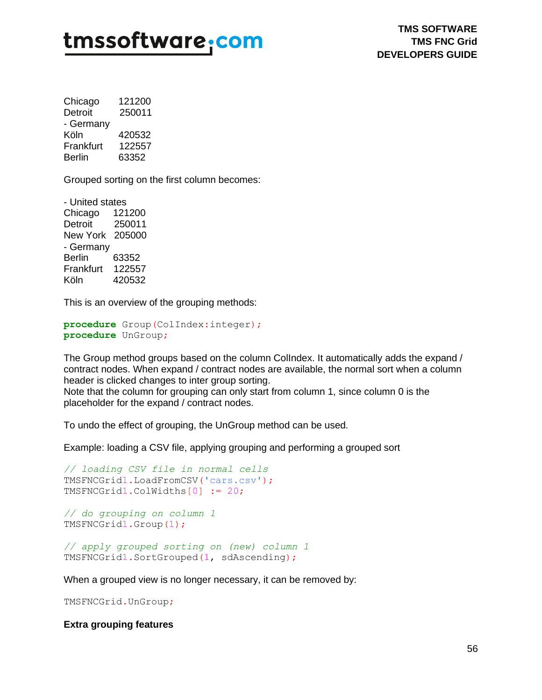Chicago 121200 Detroit 250011 - Germany Köln 420532 Frankfurt 122557 Berlin 63352

Grouped sorting on the first column becomes:

- United states Chicago 121200 Detroit 250011 New York 205000 - Germany Berlin 63352 Frankfurt 122557 Köln 420532

This is an overview of the grouping methods:

```
procedure Group(ColIndex:integer);
procedure UnGroup;
```
The Group method groups based on the column ColIndex. It automatically adds the expand / contract nodes. When expand / contract nodes are available, the normal sort when a column header is clicked changes to inter group sorting. Note that the column for grouping can only start from column 1, since column 0 is the

placeholder for the expand / contract nodes.

To undo the effect of grouping, the UnGroup method can be used.

Example: loading a CSV file, applying grouping and performing a grouped sort

```
// loading CSV file in normal cells 
TMSFNCGrid1.LoadFromCSV('cars.csv');
TMSFNCGrid1.ColWidths[0] := 20;
```

```
// do grouping on column 1
TMSFNCGrid1.Group(1);
```
*// apply grouped sorting on (new) column 1* TMSFNCGrid1.SortGrouped(1, sdAscending);

When a grouped view is no longer necessary, it can be removed by:

TMSFNCGrid.UnGroup;

**Extra grouping features**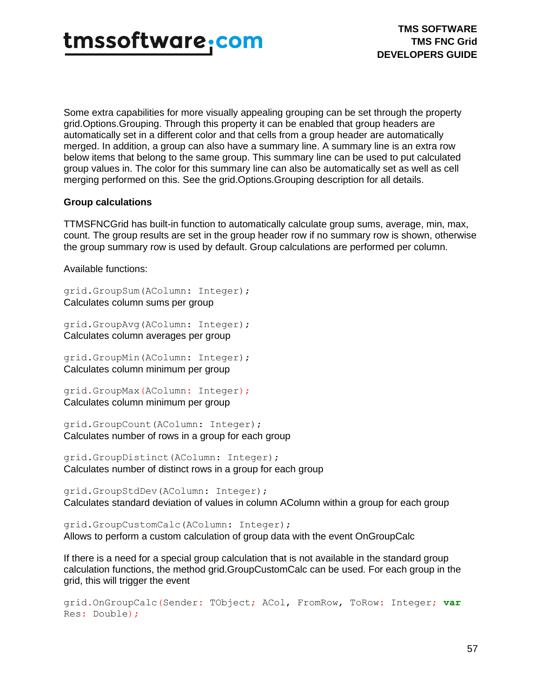

Some extra capabilities for more visually appealing grouping can be set through the property grid.Options.Grouping. Through this property it can be enabled that group headers are automatically set in a different color and that cells from a group header are automatically merged. In addition, a group can also have a summary line. A summary line is an extra row below items that belong to the same group. This summary line can be used to put calculated group values in. The color for this summary line can also be automatically set as well as cell merging performed on this. See the grid.Options.Grouping description for all details.

#### **Group calculations**

TTMSFNCGrid has built-in function to automatically calculate group sums, average, min, max, count. The group results are set in the group header row if no summary row is shown, otherwise the group summary row is used by default. Group calculations are performed per column.

Available functions:

grid.GroupSum(AColumn: Integer); Calculates column sums per group

grid.GroupAvg(AColumn: Integer); Calculates column averages per group

grid.GroupMin(AColumn: Integer); Calculates column minimum per group

grid.GroupMax(AColumn: Integer); Calculates column minimum per group

grid.GroupCount(AColumn: Integer); Calculates number of rows in a group for each group

grid.GroupDistinct(AColumn: Integer); Calculates number of distinct rows in a group for each group

grid.GroupStdDev(AColumn: Integer); Calculates standard deviation of values in column AColumn within a group for each group

grid.GroupCustomCalc(AColumn: Integer); Allows to perform a custom calculation of group data with the event OnGroupCalc

If there is a need for a special group calculation that is not available in the standard group calculation functions, the method grid.GroupCustomCalc can be used. For each group in the grid, this will trigger the event

```
grid.OnGroupCalc(Sender: TObject; ACol, FromRow, ToRow: Integer; var
Res: Double);
```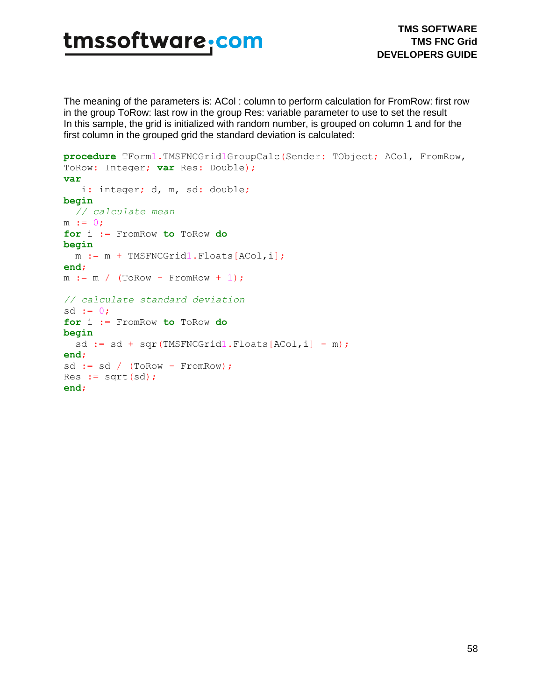The meaning of the parameters is: ACol : column to perform calculation for FromRow: first row in the group ToRow: last row in the group Res: variable parameter to use to set the result In this sample, the grid is initialized with random number, is grouped on column 1 and for the first column in the grouped grid the standard deviation is calculated:

```
procedure TForm1.TMSFNCGrid1GroupCalc(Sender: TObject; ACol, FromRow,
ToRow: Integer; var Res: Double);
var
  i: integer; d, m, sd: double;
begin
  // calculate mean 
m := 0;for i := FromRow to ToRow do
begin
  m := m + TMSFNCGrid1.Floats[ACol,i];
end;
m := m / (ToRow - FromRow + 1);
// calculate standard deviation
sd := 0;for i := FromRow to ToRow do
begin
 sd := sd + sqr(TMSFNCGrid1.Floads[ACol,i] - m);end;
sd := sd / (ToRow - FromRow);
Res := sqrt(sd);
end;
```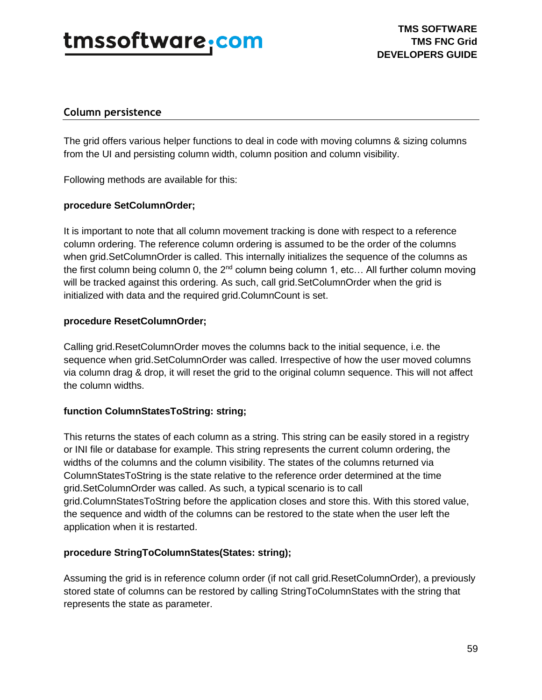## tmssoftware.<u>com</u>

### **Column persistence**

The grid offers various helper functions to deal in code with moving columns & sizing columns from the UI and persisting column width, column position and column visibility.

Following methods are available for this:

### **procedure SetColumnOrder;**

It is important to note that all column movement tracking is done with respect to a reference column ordering. The reference column ordering is assumed to be the order of the columns when grid.SetColumnOrder is called. This internally initializes the sequence of the columns as the first column being column 0, the  $2^{nd}$  column being column 1, etc... All further column moving will be tracked against this ordering. As such, call grid.SetColumnOrder when the grid is initialized with data and the required grid.ColumnCount is set.

### **procedure ResetColumnOrder;**

Calling grid.ResetColumnOrder moves the columns back to the initial sequence, i.e. the sequence when grid.SetColumnOrder was called. Irrespective of how the user moved columns via column drag & drop, it will reset the grid to the original column sequence. This will not affect the column widths.

### **function ColumnStatesToString: string;**

This returns the states of each column as a string. This string can be easily stored in a registry or INI file or database for example. This string represents the current column ordering, the widths of the columns and the column visibility. The states of the columns returned via ColumnStatesToString is the state relative to the reference order determined at the time grid.SetColumnOrder was called. As such, a typical scenario is to call grid.ColumnStatesToString before the application closes and store this. With this stored value, the sequence and width of the columns can be restored to the state when the user left the application when it is restarted.

### **procedure StringToColumnStates(States: string);**

Assuming the grid is in reference column order (if not call grid.ResetColumnOrder), a previously stored state of columns can be restored by calling StringToColumnStates with the string that represents the state as parameter.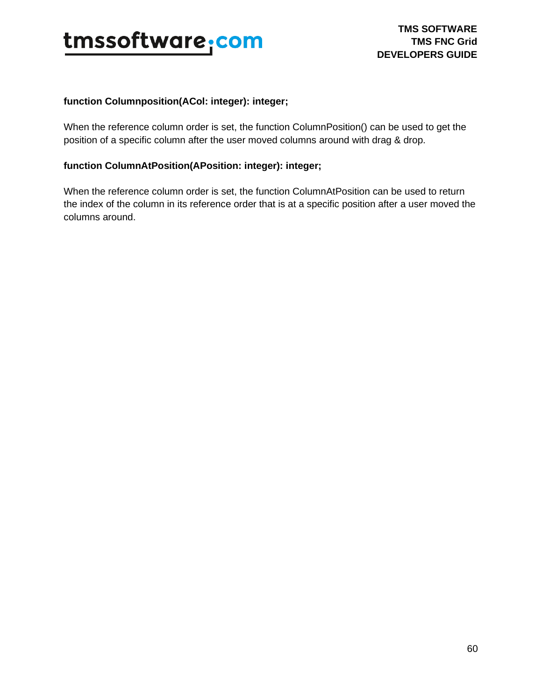

#### **function Columnposition(ACol: integer): integer;**

When the reference column order is set, the function ColumnPosition() can be used to get the position of a specific column after the user moved columns around with drag & drop.

### **function ColumnAtPosition(APosition: integer): integer;**

When the reference column order is set, the function ColumnAtPosition can be used to return the index of the column in its reference order that is at a specific position after a user moved the columns around.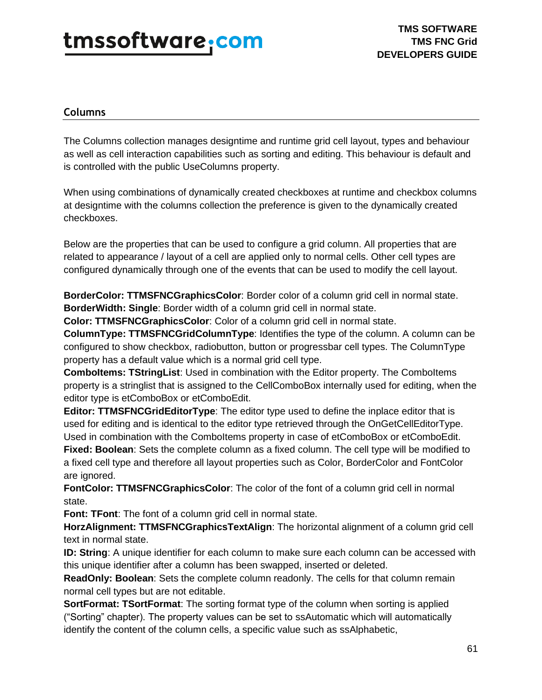### **Columns**

The Columns collection manages designtime and runtime grid cell layout, types and behaviour as well as cell interaction capabilities such as sorting and editing. This behaviour is default and is controlled with the public UseColumns property.

When using combinations of dynamically created checkboxes at runtime and checkbox columns at designtime with the columns collection the preference is given to the dynamically created checkboxes.

Below are the properties that can be used to configure a grid column. All properties that are related to appearance / layout of a cell are applied only to normal cells. Other cell types are configured dynamically through one of the events that can be used to modify the cell layout.

**BorderColor: TTMSFNCGraphicsColor**: Border color of a column grid cell in normal state. **BorderWidth: Single**: Border width of a column grid cell in normal state.

**Color: TTMSFNCGraphicsColor**: Color of a column grid cell in normal state.

**ColumnType: TTMSFNCGridColumnType**: Identifies the type of the column. A column can be configured to show checkbox, radiobutton, button or progressbar cell types. The ColumnType property has a default value which is a normal grid cell type.

**ComboItems: TStringList:** Used in combination with the Editor property. The ComboItems property is a stringlist that is assigned to the CellComboBox internally used for editing, when the editor type is etComboBox or etComboEdit.

**Editor: TTMSFNCGridEditorType**: The editor type used to define the inplace editor that is used for editing and is identical to the editor type retrieved through the OnGetCellEditorType. Used in combination with the ComboItems property in case of etComboBox or etComboEdit. **Fixed: Boolean**: Sets the complete column as a fixed column. The cell type will be modified to

a fixed cell type and therefore all layout properties such as Color, BorderColor and FontColor are ignored.

**FontColor: TTMSFNCGraphicsColor**: The color of the font of a column grid cell in normal state.

**Font: TFont**: The font of a column grid cell in normal state.

**HorzAlignment: TTMSFNCGraphicsTextAlign**: The horizontal alignment of a column grid cell text in normal state.

**ID: String**: A unique identifier for each column to make sure each column can be accessed with this unique identifier after a column has been swapped, inserted or deleted.

**ReadOnly: Boolean**: Sets the complete column readonly. The cells for that column remain normal cell types but are not editable.

**SortFormat: TSortFormat**: The sorting format type of the column when sorting is applied ("Sorting" chapter). The property values can be set to ssAutomatic which will automatically identify the content of the column cells, a specific value such as ssAlphabetic,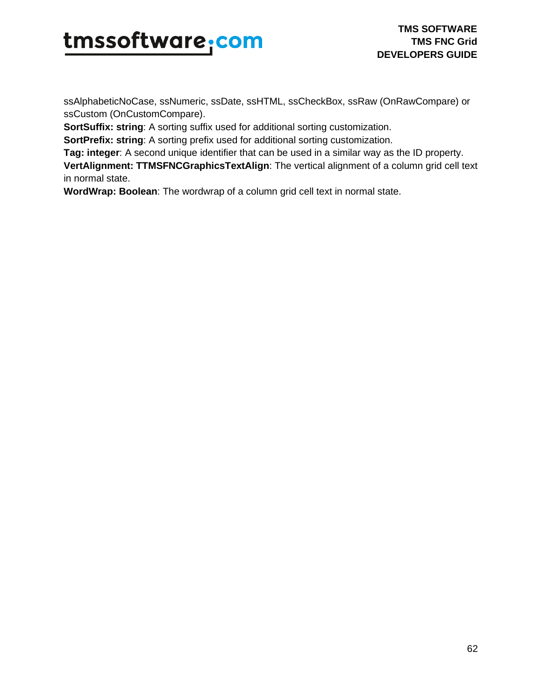# tmssoftware<sub>:</sub>com

ssAlphabeticNoCase, ssNumeric, ssDate, ssHTML, ssCheckBox, ssRaw (OnRawCompare) or ssCustom (OnCustomCompare).

**SortSuffix: string:** A sorting suffix used for additional sorting customization.

**SortPrefix: string:** A sorting prefix used for additional sorting customization.

**Tag: integer**: A second unique identifier that can be used in a similar way as the ID property.

**VertAlignment: TTMSFNCGraphicsTextAlign**: The vertical alignment of a column grid cell text in normal state.

**WordWrap: Boolean**: The wordwrap of a column grid cell text in normal state.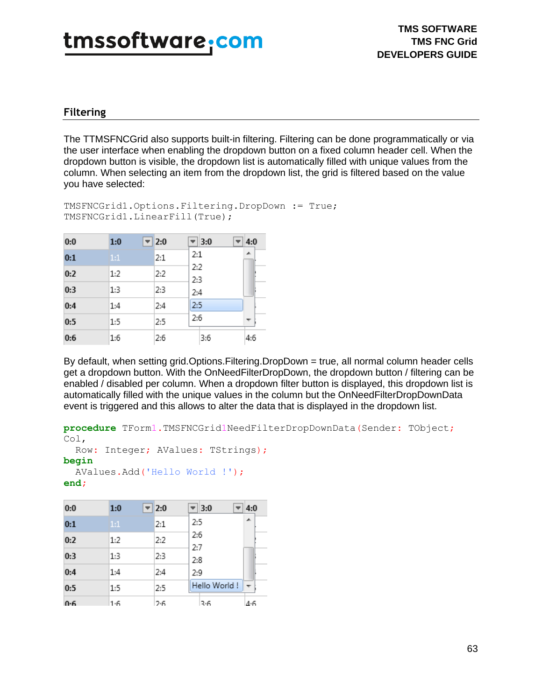### **Filtering**

The TTMSFNCGrid also supports built-in filtering. Filtering can be done programmatically or via the user interface when enabling the dropdown button on a fixed column header cell. When the dropdown button is visible, the dropdown list is automatically filled with unique values from the column. When selecting an item from the dropdown list, the grid is filtered based on the value you have selected:

```
TMSFNCGrid1.Options.Filtering.DropDown := True;
TMSFNCGrid1.LinearFill(True);
```

| 0:0 | 1:0 | $\overline{2:0}$ |            | $\overline{\phantom{a}}$ 3:0 | 4:0 |
|-----|-----|------------------|------------|------------------------------|-----|
| 0:1 | 1:1 | 2:1              | 2:1        |                              | ┻   |
| 0:2 | 1:2 | 2:2              | 2:2<br>2:3 |                              |     |
| 0:3 | 1:3 | 2:3              | 2:4        |                              |     |
| 0:4 | 1:4 | 2:4              | 2:5        |                              |     |
| 0:5 | 1:5 | 2:5              | 2:6        |                              |     |
| 0:6 | 1:6 | 2:6              |            | 3:6                          | 4:6 |

By default, when setting grid.Options.Filtering.DropDown = true, all normal column header cells get a dropdown button. With the OnNeedFilterDropDown, the dropdown button / filtering can be enabled / disabled per column. When a dropdown filter button is displayed, this dropdown list is automatically filled with the unique values in the column but the OnNeedFilterDropDownData event is triggered and this allows to alter the data that is displayed in the dropdown list.

```
procedure TForm1.TMSFNCGrid1NeedFilterDropDownData(Sender: TObject;
Col,
```

```
 Row: Integer; AValues: TStrings);
```
#### **begin**

```
 AValues.Add('Hello World !');
```

```
end;
```

| 0:0 | 1:0 | 2:0 | $\parallel$ 3:0<br>4:0 |
|-----|-----|-----|------------------------|
| 0:1 | 1:1 | 2:1 | ᆂ<br>2:5               |
| 0:2 | 1:2 | 2:2 | 2:6<br>2:7             |
| 0:3 | 1:3 | 2:3 | 2:8                    |
| 0:4 | 1:4 | 2:4 | 2:9                    |
| 0:5 | 1:5 | 2:5 | Hello World!           |
| 0.6 | 1.6 | 2.6 | 4.6<br>3.6             |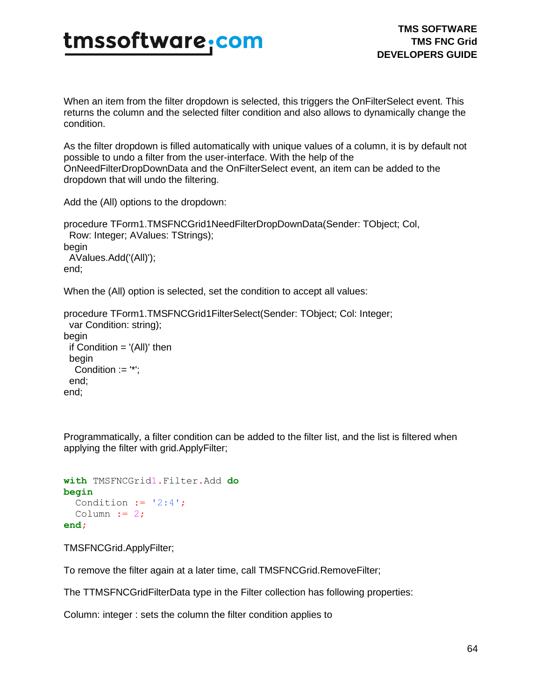When an item from the filter dropdown is selected, this triggers the OnFilterSelect event. This returns the column and the selected filter condition and also allows to dynamically change the condition.

As the filter dropdown is filled automatically with unique values of a column, it is by default not possible to undo a filter from the user-interface. With the help of the OnNeedFilterDropDownData and the OnFilterSelect event, an item can be added to the dropdown that will undo the filtering.

Add the (All) options to the dropdown:

```
procedure TForm1.TMSFNCGrid1NeedFilterDropDownData(Sender: TObject; Col,
  Row: Integer; AValues: TStrings);
begin
  AValues.Add('(All)');
end;
```
When the (All) option is selected, set the condition to accept all values:

```
procedure TForm1.TMSFNCGrid1FilterSelect(Sender: TObject; Col: Integer;
  var Condition: string);
begin
 if Condition = '(All)' then
  begin
  Condition := '*';
  end;
end;
```
Programmatically, a filter condition can be added to the filter list, and the list is filtered when applying the filter with grid.ApplyFilter;

```
with TMSFNCGrid1.Filter.Add do
begin
 Condition := '2:4';Column := 2;end;
```
TMSFNCGrid.ApplyFilter;

To remove the filter again at a later time, call TMSFNCGrid.RemoveFilter;

The TTMSFNCGridFilterData type in the Filter collection has following properties:

Column: integer : sets the column the filter condition applies to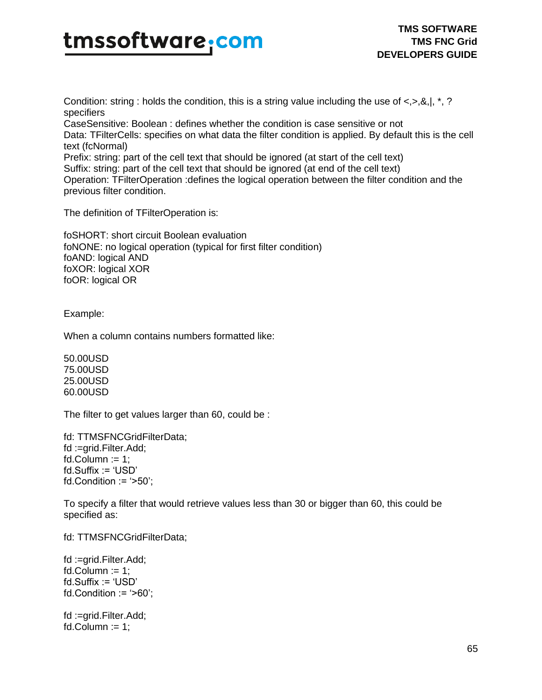Condition: string : holds the condition, this is a string value including the use of  $\langle 0, 8, 0 \rangle$ , \*, ? specifiers

CaseSensitive: Boolean : defines whether the condition is case sensitive or not Data: TFilterCells: specifies on what data the filter condition is applied. By default this is the cell text (fcNormal) Prefix: string: part of the cell text that should be ignored (at start of the cell text)

Suffix: string: part of the cell text that should be ignored (at end of the cell text)

Operation: TFilterOperation :defines the logical operation between the filter condition and the previous filter condition.

The definition of TFilterOperation is:

foSHORT: short circuit Boolean evaluation foNONE: no logical operation (typical for first filter condition) foAND: logical AND foXOR: logical XOR foOR: logical OR

Example:

When a column contains numbers formatted like:

50.00USD 75.00USD 25.00USD 60.00USD

The filter to get values larger than 60, could be :

fd: TTMSFNCGridFilterData; fd :=grid.Filter.Add;  $fd$ .Column  $:= 1$ ; fd.Suffix := 'USD' fd.Condition  $:=$  '>50';

To specify a filter that would retrieve values less than 30 or bigger than 60, this could be specified as:

fd: TTMSFNCGridFilterData;

fd :=grid.Filter.Add;  $fd$ .Column := 1; fd.Suffix := 'USD' fd.Condition  $:=$  '>60'; fd :=grid.Filter.Add; fd.Column  $:= 1$ ;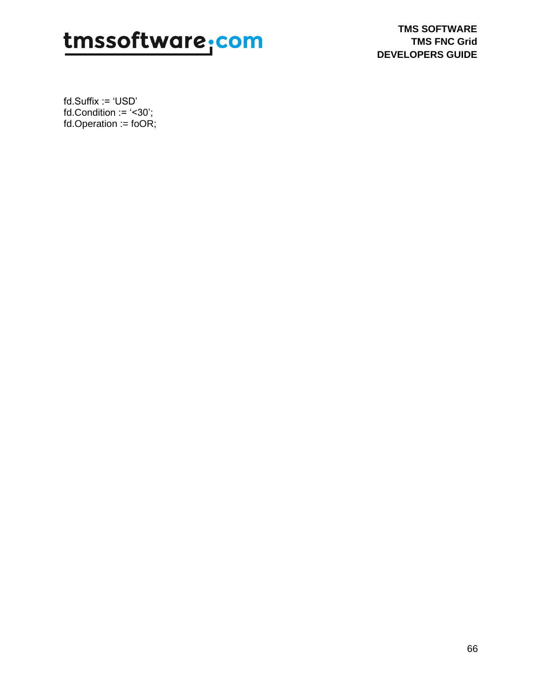**TMS SOFTWARE TMS FNC Grid DEVELOPERS GUIDE**

fd.Suffix := 'USD' fd.Condition  $:=$  '<30'; fd.Operation :=  $foOR$ ;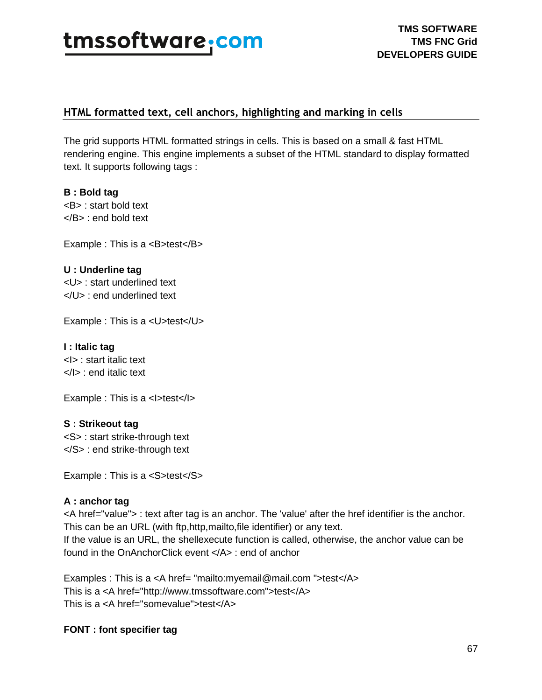

### **HTML formatted text, cell anchors, highlighting and marking in cells**

The grid supports HTML formatted strings in cells. This is based on a small & fast HTML rendering engine. This engine implements a subset of the HTML standard to display formatted text. It supports following tags :

**B : Bold tag** <B> : start bold text </B> : end bold text

Example : This is a <B>test</B>

**U : Underline tag** <U> : start underlined text </U> : end underlined text

Example : This is a <U>test</U>

**I : Italic tag**  <I> : start italic text </I> : end italic text

Example : This is a <I>test</I>

#### **S : Strikeout tag**

<S> : start strike-through text  $<$ /S $>$ : end strike-through text

Example : This is a <S>test</S>

#### **A : anchor tag**

<A href="value"> : text after tag is an anchor. The 'value' after the href identifier is the anchor. This can be an URL (with ftp,http,mailto,file identifier) or any text. If the value is an URL, the shellexecute function is called, otherwise, the anchor value can be found in the OnAnchorClick event </A> : end of anchor

Examples : This is a <A href= "mailto:myemail@mail.com ">test</A> This is a <A href="http://www.tmssoftware.com">test</A> This is a <A href="somevalue">test</A>

**FONT : font specifier tag**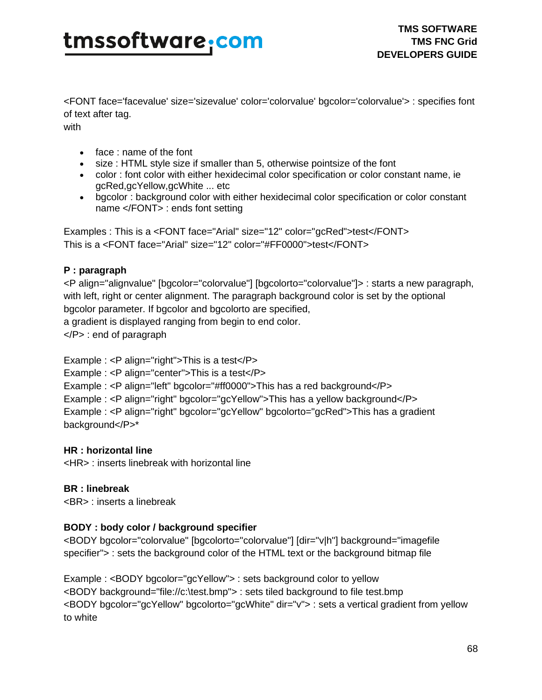<FONT face='facevalue' size='sizevalue' color='colorvalue' bgcolor='colorvalue'> : specifies font of text after tag.

with

- face : name of the font
- size : HTML style size if smaller than 5, otherwise pointsize of the font
- color : font color with either hexidecimal color specification or color constant name, ie gcRed,gcYellow,gcWhite ... etc
- bgcolor : background color with either hexidecimal color specification or color constant name </FONT> : ends font setting

Examples : This is a <FONT face="Arial" size="12" color="gcRed">test</FONT> This is a <FONT face="Arial" size="12" color="#FF0000">test</FONT>

### **P : paragraph**

<P align="alignvalue" [bgcolor="colorvalue"] [bgcolorto="colorvalue"]> : starts a new paragraph, with left, right or center alignment. The paragraph background color is set by the optional bgcolor parameter. If bgcolor and bgcolorto are specified,

a gradient is displayed ranging from begin to end color.

</P> : end of paragraph

Example : <P align="right">This is a test</P> Example : <P align="center">This is a test</P> Example : <P align="left" bgcolor="#ff0000">This has a red background</P> Example : <P align="right" bgcolor="gcYellow">This has a yellow background</P> Example : <P align="right" bgcolor="gcYellow" bgcolorto="gcRed">This has a gradient background</P>\*

### **HR : horizontal line**

<HR> : inserts linebreak with horizontal line

### **BR : linebreak**

<BR> : inserts a linebreak

### **BODY : body color / background specifier**

<BODY bgcolor="colorvalue" [bgcolorto="colorvalue"] [dir="v|h"] background="imagefile specifier"> : sets the background color of the HTML text or the background bitmap file

Example : <BODY bgcolor="gcYellow"> : sets background color to yellow <BODY background="file://c:\test.bmp"> : sets tiled background to file test.bmp <BODY bgcolor="gcYellow" bgcolorto="gcWhite" dir="v"> : sets a vertical gradient from yellow to white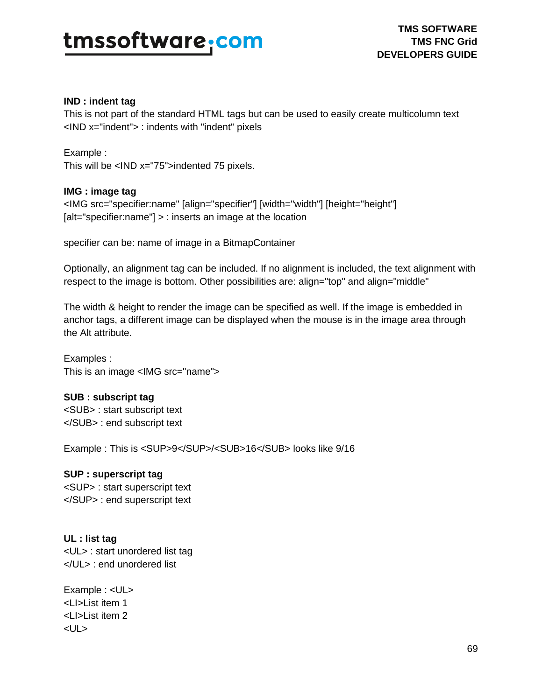#### **IND : indent tag**

This is not part of the standard HTML tags but can be used to easily create multicolumn text <IND x="indent"> : indents with "indent" pixels

Example : This will be <IND x="75">indented 75 pixels.

### **IMG : image tag**

<IMG src="specifier:name" [align="specifier"] [width="width"] [height="height"] [alt="specifier:name"] > : inserts an image at the location

specifier can be: name of image in a BitmapContainer

Optionally, an alignment tag can be included. If no alignment is included, the text alignment with respect to the image is bottom. Other possibilities are: align="top" and align="middle"

The width & height to render the image can be specified as well. If the image is embedded in anchor tags, a different image can be displayed when the mouse is in the image area through the Alt attribute.

Examples : This is an image <IMG src="name">

### **SUB : subscript tag**

<SUB> : start subscript text </SUB> : end subscript text

Example : This is <SUP>9</SUP>/<SUB>16</SUB> looks like 9/16

### **SUP : superscript tag**

<SUP> : start superscript text </SUP> : end superscript text

### **UL : list tag**

<UL> : start unordered list tag </UL> : end unordered list

Example : <UL> <LI>List item 1 <LI>List item 2 <UL>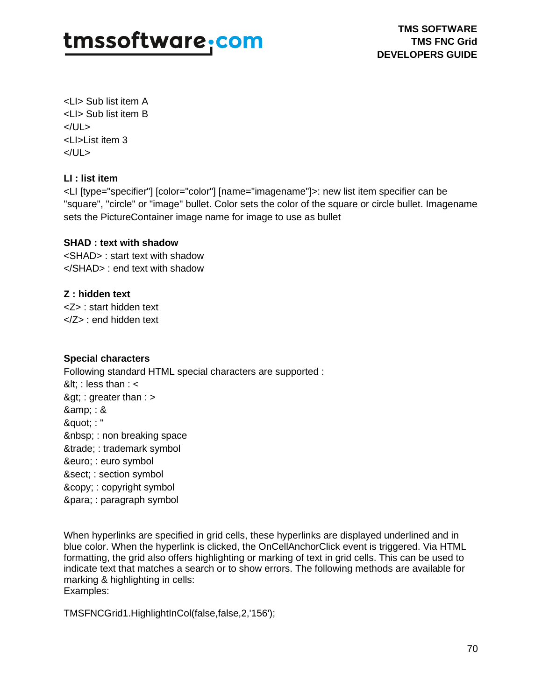<LI> Sub list item A <LI> Sub list item B </UL> <LI>List item 3 </UL>

### **LI : list item**

<LI [type="specifier"] [color="color"] [name="imagename"]>: new list item specifier can be "square", "circle" or "image" bullet. Color sets the color of the square or circle bullet. Imagename sets the PictureContainer image name for image to use as bullet

### **SHAD : text with shadow**

<SHAD> : start text with shadow </SHAD> : end text with shadow

### **Z : hidden text**

<Z> : start hidden text </Z> : end hidden text

### **Special characters**

Following standard HTML special characters are supported :  $8$ lt; : less than : <  $8gt$ ; : greater than : > & amp; : & " : " : non breaking space ™ : trademark symbol & euro; : euro symbol § : section symbol & copy; : copyright symbol ¶ : paragraph symbol

When hyperlinks are specified in grid cells, these hyperlinks are displayed underlined and in blue color. When the hyperlink is clicked, the OnCellAnchorClick event is triggered. Via HTML formatting, the grid also offers highlighting or marking of text in grid cells. This can be used to indicate text that matches a search or to show errors. The following methods are available for marking & highlighting in cells: Examples:

TMSFNCGrid1.HighlightInCol(false,false,2,'156');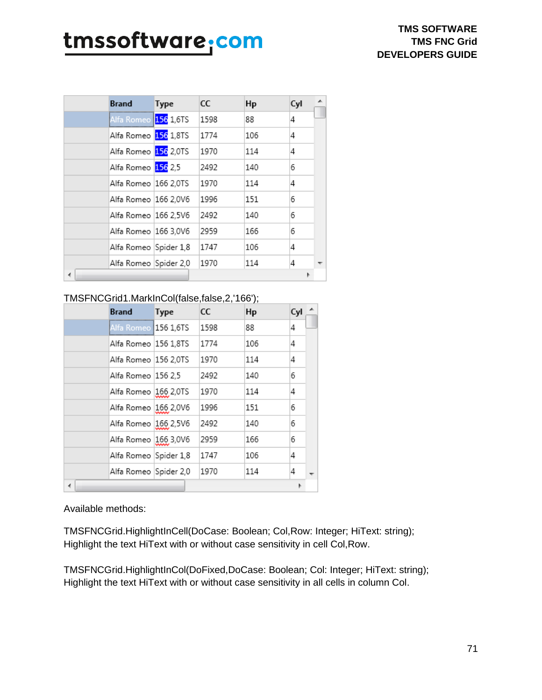|   | <b>Brand</b>           | Type | CC   | Hp  | Cyl |  |
|---|------------------------|------|------|-----|-----|--|
|   | Alfa Romeo 156 1,6TS   |      | 1598 | 88  | 4   |  |
|   | Alfa Romeo 156 1,8TS   |      | 1774 | 106 | 4   |  |
|   | Alfa Romeo 156 2,0TS   |      | 1970 | 114 | 4   |  |
|   | Alfa Romeo 156 2,5     |      | 2492 | 140 | 6   |  |
|   | Alfa Romeo  166 2,0TS  |      | 1970 | 114 | 4   |  |
|   | Alfa Romeo   166 2.0V6 |      | 1996 | 151 | 6   |  |
|   | Alfa Romeo   166 2.5V6 |      | 2492 | 140 | 6   |  |
|   | Alfa Romeo  166 3,0V6  |      | 2959 | 166 | 6   |  |
|   | Alfa Romeo Spider 1,8  |      | 1747 | 106 | 4   |  |
|   | Alfa Romeo Spider 2,0  |      | 1970 | 114 | 4   |  |
| ∢ |                        |      |      |     |     |  |

### TMSFNCGrid1.MarkInCol(false,false,2,'166');

| <b>Brand</b>                | Type       | CC   | Hp  | Cyl |  |
|-----------------------------|------------|------|-----|-----|--|
| Alfa Romeo <b>156 1,6TS</b> |            | 1598 | 88  | 4   |  |
| Alfa Romeo                  | 156 1.8TS  | 1774 | 106 | 4   |  |
| Alfa Romeo  156 2.0TS       |            | 1970 | 114 | 4   |  |
| Alfa Romeo                  | 156 2.5    | 2492 | 140 | 6   |  |
| Alfa Romeo                  | 166 2,0TS  | 1970 | 114 | 4   |  |
| Alfa Romeo                  | 166 2,0V6  | 1996 | 151 | 6   |  |
| Alfa Romeo                  | 166 2,5V6  | 2492 | 140 | 6   |  |
| Alfa Romeo                  | 166 3,0V6  | 2959 | 166 | 6   |  |
| Alfa Romeo                  | Spider 1,8 | 1747 | 106 | 4   |  |
| Alfa Romeo Spider 2,0       |            | 1970 | 114 | 4   |  |
| ∢                           |            |      |     |     |  |

Available methods:

TMSFNCGrid.HighlightInCell(DoCase: Boolean; Col,Row: Integer; HiText: string); Highlight the text HiText with or without case sensitivity in cell Col,Row.

TMSFNCGrid.HighlightInCol(DoFixed,DoCase: Boolean; Col: Integer; HiText: string); Highlight the text HiText with or without case sensitivity in all cells in column Col.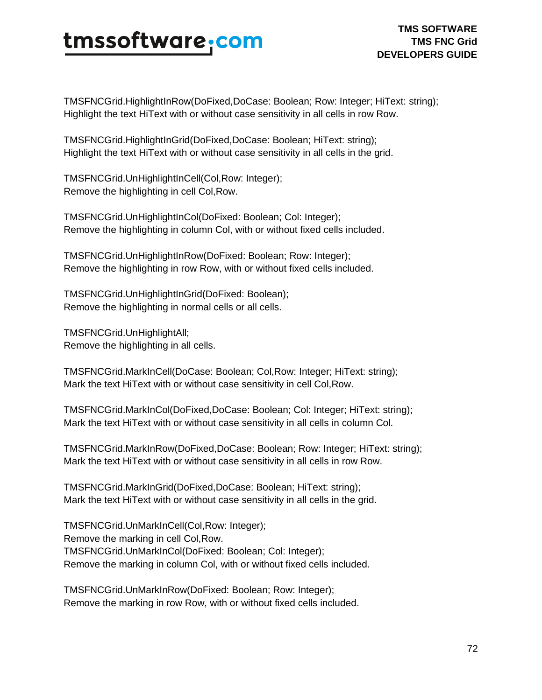TMSFNCGrid.HighlightInRow(DoFixed,DoCase: Boolean; Row: Integer; HiText: string); Highlight the text HiText with or without case sensitivity in all cells in row Row.

TMSFNCGrid.HighlightInGrid(DoFixed,DoCase: Boolean; HiText: string); Highlight the text HiText with or without case sensitivity in all cells in the grid.

TMSFNCGrid.UnHighlightInCell(Col,Row: Integer); Remove the highlighting in cell Col,Row.

TMSFNCGrid.UnHighlightInCol(DoFixed: Boolean; Col: Integer); Remove the highlighting in column Col, with or without fixed cells included.

TMSFNCGrid.UnHighlightInRow(DoFixed: Boolean; Row: Integer); Remove the highlighting in row Row, with or without fixed cells included.

TMSFNCGrid.UnHighlightInGrid(DoFixed: Boolean); Remove the highlighting in normal cells or all cells.

TMSFNCGrid.UnHighlightAll; Remove the highlighting in all cells.

TMSFNCGrid.MarkInCell(DoCase: Boolean; Col,Row: Integer; HiText: string); Mark the text HiText with or without case sensitivity in cell Col,Row.

TMSFNCGrid.MarkInCol(DoFixed,DoCase: Boolean; Col: Integer; HiText: string); Mark the text HiText with or without case sensitivity in all cells in column Col.

TMSFNCGrid.MarkInRow(DoFixed,DoCase: Boolean; Row: Integer; HiText: string); Mark the text HiText with or without case sensitivity in all cells in row Row.

TMSFNCGrid.MarkInGrid(DoFixed,DoCase: Boolean; HiText: string); Mark the text HiText with or without case sensitivity in all cells in the grid.

TMSFNCGrid.UnMarkInCell(Col,Row: Integer); Remove the marking in cell Col,Row. TMSFNCGrid.UnMarkInCol(DoFixed: Boolean; Col: Integer); Remove the marking in column Col, with or without fixed cells included.

TMSFNCGrid.UnMarkInRow(DoFixed: Boolean; Row: Integer); Remove the marking in row Row, with or without fixed cells included.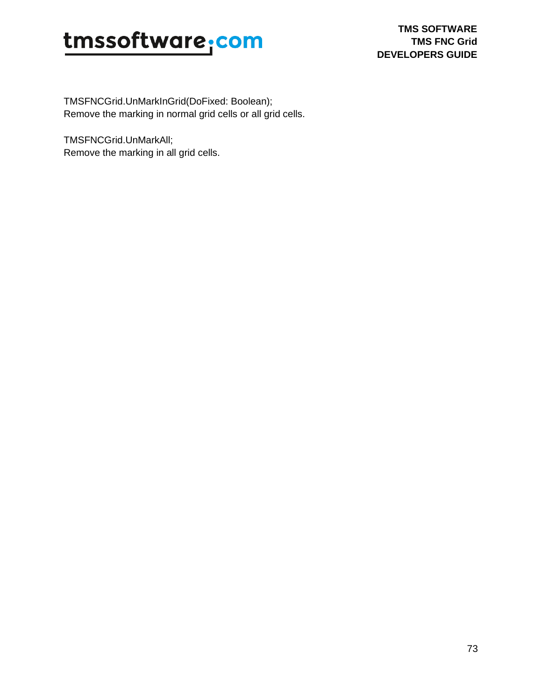TMSFNCGrid.UnMarkInGrid(DoFixed: Boolean); Remove the marking in normal grid cells or all grid cells.

TMSFNCGrid.UnMarkAll; Remove the marking in all grid cells.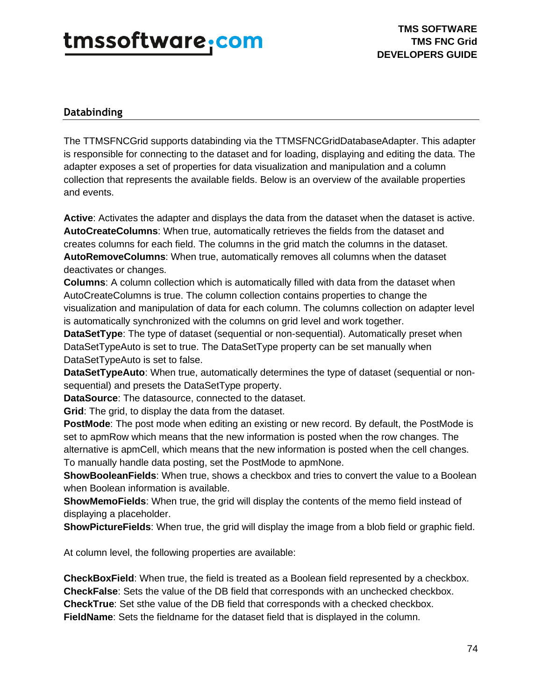### **Databinding**

The TTMSFNCGrid supports databinding via the TTMSFNCGridDatabaseAdapter. This adapter is responsible for connecting to the dataset and for loading, displaying and editing the data. The adapter exposes a set of properties for data visualization and manipulation and a column collection that represents the available fields. Below is an overview of the available properties and events.

**Active**: Activates the adapter and displays the data from the dataset when the dataset is active. **AutoCreateColumns**: When true, automatically retrieves the fields from the dataset and creates columns for each field. The columns in the grid match the columns in the dataset. **AutoRemoveColumns**: When true, automatically removes all columns when the dataset deactivates or changes.

**Columns**: A column collection which is automatically filled with data from the dataset when AutoCreateColumns is true. The column collection contains properties to change the visualization and manipulation of data for each column. The columns collection on adapter level is automatically synchronized with the columns on grid level and work together.

**DataSetType**: The type of dataset (sequential or non-sequential). Automatically preset when DataSetTypeAuto is set to true. The DataSetType property can be set manually when DataSetTypeAuto is set to false.

**DataSetTypeAuto**: When true, automatically determines the type of dataset (sequential or nonsequential) and presets the DataSetType property.

**DataSource**: The datasource, connected to the dataset.

**Grid**: The grid, to display the data from the dataset.

**PostMode**: The post mode when editing an existing or new record. By default, the PostMode is set to apmRow which means that the new information is posted when the row changes. The alternative is apmCell, which means that the new information is posted when the cell changes. To manually handle data posting, set the PostMode to apmNone.

**ShowBooleanFields**: When true, shows a checkbox and tries to convert the value to a Boolean when Boolean information is available.

**ShowMemoFields**: When true, the grid will display the contents of the memo field instead of displaying a placeholder.

**ShowPictureFields**: When true, the grid will display the image from a blob field or graphic field.

At column level, the following properties are available:

**CheckBoxField**: When true, the field is treated as a Boolean field represented by a checkbox. **CheckFalse**: Sets the value of the DB field that corresponds with an unchecked checkbox. **CheckTrue**: Set sthe value of the DB field that corresponds with a checked checkbox. **FieldName**: Sets the fieldname for the dataset field that is displayed in the column.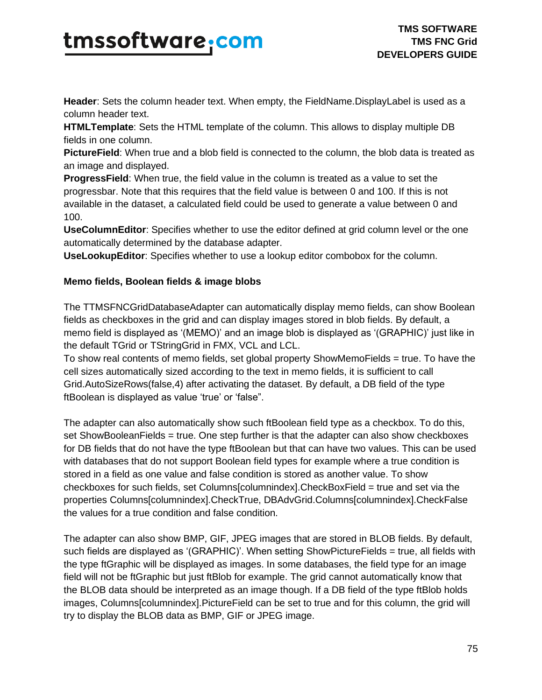**Header**: Sets the column header text. When empty, the FieldName.DisplayLabel is used as a column header text.

**HTMLTemplate**: Sets the HTML template of the column. This allows to display multiple DB fields in one column.

**PictureField**: When true and a blob field is connected to the column, the blob data is treated as an image and displayed.

**ProgressField**: When true, the field value in the column is treated as a value to set the progressbar. Note that this requires that the field value is between 0 and 100. If this is not available in the dataset, a calculated field could be used to generate a value between 0 and 100.

**UseColumnEditor**: Specifies whether to use the editor defined at grid column level or the one automatically determined by the database adapter.

**UseLookupEditor**: Specifies whether to use a lookup editor combobox for the column.

#### **Memo fields, Boolean fields & image blobs**

The TTMSFNCGridDatabaseAdapter can automatically display memo fields, can show Boolean fields as checkboxes in the grid and can display images stored in blob fields. By default, a memo field is displayed as '(MEMO)' and an image blob is displayed as '(GRAPHIC)' just like in the default TGrid or TStringGrid in FMX, VCL and LCL.

To show real contents of memo fields, set global property ShowMemoFields = true. To have the cell sizes automatically sized according to the text in memo fields, it is sufficient to call Grid.AutoSizeRows(false,4) after activating the dataset. By default, a DB field of the type ftBoolean is displayed as value 'true' or 'false".

The adapter can also automatically show such ftBoolean field type as a checkbox. To do this, set ShowBooleanFields = true. One step further is that the adapter can also show checkboxes for DB fields that do not have the type ftBoolean but that can have two values. This can be used with databases that do not support Boolean field types for example where a true condition is stored in a field as one value and false condition is stored as another value. To show checkboxes for such fields, set Columns[columnindex].CheckBoxField = true and set via the properties Columns[columnindex].CheckTrue, DBAdvGrid.Columns[columnindex].CheckFalse the values for a true condition and false condition.

The adapter can also show BMP, GIF, JPEG images that are stored in BLOB fields. By default, such fields are displayed as '(GRAPHIC)'. When setting ShowPictureFields = true, all fields with the type ftGraphic will be displayed as images. In some databases, the field type for an image field will not be ftGraphic but just ftBlob for example. The grid cannot automatically know that the BLOB data should be interpreted as an image though. If a DB field of the type ftBlob holds images, Columns[columnindex].PictureField can be set to true and for this column, the grid will try to display the BLOB data as BMP, GIF or JPEG image.